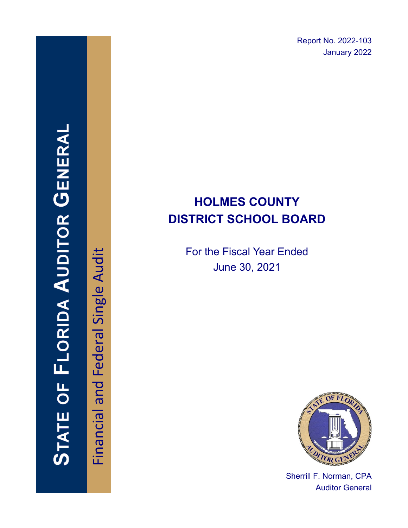Report No. 2022-103 January 2022

# **HOLMES COUNTY DISTRICT SCHOOL BOARD**

For the Fiscal Year Ended June 30, 2021



Sherrill F. Norman, CPA Auditor General

Financial and Federal Single Audit Financial and Federal Single Audit

STATE OF FLORIDA AUDITOR GENERAI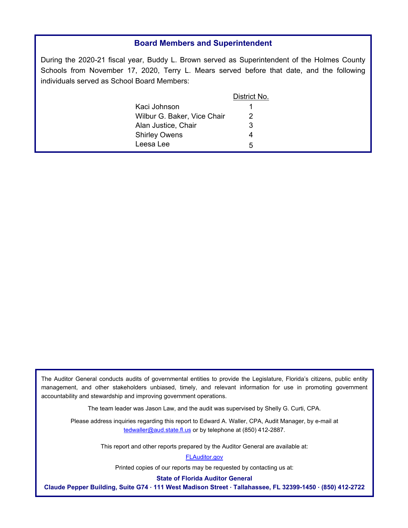#### **Board Members and Superintendent**

During the 2020-21 fiscal year, Buddy L. Brown served as Superintendent of the Holmes County Schools from November 17, 2020, Terry L. Mears served before that date, and the following individuals served as School Board Members:

|                             | District No. |  |
|-----------------------------|--------------|--|
| Kaci Johnson                |              |  |
| Wilbur G. Baker, Vice Chair | 2            |  |
| Alan Justice, Chair         | 3            |  |
| <b>Shirley Owens</b>        | 4            |  |
| I eesa Lee                  | 5            |  |

The Auditor General conducts audits of governmental entities to provide the Legislature, Florida's citizens, public entity management, and other stakeholders unbiased, timely, and relevant information for use in promoting government accountability and stewardship and improving government operations.

The team leader was Jason Law, and the audit was supervised by Shelly G. Curti, CPA.

Please address inquiries regarding this report to Edward A. Waller, CPA, Audit Manager, by e-mail at tedwaller@aud.state.fl.us or by telephone at (850) 412-2887.

This report and other reports prepared by the Auditor General are available at:

[FLAuditor.gov](http://flauditor.gov/)

Printed copies of our reports may be requested by contacting us at:

**State of Florida Auditor General** 

**Claude Pepper Building, Suite G74 · 111 West Madison Street · Tallahassee, FL 32399-1450 · (850) 412-2722**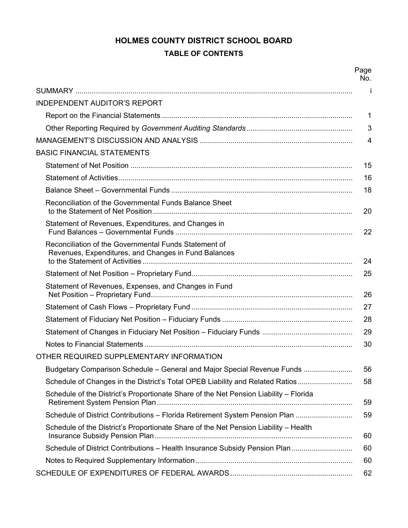## **HOLMES COUNTY DISTRICT SCHOOL BOARD TABLE OF CONTENTS**

|                                                                                                               | Page<br>No. |
|---------------------------------------------------------------------------------------------------------------|-------------|
|                                                                                                               | Ť           |
| <b>INDEPENDENT AUDITOR'S REPORT</b>                                                                           |             |
|                                                                                                               | 1           |
|                                                                                                               | 3           |
|                                                                                                               | 4           |
| <b>BASIC FINANCIAL STATEMENTS</b>                                                                             |             |
|                                                                                                               | 15          |
|                                                                                                               | 16          |
|                                                                                                               | 18          |
| Reconciliation of the Governmental Funds Balance Sheet                                                        | 20          |
| Statement of Revenues, Expenditures, and Changes in                                                           | 22          |
| Reconciliation of the Governmental Funds Statement of<br>Revenues, Expenditures, and Changes in Fund Balances | 24          |
|                                                                                                               | 25          |
| Statement of Revenues, Expenses, and Changes in Fund                                                          | 26          |
|                                                                                                               | 27          |
|                                                                                                               | 28          |
|                                                                                                               | 29          |
|                                                                                                               | 30          |
| OTHER REQUIRED SUPPLEMENTARY INFORMATION                                                                      |             |
| Budgetary Comparison Schedule – General and Major Special Revenue Funds                                       | 56          |
| Schedule of Changes in the District's Total OPEB Liability and Related Ratios                                 | 58          |
| Schedule of the District's Proportionate Share of the Net Pension Liability - Florida                         | 59          |
| Schedule of District Contributions - Florida Retirement System Pension Plan                                   | 59          |
| Schedule of the District's Proportionate Share of the Net Pension Liability - Health                          | 60          |
| Schedule of District Contributions - Health Insurance Subsidy Pension Plan                                    | 60          |
|                                                                                                               | 60          |
|                                                                                                               | 62          |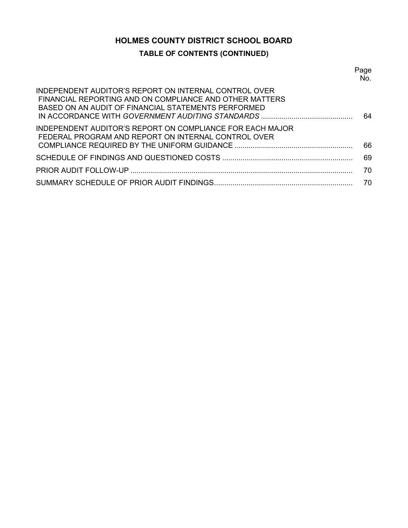## **HOLMES COUNTY DISTRICT SCHOOL BOARD**

## **TABLE OF CONTENTS (CONTINUED)**

| age |
|-----|
| Nο  |

| INDEPENDENT AUDITOR'S REPORT ON INTERNAL CONTROL OVER<br>FINANCIAL REPORTING AND ON COMPLIANCE AND OTHER MATTERS<br>BASED ON AN AUDIT OF FINANCIAL STATEMENTS PERFORMED | 64 |
|-------------------------------------------------------------------------------------------------------------------------------------------------------------------------|----|
| INDEPENDENT AUDITOR'S REPORT ON COMPLIANCE FOR EACH MAJOR<br>FEDERAL PROGRAM AND REPORT ON INTERNAL CONTROL OVER                                                        | 66 |
|                                                                                                                                                                         | 69 |
|                                                                                                                                                                         | 70 |
|                                                                                                                                                                         | 70 |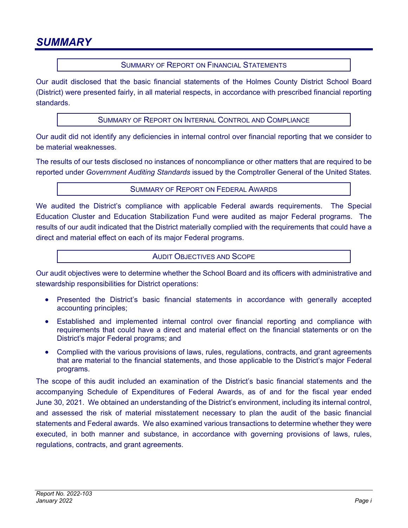#### SUMMARY OF REPORT ON FINANCIAL STATEMENTS

<span id="page-4-0"></span>Our audit disclosed that the basic financial statements of the Holmes County District School Board (District) were presented fairly, in all material respects, in accordance with prescribed financial reporting standards.

SUMMARY OF REPORT ON INTERNAL CONTROL AND COMPLIANCE

Our audit did not identify any deficiencies in internal control over financial reporting that we consider to be material weaknesses.

The results of our tests disclosed no instances of noncompliance or other matters that are required to be reported under *Government Auditing Standards* issued by the Comptroller General of the United States*.* 

#### SUMMARY OF REPORT ON FEDERAL AWARDS

We audited the District's compliance with applicable Federal awards requirements. The Special Education Cluster and Education Stabilization Fund were audited as major Federal programs. The results of our audit indicated that the District materially complied with the requirements that could have a direct and material effect on each of its major Federal programs.

#### AUDIT OBJECTIVES AND SCOPE

Our audit objectives were to determine whether the School Board and its officers with administrative and stewardship responsibilities for District operations:

- Presented the District's basic financial statements in accordance with generally accepted accounting principles;
- Established and implemented internal control over financial reporting and compliance with requirements that could have a direct and material effect on the financial statements or on the District's major Federal programs; and
- Complied with the various provisions of laws, rules, regulations, contracts, and grant agreements that are material to the financial statements, and those applicable to the District's major Federal programs.

The scope of this audit included an examination of the District's basic financial statements and the accompanying Schedule of Expenditures of Federal Awards, as of and for the fiscal year ended June 30, 2021. We obtained an understanding of the District's environment, including its internal control, and assessed the risk of material misstatement necessary to plan the audit of the basic financial statements and Federal awards. We also examined various transactions to determine whether they were executed, in both manner and substance, in accordance with governing provisions of laws, rules, regulations, contracts, and grant agreements.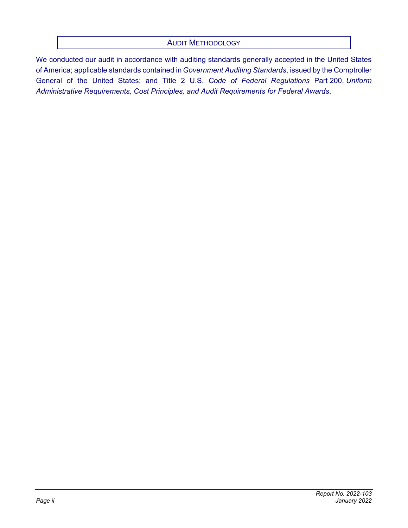#### AUDIT METHODOLOGY

We conducted our audit in accordance with auditing standards generally accepted in the United States of America; applicable standards contained in *Government Auditing Standards*, issued by the Comptroller General of the United States; and Title 2 U.S. *Code of Federal Regulations* Part 200, *Uniform Administrative Requirements, Cost Principles, and Audit Requirements for Federal Awards*.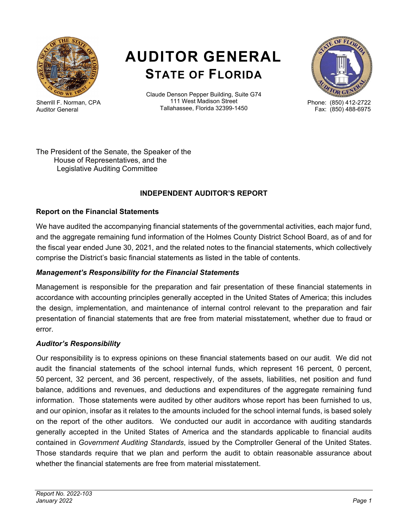<span id="page-6-0"></span>

Sherrill F. Norman, CPA Auditor General

# **AUDITOR GENERAL STATE OF FLORIDA**

Claude Denson Pepper Building, Suite G74 111 West Madison Street Tallahassee, Florida 32399-1450



Phone: (850) 412-2722 Fax: (850) 488-6975

The President of the Senate, the Speaker of the House of Representatives, and the Legislative Auditing Committee

## **INDEPENDENT AUDITOR'S REPORT**

#### **Report on the Financial Statements**

We have audited the accompanying financial statements of the governmental activities, each major fund, and the aggregate remaining fund information of the Holmes County District School Board, as of and for the fiscal year ended June 30, 2021, and the related notes to the financial statements, which collectively comprise the District's basic financial statements as listed in the table of contents.

#### *Management's Responsibility for the Financial Statements*

Management is responsible for the preparation and fair presentation of these financial statements in accordance with accounting principles generally accepted in the United States of America; this includes the design, implementation, and maintenance of internal control relevant to the preparation and fair presentation of financial statements that are free from material misstatement, whether due to fraud or error.

## *Auditor's Responsibility*

Our responsibility is to express opinions on these financial statements based on our audit. We did not audit the financial statements of the school internal funds, which represent 16 percent, 0 percent, 50 percent, 32 percent, and 36 percent, respectively, of the assets, liabilities, net position and fund balance, additions and revenues, and deductions and expenditures of the aggregate remaining fund information. Those statements were audited by other auditors whose report has been furnished to us, and our opinion, insofar as it relates to the amounts included for the school internal funds, is based solely on the report of the other auditors. We conducted our audit in accordance with auditing standards generally accepted in the United States of America and the standards applicable to financial audits contained in *Government Auditing Standards*, issued by the Comptroller General of the United States. Those standards require that we plan and perform the audit to obtain reasonable assurance about whether the financial statements are free from material misstatement.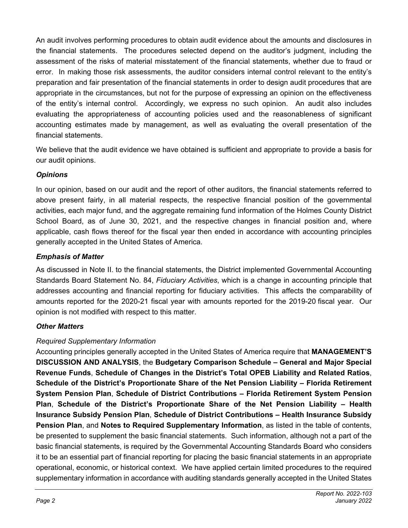An audit involves performing procedures to obtain audit evidence about the amounts and disclosures in the financial statements. The procedures selected depend on the auditor's judgment, including the assessment of the risks of material misstatement of the financial statements, whether due to fraud or error. In making those risk assessments, the auditor considers internal control relevant to the entity's preparation and fair presentation of the financial statements in order to design audit procedures that are appropriate in the circumstances, but not for the purpose of expressing an opinion on the effectiveness of the entity's internal control. Accordingly, we express no such opinion. An audit also includes evaluating the appropriateness of accounting policies used and the reasonableness of significant accounting estimates made by management, as well as evaluating the overall presentation of the financial statements.

We believe that the audit evidence we have obtained is sufficient and appropriate to provide a basis for our audit opinions.

## *Opinions*

In our opinion, based on our audit and the report of other auditors, the financial statements referred to above present fairly, in all material respects, the respective financial position of the governmental activities, each major fund, and the aggregate remaining fund information of the Holmes County District School Board, as of June 30, 2021, and the respective changes in financial position and, where applicable, cash flows thereof for the fiscal year then ended in accordance with accounting principles generally accepted in the United States of America.

## *Emphasis of Matter*

As discussed in Note II. to the financial statements, the District implemented Governmental Accounting Standards Board Statement No. 84, *Fiduciary Activities*, which is a change in accounting principle that addresses accounting and financial reporting for fiduciary activities. This affects the comparability of amounts reported for the 2020-21 fiscal year with amounts reported for the 2019-20 fiscal year. Our opinion is not modified with respect to this matter.

## *Other Matters*

#### *Required Supplementary Information*

Accounting principles generally accepted in the United States of America require that **MANAGEMENT'S DISCUSSION AND ANALYSIS**, the **Budgetary Comparison Schedule – General and Major Special Revenue Funds**, **Schedule of Changes in the District's Total OPEB Liability and Related Ratios**, **Schedule of the District's Proportionate Share of the Net Pension Liability – Florida Retirement System Pension Plan**, **Schedule of District Contributions – Florida Retirement System Pension Plan**, **Schedule of the District's Proportionate Share of the Net Pension Liability – Health Insurance Subsidy Pension Plan**, **Schedule of District Contributions – Health Insurance Subsidy Pension Plan**, and **Notes to Required Supplementary Information**, as listed in the table of contents, be presented to supplement the basic financial statements. Such information, although not a part of the basic financial statements, is required by the Governmental Accounting Standards Board who considers it to be an essential part of financial reporting for placing the basic financial statements in an appropriate operational, economic, or historical context. We have applied certain limited procedures to the required supplementary information in accordance with auditing standards generally accepted in the United States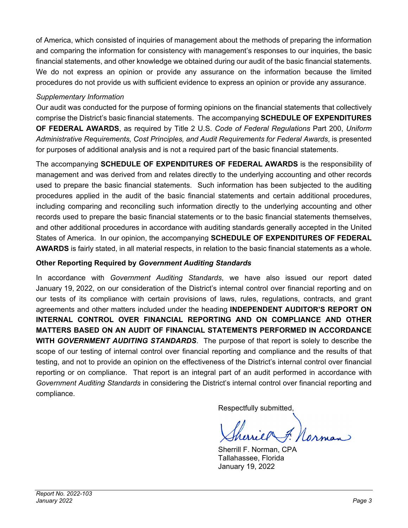<span id="page-8-0"></span>of America, which consisted of inquiries of management about the methods of preparing the information and comparing the information for consistency with management's responses to our inquiries, the basic financial statements, and other knowledge we obtained during our audit of the basic financial statements. We do not express an opinion or provide any assurance on the information because the limited procedures do not provide us with sufficient evidence to express an opinion or provide any assurance.

#### *Supplementary Information*

Our audit was conducted for the purpose of forming opinions on the financial statements that collectively comprise the District's basic financial statements. The accompanying **SCHEDULE OF EXPENDITURES OF FEDERAL AWARDS**, as required by Title 2 U.S. *Code of Federal Regulations* Part 200, *Uniform Administrative Requirements, Cost Principles, and Audit Requirements for Federal Awards*, is presented for purposes of additional analysis and is not a required part of the basic financial statements.

The accompanying **SCHEDULE OF EXPENDITURES OF FEDERAL AWARDS** is the responsibility of management and was derived from and relates directly to the underlying accounting and other records used to prepare the basic financial statements. Such information has been subjected to the auditing procedures applied in the audit of the basic financial statements and certain additional procedures, including comparing and reconciling such information directly to the underlying accounting and other records used to prepare the basic financial statements or to the basic financial statements themselves, and other additional procedures in accordance with auditing standards generally accepted in the United States of America. In our opinion, the accompanying **SCHEDULE OF EXPENDITURES OF FEDERAL AWARDS** is fairly stated, in all material respects, in relation to the basic financial statements as a whole.

## **Other Reporting Required by** *Government Auditing Standards*

In accordance with *Government Auditing Standards*, we have also issued our report dated January 19, 2022, on our consideration of the District's internal control over financial reporting and on our tests of its compliance with certain provisions of laws, rules, regulations, contracts, and grant agreements and other matters included under the heading **INDEPENDENT AUDITOR'S REPORT ON INTERNAL CONTROL OVER FINANCIAL REPORTING AND ON COMPLIANCE AND OTHER MATTERS BASED ON AN AUDIT OF FINANCIAL STATEMENTS PERFORMED IN ACCORDANCE WITH** *GOVERNMENT AUDITING STANDARDS*. The purpose of that report is solely to describe the scope of our testing of internal control over financial reporting and compliance and the results of that testing, and not to provide an opinion on the effectiveness of the District's internal control over financial reporting or on compliance. That report is an integral part of an audit performed in accordance with *Government Auditing Standards* in considering the District's internal control over financial reporting and compliance.

Respectfully submitted,

Sherrill F. Norman, CPA Tallahassee, Florida January 19, 2022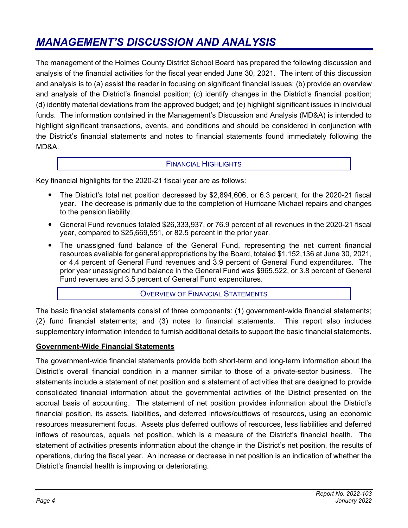## <span id="page-9-0"></span>*MANAGEMENT'S DISCUSSION AND ANALYSIS*

The management of the Holmes County District School Board has prepared the following discussion and analysis of the financial activities for the fiscal year ended June 30, 2021. The intent of this discussion and analysis is to (a) assist the reader in focusing on significant financial issues; (b) provide an overview and analysis of the District's financial position; (c) identify changes in the District's financial position; (d) identify material deviations from the approved budget; and (e) highlight significant issues in individual funds. The information contained in the Management's Discussion and Analysis (MD&A) is intended to highlight significant transactions, events, and conditions and should be considered in conjunction with the District's financial statements and notes to financial statements found immediately following the MD&A.

#### FINANCIAL HIGHLIGHTS

Key financial highlights for the 2020-21 fiscal year are as follows:

- The District's total net position decreased by \$2,894,606, or 6.3 percent, for the 2020-21 fiscal year. The decrease is primarily due to the completion of Hurricane Michael repairs and changes to the pension liability.
- General Fund revenues totaled \$26,333,937, or 76.9 percent of all revenues in the 2020-21 fiscal year, compared to \$25,669,551, or 82.5 percent in the prior year.
- The unassigned fund balance of the General Fund, representing the net current financial resources available for general appropriations by the Board, totaled \$1,152,136 at June 30, 2021, or 4.4 percent of General Fund revenues and 3.9 percent of General Fund expenditures. The prior year unassigned fund balance in the General Fund was \$965,522, or 3.8 percent of General Fund revenues and 3.5 percent of General Fund expenditures.

#### OVERVIEW OF FINANCIAL STATEMENTS

The basic financial statements consist of three components: (1) government-wide financial statements; (2) fund financial statements; and (3) notes to financial statements. This report also includes supplementary information intended to furnish additional details to support the basic financial statements.

#### **Government-Wide Financial Statements**

The government-wide financial statements provide both short-term and long-term information about the District's overall financial condition in a manner similar to those of a private-sector business. The statements include a statement of net position and a statement of activities that are designed to provide consolidated financial information about the governmental activities of the District presented on the accrual basis of accounting. The statement of net position provides information about the District's financial position, its assets, liabilities, and deferred inflows/outflows of resources, using an economic resources measurement focus. Assets plus deferred outflows of resources, less liabilities and deferred inflows of resources, equals net position, which is a measure of the District's financial health. The statement of activities presents information about the change in the District's net position, the results of operations, during the fiscal year. An increase or decrease in net position is an indication of whether the District's financial health is improving or deteriorating.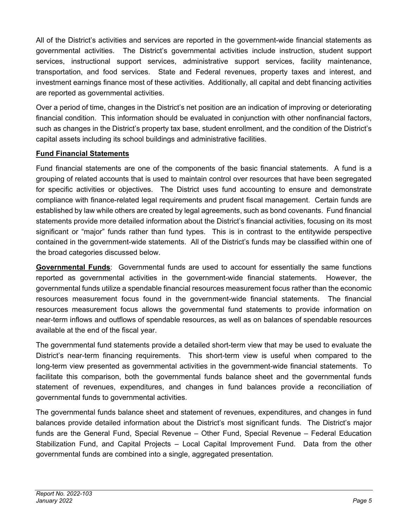All of the District's activities and services are reported in the government-wide financial statements as governmental activities. The District's governmental activities include instruction, student support services, instructional support services, administrative support services, facility maintenance, transportation, and food services. State and Federal revenues, property taxes and interest, and investment earnings finance most of these activities. Additionally, all capital and debt financing activities are reported as governmental activities.

Over a period of time, changes in the District's net position are an indication of improving or deteriorating financial condition. This information should be evaluated in conjunction with other nonfinancial factors, such as changes in the District's property tax base, student enrollment, and the condition of the District's capital assets including its school buildings and administrative facilities.

### **Fund Financial Statements**

Fund financial statements are one of the components of the basic financial statements. A fund is a grouping of related accounts that is used to maintain control over resources that have been segregated for specific activities or objectives. The District uses fund accounting to ensure and demonstrate compliance with finance-related legal requirements and prudent fiscal management. Certain funds are established by law while others are created by legal agreements, such as bond covenants. Fund financial statements provide more detailed information about the District's financial activities, focusing on its most significant or "major" funds rather than fund types. This is in contrast to the entitywide perspective contained in the government-wide statements. All of the District's funds may be classified within one of the broad categories discussed below.

**Governmental Funds**: Governmental funds are used to account for essentially the same functions reported as governmental activities in the government-wide financial statements. However, the governmental funds utilize a spendable financial resources measurement focus rather than the economic resources measurement focus found in the government-wide financial statements. The financial resources measurement focus allows the governmental fund statements to provide information on near-term inflows and outflows of spendable resources, as well as on balances of spendable resources available at the end of the fiscal year.

The governmental fund statements provide a detailed short-term view that may be used to evaluate the District's near-term financing requirements. This short-term view is useful when compared to the long-term view presented as governmental activities in the government-wide financial statements. To facilitate this comparison, both the governmental funds balance sheet and the governmental funds statement of revenues, expenditures, and changes in fund balances provide a reconciliation of governmental funds to governmental activities.

The governmental funds balance sheet and statement of revenues, expenditures, and changes in fund balances provide detailed information about the District's most significant funds. The District's major funds are the General Fund, Special Revenue – Other Fund, Special Revenue – Federal Education Stabilization Fund, and Capital Projects – Local Capital Improvement Fund. Data from the other governmental funds are combined into a single, aggregated presentation.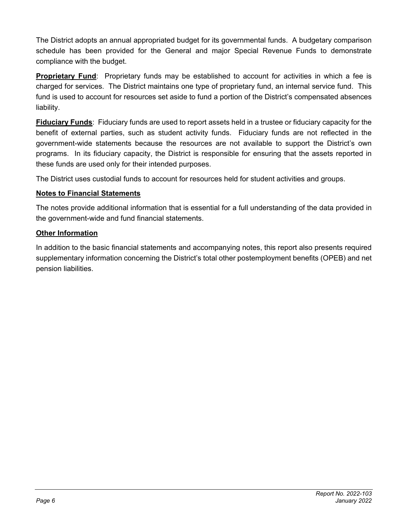The District adopts an annual appropriated budget for its governmental funds. A budgetary comparison schedule has been provided for the General and major Special Revenue Funds to demonstrate compliance with the budget.

**Proprietary Fund**: Proprietary funds may be established to account for activities in which a fee is charged for services. The District maintains one type of proprietary fund, an internal service fund. This fund is used to account for resources set aside to fund a portion of the District's compensated absences liability.

**Fiduciary Funds**: Fiduciary funds are used to report assets held in a trustee or fiduciary capacity for the benefit of external parties, such as student activity funds. Fiduciary funds are not reflected in the government-wide statements because the resources are not available to support the District's own programs. In its fiduciary capacity, the District is responsible for ensuring that the assets reported in these funds are used only for their intended purposes.

The District uses custodial funds to account for resources held for student activities and groups.

#### **Notes to Financial Statements**

The notes provide additional information that is essential for a full understanding of the data provided in the government-wide and fund financial statements.

#### **Other Information**

In addition to the basic financial statements and accompanying notes, this report also presents required supplementary information concerning the District's total other postemployment benefits (OPEB) and net pension liabilities.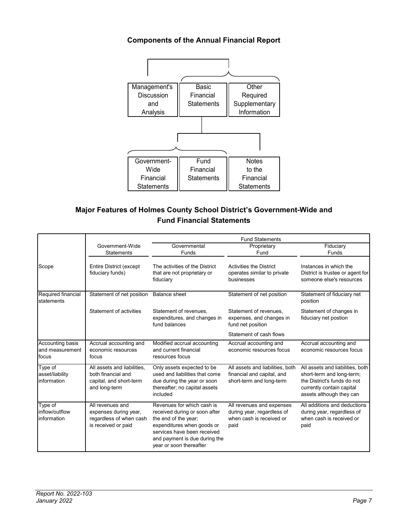## **Components of the Annual Financial Report**



## **Major Features of Holmes County School District's Government-Wide and Fund Financial Statements**

|                                              |                                                                                               | <b>Fund Statements</b>                                                                                                                                                                                       |                                                                                             |                                                                                                                                                       |  |  |
|----------------------------------------------|-----------------------------------------------------------------------------------------------|--------------------------------------------------------------------------------------------------------------------------------------------------------------------------------------------------------------|---------------------------------------------------------------------------------------------|-------------------------------------------------------------------------------------------------------------------------------------------------------|--|--|
|                                              | Government-Wide                                                                               | Governmental                                                                                                                                                                                                 | Proprietary                                                                                 | Fiduciary                                                                                                                                             |  |  |
|                                              | <b>Statements</b>                                                                             | Funds                                                                                                                                                                                                        | Fund                                                                                        | Funds                                                                                                                                                 |  |  |
| Scope                                        | <b>Entire District (except</b>                                                                | The activities of the District                                                                                                                                                                               | <b>Activities the District</b>                                                              | Instances in which the                                                                                                                                |  |  |
|                                              | fiduciary funds)                                                                              | that are not proprietary or<br>fiduciary                                                                                                                                                                     | operates similar to private<br>businesses                                                   | District is trustee or agent for<br>someone else's resources                                                                                          |  |  |
| Required financial<br>statements             | Statement of net position                                                                     | <b>Balance sheet</b>                                                                                                                                                                                         | Statement of net position                                                                   | Statement of fiduciary net<br>position                                                                                                                |  |  |
|                                              | Statement of activities                                                                       | Statement of revenues.<br>expenditures, and changes in<br>fund balances                                                                                                                                      | Statement of revenues,<br>expenses, and changes in<br>fund net position                     | Statement of changes in<br>fiduciary net postion                                                                                                      |  |  |
|                                              |                                                                                               |                                                                                                                                                                                                              | Statement of cash flows                                                                     |                                                                                                                                                       |  |  |
| Accounting basis<br>and measurement<br>focus | Accrual accounting and<br>economic resources<br>focus                                         | Modified accrual accounting<br>and current financial<br>resources focus                                                                                                                                      | Accrual accounting and<br>economic resources focus                                          | Accrual accounting and<br>economic resources focus                                                                                                    |  |  |
| Type of<br>asset/liability<br>information    | All assets and liabilities.<br>both financial and<br>capital, and short-term<br>and long-term | Only assets expected to be<br>used and liabilities that come<br>due during the year or soon<br>thereafter; no capital assets<br>included                                                                     | All assets and liabilities, both<br>financial and capital, and<br>short-term and long-term  | All assets and liabilities, both<br>short-term and long-term;<br>the District's funds do not<br>currently contain capital<br>assets although they can |  |  |
| Type of<br>inflow/outflow<br>information     | All revenues and<br>expenses during year,<br>regardless of when cash<br>is received or paid   | Revenues for which cash is<br>received during or soon after<br>the end of the year;<br>expenditures when goods or<br>services have been received<br>and payment is due during the<br>year or soon thereafter | All revenues and expenses<br>during year, regardless of<br>when cash is received or<br>paid | All additions and deductions<br>during year, regardless of<br>when cash is received or<br>paid                                                        |  |  |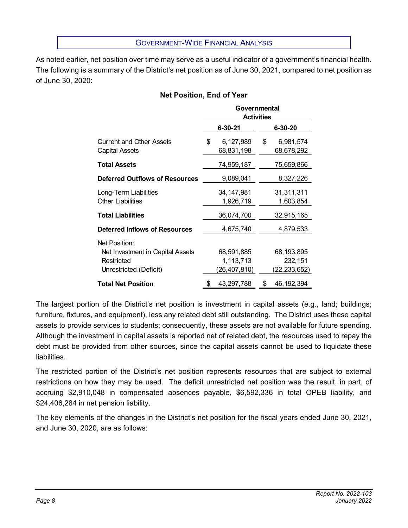#### GOVERNMENT-WIDE FINANCIAL ANALYSIS

As noted earlier, net position over time may serve as a useful indicator of a government's financial health. The following is a summary of the District's net position as of June 30, 2021, compared to net position as of June 30, 2020:

|                                                                                           | Governmental<br><b>Activities</b> |                                         |    |                                       |
|-------------------------------------------------------------------------------------------|-----------------------------------|-----------------------------------------|----|---------------------------------------|
|                                                                                           |                                   | 6-30-21                                 |    | 6-30-20                               |
| <b>Current and Other Assets</b><br><b>Capital Assets</b>                                  | \$                                | 6,127,989<br>68,831,198                 | \$ | 6,981,574<br>68,678,292               |
| <b>Total Assets</b>                                                                       |                                   | 74,959,187                              |    | 75,659,866                            |
| <b>Deferred Outflows of Resources</b>                                                     |                                   | 9,089,041                               |    | 8,327,226                             |
| Long-Term Liabilities<br><b>Other Liabilities</b>                                         |                                   | 34, 147, 981<br>1,926,719               |    | 31,311,311<br>1,603,854               |
| <b>Total Liabilities</b>                                                                  |                                   | 36,074,700                              |    | 32,915,165                            |
| Deferred Inflows of Resources                                                             |                                   | 4,675,740                               |    | 4,879,533                             |
| Net Position:<br>Net Investment in Capital Assets<br>Restricted<br>Unrestricted (Deficit) |                                   | 68,591,885<br>1,113,713<br>(26,407,810) |    | 68,193,895<br>232,151<br>(22,233,652) |
| <b>Total Net Position</b>                                                                 | \$                                | 43,297,788                              | \$ | 46, 192, 394                          |

## **Net Position, End of Year**

The largest portion of the District's net position is investment in capital assets (e.g., land; buildings; furniture, fixtures, and equipment), less any related debt still outstanding. The District uses these capital assets to provide services to students; consequently, these assets are not available for future spending. Although the investment in capital assets is reported net of related debt, the resources used to repay the debt must be provided from other sources, since the capital assets cannot be used to liquidate these liabilities.

The restricted portion of the District's net position represents resources that are subject to external restrictions on how they may be used. The deficit unrestricted net position was the result, in part, of accruing \$2,910,048 in compensated absences payable, \$6,592,336 in total OPEB liability, and \$24,406,284 in net pension liability.

The key elements of the changes in the District's net position for the fiscal years ended June 30, 2021, and June 30, 2020, are as follows: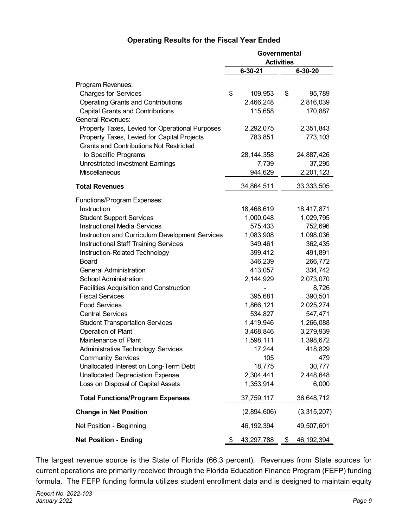#### **Operating Results for the Fiscal Year Ended**

|                                                 | Governmental |                   |    |               |  |  |
|-------------------------------------------------|--------------|-------------------|----|---------------|--|--|
|                                                 |              | <b>Activities</b> |    |               |  |  |
|                                                 |              | 6-30-21           |    | $6 - 30 - 20$ |  |  |
| Program Revenues:                               |              |                   |    |               |  |  |
| <b>Charges for Services</b>                     | \$           | 109,953           | \$ | 95,789        |  |  |
| <b>Operating Grants and Contributions</b>       |              | 2,466,248         |    | 2,816,039     |  |  |
| Capital Grants and Contributions                |              | 115,658           |    | 170,887       |  |  |
| <b>General Revenues:</b>                        |              |                   |    |               |  |  |
| Property Taxes, Levied for Operational Purposes |              | 2,292,075         |    | 2,351,843     |  |  |
| Property Taxes, Levied for Capital Projects     |              | 783,851           |    | 773,103       |  |  |
| <b>Grants and Contributions Not Restricted</b>  |              |                   |    |               |  |  |
| to Specific Programs                            |              | 28, 144, 358      |    | 24,887,426    |  |  |
| Unrestricted Investment Earnings                |              | 7,739             |    | 37,295        |  |  |
| Miscellaneous                                   |              | 944,629           |    | 2,201,123     |  |  |
|                                                 |              |                   |    |               |  |  |
| <b>Total Revenues</b>                           |              | 34,864,511        |    | 33, 333, 505  |  |  |
| Functions/Program Expenses:                     |              |                   |    |               |  |  |
| Instruction                                     |              | 18,468,619        |    | 18,417,871    |  |  |
| <b>Student Support Services</b>                 |              | 1,000,048         |    | 1,029,795     |  |  |
| <b>Instructional Media Services</b>             |              | 575,433           |    | 752,696       |  |  |
| Instruction and Curriculum Development Services |              | 1,083,908         |    | 1,098,036     |  |  |
| <b>Instructional Staff Training Services</b>    |              | 349,461           |    | 362,435       |  |  |
| <b>Instruction-Related Technology</b>           |              | 399,412           |    | 491,891       |  |  |
| Board                                           |              | 346,239           |    | 266,772       |  |  |
| <b>General Administration</b>                   |              | 413,057           |    | 334,742       |  |  |
| School Administration                           |              | 2,144,929         |    | 2,073,070     |  |  |
| <b>Facilities Acquisition and Construction</b>  |              |                   |    | 8,726         |  |  |
| <b>Fiscal Services</b>                          |              | 395,681           |    | 390,501       |  |  |
| <b>Food Services</b>                            |              | 1,866,121         |    | 2,025,274     |  |  |
| <b>Central Services</b>                         |              | 534,827           |    | 547,471       |  |  |
| <b>Student Transportation Services</b>          |              | 1,419,946         |    | 1,266,088     |  |  |
| Operation of Plant                              |              | 3,468,846         |    | 3,279,939     |  |  |
| Maintenance of Plant                            |              | 1,598,111         |    | 1,398,672     |  |  |
| Administrative Technology Services              |              | 17,244            |    | 418,829       |  |  |
| <b>Community Services</b>                       |              | 105               |    | 479           |  |  |
| Unallocated Interest on Long-Term Debt          |              | 18,775            |    | 30,777        |  |  |
| <b>Unallocated Depreciation Expense</b>         |              | 2,304,441         |    | 2,448,648     |  |  |
| Loss on Disposal of Capital Assets              |              | 1,353,914         |    | 6,000         |  |  |
| <b>Total Functions/Program Expenses</b>         |              | 37,759,117        |    | 36,648,712    |  |  |
| <b>Change in Net Position</b>                   |              | (2,894,606)       |    | (3,315,207)   |  |  |
| Net Position - Beginning                        |              | 46, 192, 394      |    | 49,507,601    |  |  |
| <b>Net Position - Ending</b>                    | \$           | 43,297,788        | \$ | 46, 192, 394  |  |  |

The largest revenue source is the State of Florida (66.3 percent). Revenues from State sources for current operations are primarily received through the Florida Education Finance Program (FEFP) funding formula. The FEFP funding formula utilizes student enrollment data and is designed to maintain equity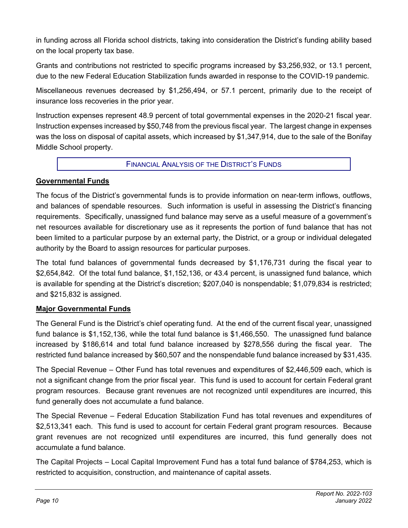in funding across all Florida school districts, taking into consideration the District's funding ability based on the local property tax base.

Grants and contributions not restricted to specific programs increased by \$3,256,932, or 13.1 percent, due to the new Federal Education Stabilization funds awarded in response to the COVID-19 pandemic.

Miscellaneous revenues decreased by \$1,256,494, or 57.1 percent, primarily due to the receipt of insurance loss recoveries in the prior year.

Instruction expenses represent 48.9 percent of total governmental expenses in the 2020-21 fiscal year. Instruction expenses increased by \$50,748 from the previous fiscal year. The largest change in expenses was the loss on disposal of capital assets, which increased by \$1,347,914, due to the sale of the Bonifay Middle School property.

#### FINANCIAL ANALYSIS OF THE DISTRICT'S FUNDS

#### **Governmental Funds**

The focus of the District's governmental funds is to provide information on near-term inflows, outflows, and balances of spendable resources. Such information is useful in assessing the District's financing requirements. Specifically, unassigned fund balance may serve as a useful measure of a government's net resources available for discretionary use as it represents the portion of fund balance that has not been limited to a particular purpose by an external party, the District, or a group or individual delegated authority by the Board to assign resources for particular purposes.

The total fund balances of governmental funds decreased by \$1,176,731 during the fiscal year to \$2,654,842. Of the total fund balance, \$1,152,136, or 43.4 percent, is unassigned fund balance, which is available for spending at the District's discretion; \$207,040 is nonspendable; \$1,079,834 is restricted; and \$215,832 is assigned.

#### **Major Governmental Funds**

The General Fund is the District's chief operating fund. At the end of the current fiscal year, unassigned fund balance is \$1,152,136, while the total fund balance is \$1,466,550. The unassigned fund balance increased by \$186,614 and total fund balance increased by \$278,556 during the fiscal year. The restricted fund balance increased by \$60,507 and the nonspendable fund balance increased by \$31,435.

The Special Revenue – Other Fund has total revenues and expenditures of \$2,446,509 each, which is not a significant change from the prior fiscal year. This fund is used to account for certain Federal grant program resources. Because grant revenues are not recognized until expenditures are incurred, this fund generally does not accumulate a fund balance.

The Special Revenue – Federal Education Stabilization Fund has total revenues and expenditures of \$2,513,341 each. This fund is used to account for certain Federal grant program resources. Because grant revenues are not recognized until expenditures are incurred, this fund generally does not accumulate a fund balance.

The Capital Projects – Local Capital Improvement Fund has a total fund balance of \$784,253, which is restricted to acquisition, construction, and maintenance of capital assets.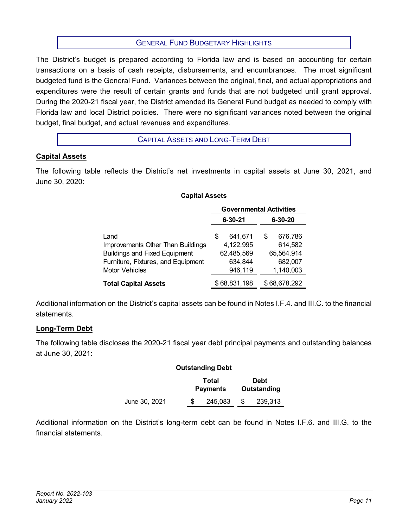#### GENERAL FUND BUDGETARY HIGHLIGHTS

The District's budget is prepared according to Florida law and is based on accounting for certain transactions on a basis of cash receipts, disbursements, and encumbrances. The most significant budgeted fund is the General Fund. Variances between the original, final, and actual appropriations and expenditures were the result of certain grants and funds that are not budgeted until grant approval. During the 2020-21 fiscal year, the District amended its General Fund budget as needed to comply with Florida law and local District policies. There were no significant variances noted between the original budget, final budget, and actual revenues and expenditures.

#### CAPITAL ASSETS AND LONG-TERM DEBT

## **Capital Assets**

The following table reflects the District's net investments in capital assets at June 30, 2021, and June 30, 2020:

#### **Capital Assets**

|                                                                                                                                                  | <b>Governmental Activities</b>                                  |                                                                |  |  |  |
|--------------------------------------------------------------------------------------------------------------------------------------------------|-----------------------------------------------------------------|----------------------------------------------------------------|--|--|--|
|                                                                                                                                                  | 6-30-21                                                         | 6-30-20                                                        |  |  |  |
| Land<br>Improvements Other Than Buildings<br><b>Buildings and Fixed Equipment</b><br>Furniture, Fixtures, and Equipment<br><b>Motor Vehicles</b> | 641,671<br>\$.<br>4,122,995<br>62,485,569<br>634,844<br>946,119 | 676,786<br>\$<br>614,582<br>65,564,914<br>682,007<br>1,140,003 |  |  |  |
| <b>Total Capital Assets</b>                                                                                                                      | \$68,831,198                                                    | \$68,678,292                                                   |  |  |  |

Additional information on the District's capital assets can be found in Notes I.F.4. and III.C. to the financial statements.

#### **Long-Term Debt**

The following table discloses the 2020-21 fiscal year debt principal payments and outstanding balances at June 30, 2021:

| <b>Outstanding Debt</b> |  |                                                        |     |         |  |
|-------------------------|--|--------------------------------------------------------|-----|---------|--|
|                         |  | <b>Debt</b><br>Total<br>Outstanding<br><b>Payments</b> |     |         |  |
| June 30, 2021           |  | 245,083                                                | \$. | 239,313 |  |

Additional information on the District's long-term debt can be found in Notes I.F.6. and III.G. to the financial statements.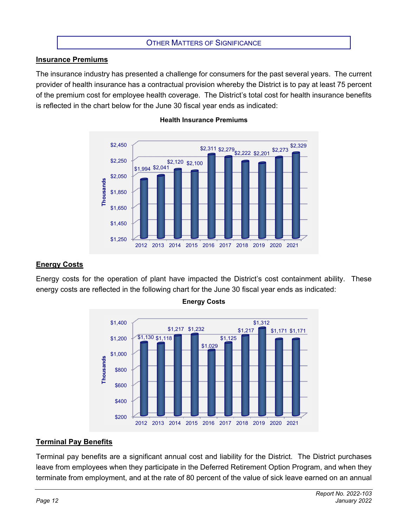#### OTHER MATTERS OF SIGNIFICANCE

#### **Insurance Premiums**

The insurance industry has presented a challenge for consumers for the past several years. The current provider of health insurance has a contractual provision whereby the District is to pay at least 75 percent of the premium cost for employee health coverage. The District's total cost for health insurance benefits is reflected in the chart below for the June 30 fiscal year ends as indicated:



#### **Health Insurance Premiums**

#### **Energy Costs**

Energy costs for the operation of plant have impacted the District's cost containment ability. These energy costs are reflected in the following chart for the June 30 fiscal year ends as indicated:



#### **Energy Costs**

#### **Terminal Pay Benefits**

Terminal pay benefits are a significant annual cost and liability for the District. The District purchases leave from employees when they participate in the Deferred Retirement Option Program, and when they terminate from employment, and at the rate of 80 percent of the value of sick leave earned on an annual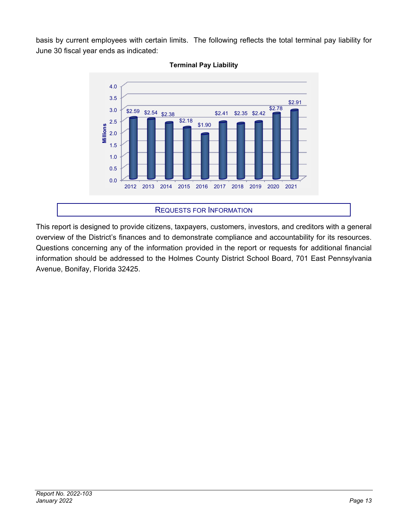basis by current employees with certain limits. The following reflects the total terminal pay liability for June 30 fiscal year ends as indicated:



**Terminal Pay Liability** 

This report is designed to provide citizens, taxpayers, customers, investors, and creditors with a general overview of the District's finances and to demonstrate compliance and accountability for its resources. Questions concerning any of the information provided in the report or requests for additional financial information should be addressed to the Holmes County District School Board, 701 East Pennsylvania Avenue, Bonifay, Florida 32425.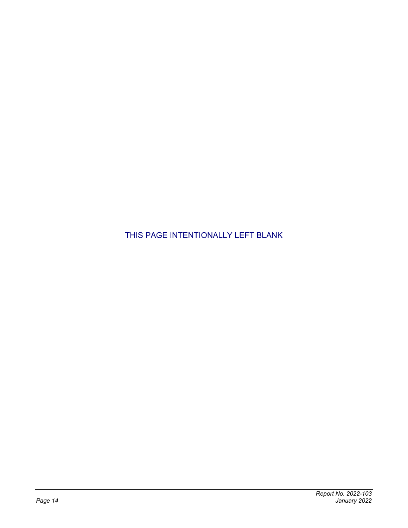THIS PAGE INTENTIONALLY LEFT BLANK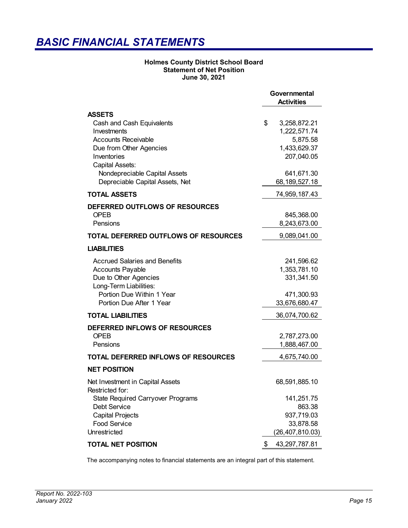## <span id="page-20-0"></span>*BASIC FINANCIAL STATEMENTS*

#### **Holmes County District School Board Statement of Net Position June 30, 2021**

|                                                     | Governmental<br><b>Activities</b> |
|-----------------------------------------------------|-----------------------------------|
| <b>ASSETS</b>                                       |                                   |
| Cash and Cash Equivalents                           | \$<br>3,258,872.21                |
| Investments                                         | 1,222,571.74                      |
| <b>Accounts Receivable</b>                          | 5,875.58                          |
| Due from Other Agencies                             | 1,433,629.37                      |
| Inventories                                         | 207,040.05                        |
| Capital Assets:                                     |                                   |
| Nondepreciable Capital Assets                       | 641,671.30                        |
| Depreciable Capital Assets, Net                     | 68,189,527.18                     |
| <b>TOTAL ASSETS</b>                                 | 74,959,187.43                     |
| DEFERRED OUTFLOWS OF RESOURCES                      |                                   |
| <b>OPEB</b>                                         | 845,368.00                        |
| Pensions                                            | 8,243,673.00                      |
| TOTAL DEFERRED OUTFLOWS OF RESOURCES                | 9,089,041.00                      |
| <b>LIABILITIES</b>                                  |                                   |
| <b>Accrued Salaries and Benefits</b>                | 241,596.62                        |
| <b>Accounts Payable</b>                             | 1,353,781.10                      |
| Due to Other Agencies<br>Long-Term Liabilities:     | 331,341.50                        |
| Portion Due Within 1 Year                           | 471,300.93                        |
| Portion Due After 1 Year                            | 33,676,680.47                     |
| <b>TOTAL LIABILITIES</b>                            | 36,074,700.62                     |
| DEFERRED INFLOWS OF RESOURCES                       |                                   |
| <b>OPEB</b>                                         | 2,787,273.00                      |
| Pensions                                            | 1,888,467.00                      |
| <b>TOTAL DEFERRED INFLOWS OF RESOURCES</b>          | 4,675,740.00                      |
| <b>NET POSITION</b>                                 |                                   |
| Net Investment in Capital Assets<br>Restricted for: | 68,591,885.10                     |
| <b>State Required Carryover Programs</b>            | 141,251.75                        |
| Debt Service                                        | 863.38                            |
| <b>Capital Projects</b>                             | 937,719.03                        |
| <b>Food Service</b>                                 | 33,878.58                         |
| Unrestricted                                        | (26, 407, 810.03)                 |
| <b>TOTAL NET POSITION</b>                           | \$<br>43,297,787.81               |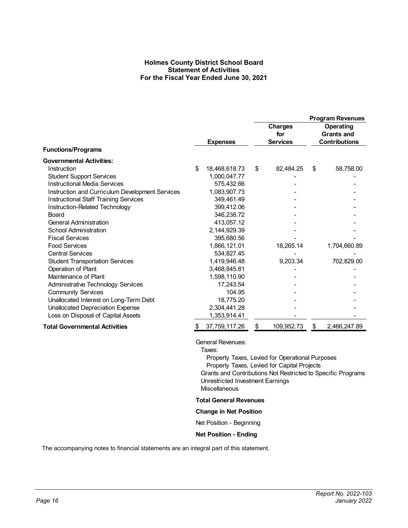#### **Holmes County District School Board Statement of Activities For the Fiscal Year Ended June 30, 2021**

<span id="page-21-0"></span>

|                                                 |                     |                       | <b>Program Revenues</b>               |
|-------------------------------------------------|---------------------|-----------------------|---------------------------------------|
|                                                 |                     | <b>Charges</b><br>for | <b>Operating</b><br><b>Grants and</b> |
|                                                 | <b>Expenses</b>     | <b>Services</b>       | <b>Contributions</b>                  |
| <b>Functions/Programs</b>                       |                     |                       |                                       |
| <b>Governmental Activities:</b>                 |                     |                       |                                       |
| Instruction                                     | \$<br>18,468,618.73 | \$<br>82,484.25       | \$<br>58,758.00                       |
| <b>Student Support Services</b>                 | 1,000,047.77        |                       |                                       |
| <b>Instructional Media Services</b>             | 575,432.66          |                       |                                       |
| Instruction and Curriculum Development Services | 1,083,907.73        |                       |                                       |
| <b>Instructional Staff Training Services</b>    | 349,461.49          |                       |                                       |
| Instruction-Related Technology                  | 399,412.06          |                       |                                       |
| Board                                           | 346,238.72          |                       |                                       |
| General Administration                          | 413,057.12          |                       |                                       |
| School Administration                           | 2,144,929.39        |                       |                                       |
| <b>Fiscal Services</b>                          | 395,680.56          |                       |                                       |
| <b>Food Services</b>                            | 1,866,121.01        | 18,265.14             | 1,704,660.89                          |
| <b>Central Services</b>                         | 534,827.45          |                       |                                       |
| <b>Student Transportation Services</b>          | 1,419,946.48        | 9,203.34              | 702,829.00                            |
| Operation of Plant                              | 3,468,845.81        |                       |                                       |
| Maintenance of Plant                            | 1,598,110.90        |                       |                                       |
| <b>Administrative Technology Services</b>       | 17.243.54           |                       |                                       |
| <b>Community Services</b>                       | 104.95              |                       |                                       |
| Unallocated Interest on Long-Term Debt          | 18,775.20           |                       |                                       |
| <b>Unallocated Depreciation Expense</b>         | 2,304,441.28        |                       |                                       |
| Loss on Disposal of Capital Assets              | 1,353,914.41        |                       |                                       |
| <b>Total Governmental Activities</b>            | \$<br>37,759,117.26 | \$<br>109,952.73      | \$<br>2,466,247.89                    |

General Revenues:

Taxes:

 Property Taxes, Levied for Operational Purposes Property Taxes, Levied for Capital Projects Grants and Contributions Not Restricted to Specific Programs Unrestricted Investment Earnings Miscellaneous

#### **Total General Revenues**

#### **Change in Net Position**

Net Position - Beginning

#### **Net Position - Ending**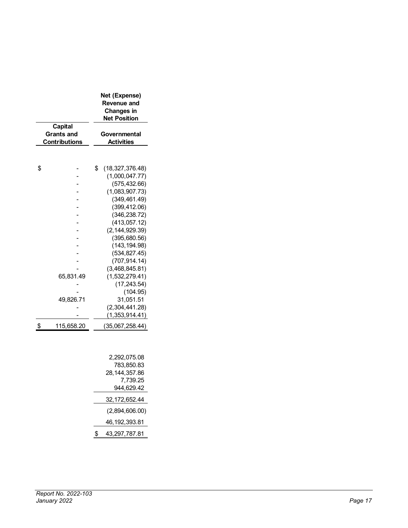| <b>Capital</b><br><b>Grants and</b><br><b>Contributions</b> | Net (Expense)<br>Revenue and<br><b>Changes in</b><br><b>Net Position</b><br>Governmental<br><b>Activities</b> |                   |  |  |
|-------------------------------------------------------------|---------------------------------------------------------------------------------------------------------------|-------------------|--|--|
|                                                             |                                                                                                               |                   |  |  |
| \$                                                          | \$                                                                                                            | (18, 327, 376.48) |  |  |
|                                                             |                                                                                                               | (1,000,047.77)    |  |  |
|                                                             |                                                                                                               | (575, 432.66)     |  |  |
|                                                             |                                                                                                               | (1,083,907.73)    |  |  |
|                                                             |                                                                                                               | (349, 461.49)     |  |  |
|                                                             |                                                                                                               | (399, 412.06)     |  |  |
|                                                             |                                                                                                               | (346, 238.72)     |  |  |
|                                                             |                                                                                                               | (413, 057.12)     |  |  |
|                                                             |                                                                                                               | (2, 144, 929.39)  |  |  |
|                                                             |                                                                                                               | (395, 680.56)     |  |  |
|                                                             |                                                                                                               | (143, 194.98)     |  |  |
|                                                             |                                                                                                               | (534, 827.45)     |  |  |
|                                                             |                                                                                                               | (707, 914.14)     |  |  |
|                                                             |                                                                                                               | (3,468,845.81)    |  |  |
| 65,831.49                                                   |                                                                                                               | (1,532,279.41)    |  |  |
|                                                             |                                                                                                               | (17, 243.54)      |  |  |
|                                                             |                                                                                                               | (104.95)          |  |  |
| 49,826.71                                                   |                                                                                                               | 31,051.51         |  |  |
|                                                             |                                                                                                               | (2,304,441.28)    |  |  |
|                                                             |                                                                                                               | (1,353,914.41)    |  |  |
| \$<br>115,658.20                                            |                                                                                                               | (35,067,258.44)   |  |  |
|                                                             |                                                                                                               |                   |  |  |
|                                                             |                                                                                                               |                   |  |  |

| 2,292,075.08        |
|---------------------|
| 783.850.83          |
| 28,144,357.86       |
| 7.739.25            |
| 944,629.42          |
| 32, 172, 652. 44    |
| (2,894,606.00)      |
| 46, 192, 393.81     |
| \$<br>43,297,787.81 |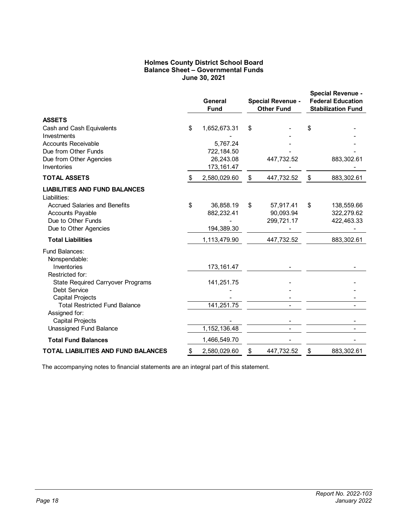#### **Holmes County District School Board Balance Sheet – Governmental Funds June 30, 2021**

<span id="page-23-0"></span>

|                                                       | General<br><b>Fund</b> | <b>Special Revenue -</b><br><b>Other Fund</b> |                           | <b>Special Revenue -</b><br><b>Federal Education</b><br><b>Stabilization Fund</b> |
|-------------------------------------------------------|------------------------|-----------------------------------------------|---------------------------|-----------------------------------------------------------------------------------|
| <b>ASSETS</b>                                         |                        |                                               |                           |                                                                                   |
| Cash and Cash Equivalents<br>Investments              | \$<br>1,652,673.31     | \$                                            | \$                        |                                                                                   |
| <b>Accounts Receivable</b>                            | 5,767.24               |                                               |                           |                                                                                   |
| Due from Other Funds                                  | 722.184.50             |                                               |                           |                                                                                   |
| Due from Other Agencies                               | 26,243.08              | 447,732.52                                    |                           | 883,302.61                                                                        |
| Inventories                                           | 173, 161.47            |                                               |                           |                                                                                   |
| <b>TOTAL ASSETS</b>                                   | \$<br>2,580,029.60     | \$<br>447,732.52                              | $\boldsymbol{\mathsf{S}}$ | 883,302.61                                                                        |
| <b>LIABILITIES AND FUND BALANCES</b><br>Liabilities:  |                        |                                               |                           |                                                                                   |
| <b>Accrued Salaries and Benefits</b>                  | \$<br>36,858.19        | \$<br>57,917.41                               | \$                        | 138,559.66                                                                        |
| <b>Accounts Payable</b>                               | 882,232.41             | 90,093.94                                     |                           | 322,279.62                                                                        |
| Due to Other Funds                                    |                        | 299,721.17                                    |                           | 422,463.33                                                                        |
| Due to Other Agencies                                 | 194,389.30             |                                               |                           |                                                                                   |
| <b>Total Liabilities</b>                              | 1,113,479.90           | 447,732.52                                    |                           | 883,302.61                                                                        |
| Fund Balances:                                        |                        |                                               |                           |                                                                                   |
| Nonspendable:<br>Inventories                          |                        |                                               |                           |                                                                                   |
| Restricted for:                                       | 173, 161.47            |                                               |                           |                                                                                   |
| <b>State Required Carryover Programs</b>              | 141,251.75             |                                               |                           |                                                                                   |
| Debt Service                                          |                        |                                               |                           |                                                                                   |
| <b>Capital Projects</b>                               |                        |                                               |                           |                                                                                   |
| <b>Total Restricted Fund Balance</b><br>Assigned for: | 141,251.75             |                                               |                           |                                                                                   |
| <b>Capital Projects</b>                               |                        |                                               |                           |                                                                                   |
| <b>Unassigned Fund Balance</b>                        | 1, 152, 136.48         |                                               |                           |                                                                                   |
| <b>Total Fund Balances</b>                            | 1,466,549.70           |                                               |                           |                                                                                   |
| TOTAL LIABILITIES AND FUND BALANCES                   | \$<br>2,580,029.60     | \$<br>447,732.52                              | \$                        | 883,302.61                                                                        |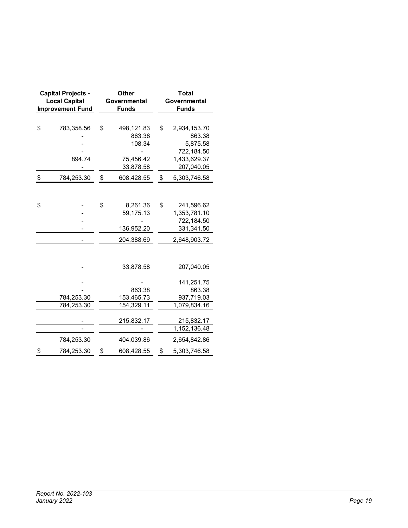| <b>Capital Projects -</b><br><b>Local Capital</b><br><b>Improvement Fund</b> |              | Other<br>Governmental<br><b>Funds</b>                    | <b>Total</b><br>Governmental<br><b>Funds</b>                                         |
|------------------------------------------------------------------------------|--------------|----------------------------------------------------------|--------------------------------------------------------------------------------------|
| \$<br>783,358.56                                                             | \$<br>894.74 | 498,121.83<br>863.38<br>108.34<br>75,456.42<br>33,878.58 | \$<br>2,934,153.70<br>863.38<br>5,875.58<br>722,184.50<br>1,433,629.37<br>207,040.05 |
| \$<br>784,253.30                                                             | \$           | 608,428.55                                               | \$<br>5,303,746.58                                                                   |
|                                                                              |              |                                                          |                                                                                      |
| \$                                                                           | \$           | 8,261.36<br>59,175.13<br>136,952.20                      | \$<br>241,596.62<br>1,353,781.10<br>722,184.50<br>331,341.50                         |
|                                                                              |              | 204,388.69                                               | 2,648,903.72                                                                         |
|                                                                              |              | 33,878.58                                                | 207,040.05                                                                           |
| 784,253.30<br>784,253.30                                                     |              | 863.38<br>153,465.73<br>154,329.11                       | 141,251.75<br>863.38<br>937,719.03<br>1,079,834.16                                   |
|                                                                              |              | 215,832.17                                               | 215,832.17<br>1,152,136.48                                                           |
| 784,253.30                                                                   |              | 404,039.86                                               | 2,654,842.86                                                                         |
| \$<br>784,253.30                                                             | \$           | 608,428.55                                               | \$<br>5,303,746.58                                                                   |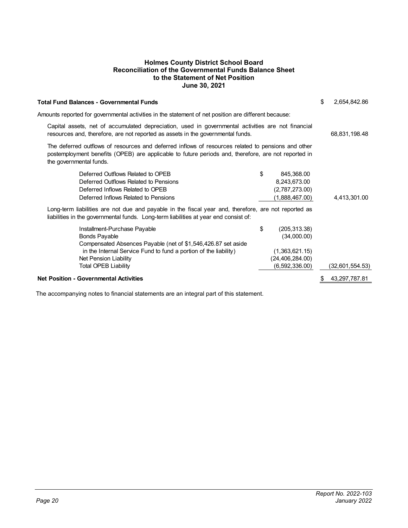#### **Holmes County District School Board Reconciliation of the Governmental Funds Balance Sheet to the Statement of Net Position June 30, 2021**

<span id="page-25-0"></span>

| <b>Total Fund Balances - Governmental Funds</b>                                                                                                                                                                                                                                                                                           | \$<br>2,654,842.86 |
|-------------------------------------------------------------------------------------------------------------------------------------------------------------------------------------------------------------------------------------------------------------------------------------------------------------------------------------------|--------------------|
| Amounts reported for governmental activities in the statement of net position are different because:                                                                                                                                                                                                                                      |                    |
| Capital assets, net of accumulated depreciation, used in governmental activities are not financial<br>resources and, therefore, are not reported as assets in the governmental funds.                                                                                                                                                     | 68,831,198.48      |
| The deferred outflows of resources and deferred inflows of resources related to pensions and other<br>postemployment benefits (OPEB) are applicable to future periods and, therefore, are not reported in<br>the governmental funds.                                                                                                      |                    |
| Deferred Outflows Related to OPFB<br>\$<br>845,368.00<br>Deferred Outflows Related to Pensions<br>8,243,673.00<br>Deferred Inflows Related to OPEB<br>(2,787,273.00)<br>Deferred Inflows Related to Pensions<br>(1,888,467.00)                                                                                                            | 4,413,301.00       |
| Long-term liabilities are not due and payable in the fiscal year and, therefore, are not reported as<br>liabilities in the governmental funds. Long-term liabilities at year end consist of:                                                                                                                                              |                    |
| \$<br>Installment-Purchase Payable<br>(205, 313.38)<br><b>Bonds Payable</b><br>(34,000.00)<br>Compensated Absences Payable (net of \$1,546,426.87 set aside<br>in the Internal Service Fund to fund a portion of the liability)<br>(1,363,621.15)<br>(24, 406, 284.00)<br>Net Pension Liability<br>(6,592,336.00)<br>Total OPEB Liability | (32,601,554.53)    |
| <b>Net Position - Governmental Activities</b>                                                                                                                                                                                                                                                                                             | 43,297,787.81      |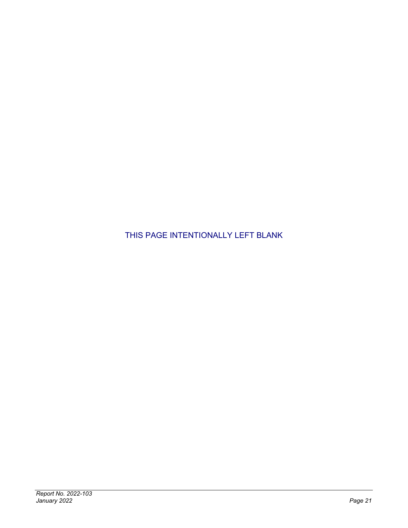THIS PAGE INTENTIONALLY LEFT BLANK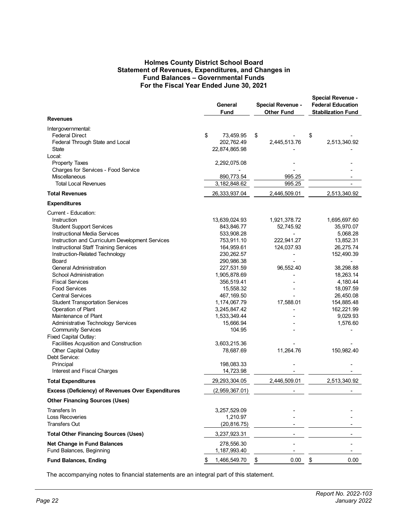#### **Holmes County District School Board Statement of Revenues, Expenditures, and Changes in Fund Balances – Governmental Funds For the Fiscal Year Ended June 30, 2021**

<span id="page-27-0"></span>

|                                                                                                                                                                                                                                                                                                                                                                                                                                                                                                                                                                                                                                                                                               | General<br>Fund                                                                                                                                                                                                                                                                              | <b>Special Revenue -</b><br><b>Other Fund</b>                                                                            | <b>Special Revenue -</b><br><b>Federal Education</b><br><b>Stabilization Fund</b>                                                                                                                               |
|-----------------------------------------------------------------------------------------------------------------------------------------------------------------------------------------------------------------------------------------------------------------------------------------------------------------------------------------------------------------------------------------------------------------------------------------------------------------------------------------------------------------------------------------------------------------------------------------------------------------------------------------------------------------------------------------------|----------------------------------------------------------------------------------------------------------------------------------------------------------------------------------------------------------------------------------------------------------------------------------------------|--------------------------------------------------------------------------------------------------------------------------|-----------------------------------------------------------------------------------------------------------------------------------------------------------------------------------------------------------------|
| <b>Revenues</b>                                                                                                                                                                                                                                                                                                                                                                                                                                                                                                                                                                                                                                                                               |                                                                                                                                                                                                                                                                                              |                                                                                                                          |                                                                                                                                                                                                                 |
| Intergovernmental:<br><b>Federal Direct</b><br>Federal Through State and Local<br>State                                                                                                                                                                                                                                                                                                                                                                                                                                                                                                                                                                                                       | \$<br>73,459.95<br>202,762.49<br>22,874,865.98                                                                                                                                                                                                                                               | \$<br>2,445,513.76                                                                                                       | \$<br>2,513,340.92                                                                                                                                                                                              |
| Local:<br><b>Property Taxes</b><br>Charges for Services - Food Service<br>Miscellaneous<br><b>Total Local Revenues</b>                                                                                                                                                                                                                                                                                                                                                                                                                                                                                                                                                                        | 2,292,075.08<br>890,773.54<br>3, 182, 848.62                                                                                                                                                                                                                                                 | 995.25<br>995.25                                                                                                         |                                                                                                                                                                                                                 |
| <b>Total Revenues</b>                                                                                                                                                                                                                                                                                                                                                                                                                                                                                                                                                                                                                                                                         | 26, 333, 937.04                                                                                                                                                                                                                                                                              | 2,446,509.01                                                                                                             | 2,513,340.92                                                                                                                                                                                                    |
| <b>Expenditures</b>                                                                                                                                                                                                                                                                                                                                                                                                                                                                                                                                                                                                                                                                           |                                                                                                                                                                                                                                                                                              |                                                                                                                          |                                                                                                                                                                                                                 |
| Current - Education:<br>Instruction<br><b>Student Support Services</b><br><b>Instructional Media Services</b><br>Instruction and Curriculum Development Services<br><b>Instructional Staff Training Services</b><br>Instruction-Related Technology<br>Board<br><b>General Administration</b><br>School Administration<br><b>Fiscal Services</b><br><b>Food Services</b><br><b>Central Services</b><br><b>Student Transportation Services</b><br>Operation of Plant<br>Maintenance of Plant<br>Administrative Technology Services<br><b>Community Services</b><br>Fixed Capital Outlay:<br>Facilities Acqusition and Construction<br><b>Other Capital Outlay</b><br>Debt Service:<br>Principal | 13,639,024.93<br>843,846.77<br>533,908.28<br>753,911.10<br>164,959.61<br>230, 262.57<br>290,986.38<br>227,531.59<br>1,905,878.69<br>356,519.41<br>15,558.32<br>467, 169.50<br>1,174,067.79<br>3,245,847.42<br>1,533,349.44<br>15,666.94<br>104.95<br>3,603,215.36<br>78,687.69<br>198,083.33 | 1,921,378.72<br>52,745.92<br>$\overline{\phantom{a}}$<br>222,941.27<br>124,037.93<br>96,552.40<br>17,588.01<br>11,264.76 | 1,695,697.60<br>35,970.07<br>5,068.28<br>13,852.31<br>26,275.74<br>152,490.39<br>38,298.88<br>18,263.14<br>4,180.44<br>18,097.59<br>26,450.08<br>154,885.48<br>162,221.99<br>9,029.93<br>1,576.60<br>150,982.40 |
| Interest and Fiscal Charges                                                                                                                                                                                                                                                                                                                                                                                                                                                                                                                                                                                                                                                                   | 14,723.98                                                                                                                                                                                                                                                                                    |                                                                                                                          |                                                                                                                                                                                                                 |
| <b>Total Expenditures</b>                                                                                                                                                                                                                                                                                                                                                                                                                                                                                                                                                                                                                                                                     | 29, 293, 304.05                                                                                                                                                                                                                                                                              | 2,446,509.01                                                                                                             | 2,513,340.92                                                                                                                                                                                                    |
| <b>Excess (Deficiency) of Revenues Over Expenditures</b>                                                                                                                                                                                                                                                                                                                                                                                                                                                                                                                                                                                                                                      | (2,959,367.01)                                                                                                                                                                                                                                                                               |                                                                                                                          |                                                                                                                                                                                                                 |
| <b>Other Financing Sources (Uses)</b>                                                                                                                                                                                                                                                                                                                                                                                                                                                                                                                                                                                                                                                         |                                                                                                                                                                                                                                                                                              |                                                                                                                          |                                                                                                                                                                                                                 |
| Transfers In<br><b>Loss Recoveries</b><br><b>Transfers Out</b>                                                                                                                                                                                                                                                                                                                                                                                                                                                                                                                                                                                                                                | 3,257,529.09<br>1,210.97<br>(20, 816.75)                                                                                                                                                                                                                                                     |                                                                                                                          |                                                                                                                                                                                                                 |
| <b>Total Other Financing Sources (Uses)</b>                                                                                                                                                                                                                                                                                                                                                                                                                                                                                                                                                                                                                                                   | 3,237,923.31                                                                                                                                                                                                                                                                                 |                                                                                                                          |                                                                                                                                                                                                                 |
| <b>Net Change in Fund Balances</b><br>Fund Balances, Beginning                                                                                                                                                                                                                                                                                                                                                                                                                                                                                                                                                                                                                                | 278,556.30<br>1,187,993.40                                                                                                                                                                                                                                                                   |                                                                                                                          |                                                                                                                                                                                                                 |
| <b>Fund Balances, Ending</b>                                                                                                                                                                                                                                                                                                                                                                                                                                                                                                                                                                                                                                                                  | 1,466,549.70<br>\$                                                                                                                                                                                                                                                                           | 0.00<br>\$                                                                                                               | \$<br>0.00                                                                                                                                                                                                      |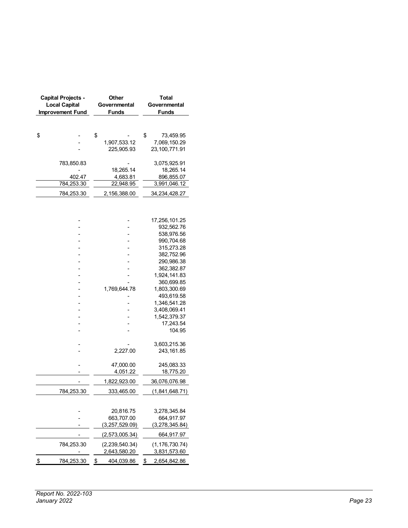| <b>Capital Projects -</b><br><b>Local Capital</b><br><b>Improvement Fund</b> |                                                  | Other<br>Governmental<br><b>Funds</b>                                                                       | Total<br>Governmental<br><b>Funds</b>                                                                                                                                                                                                    |
|------------------------------------------------------------------------------|--------------------------------------------------|-------------------------------------------------------------------------------------------------------------|------------------------------------------------------------------------------------------------------------------------------------------------------------------------------------------------------------------------------------------|
| \$                                                                           |                                                  | \$<br>1,907,533.12<br>225,905.93                                                                            | \$<br>73,459.95<br>7,069,150.29<br>23,100,771.91                                                                                                                                                                                         |
|                                                                              | 783,850.83<br>402.47<br>784,253.30<br>784,253.30 | 18,265.14<br>4,683.81<br>22,948.95<br>2,156,388.00                                                          | 3,075,925.91<br>18,265.14<br>896,855.07<br>3,991,046.12<br>34, 234, 428. 27                                                                                                                                                              |
|                                                                              |                                                  | 1,769,644.78                                                                                                | 17,256,101.25<br>932,562.76<br>538,976.56<br>990,704.68<br>315,273.28<br>382,752.96<br>290,986.38<br>362,382.87<br>1,924,141.83<br>360,699.85<br>1,803,300.69<br>493,619.58<br>1,346,541.28<br>3,408,069.41<br>1,542,379.37<br>17,243.54 |
|                                                                              |                                                  | 2,227.00<br>47,000.00<br>4,051.22<br>1,822,923.00                                                           | 104.95<br>3,603,215.36<br>243, 161.85<br>245,083.33<br>18,775.20<br>36,076,076.98                                                                                                                                                        |
|                                                                              | 784,253.30<br>784,253.30                         | 333,465.00<br>20,816.75<br>663,707.00<br>(3,257,529.09)<br>(2,573,005.34)<br>(2,239,540.34)<br>2,643,580.20 | (1,841,648.71)<br>3,278,345.84<br>664,917.97<br>(3,278,345.84)<br>664,917.97<br>(1,176,730.74)<br>3,831,573.60                                                                                                                           |
| \$                                                                           | 784,253.30                                       | \$<br>404,039.86                                                                                            | \$<br>2,654,842.86                                                                                                                                                                                                                       |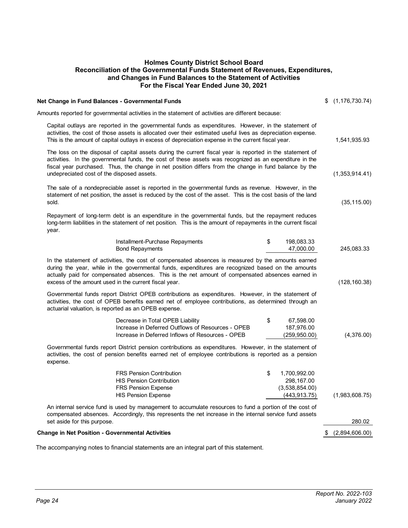#### <span id="page-29-0"></span>**Holmes County District School Board Reconciliation of the Governmental Funds Statement of Revenues, Expenditures, and Changes in Fund Balances to the Statement of Activities For the Fiscal Year Ended June 30, 2021**

| Net Change in Fund Balances - Governmental Funds                                                                                                                                                                                                                                                                                                                             | (1, 176, 730.74)<br>\$ |
|------------------------------------------------------------------------------------------------------------------------------------------------------------------------------------------------------------------------------------------------------------------------------------------------------------------------------------------------------------------------------|------------------------|
| Amounts reported for governmental activities in the statement of activities are different because:                                                                                                                                                                                                                                                                           |                        |
| Capital outlays are reported in the governmental funds as expenditures. However, in the statement of<br>activities, the cost of those assets is allocated over their estimated useful lives as depreciation expense.<br>This is the amount of capital outlays in excess of depreciation expense in the current fiscal year.                                                  | 1,541,935.93           |
| The loss on the disposal of capital assets during the current fiscal year is reported in the statement of<br>activities. In the governmental funds, the cost of these assets was recognized as an expenditure in the<br>fiscal year purchased. Thus, the change in net position differs from the change in fund balance by the<br>undepreciated cost of the disposed assets. | (1,353,914.41)         |
| The sale of a nondepreciable asset is reported in the governmental funds as revenue. However, in the<br>statement of net position, the asset is reduced by the cost of the asset. This is the cost basis of the land<br>sold.                                                                                                                                                | (35, 115.00)           |
| Repayment of long-term debt is an expenditure in the governmental funds, but the repayment reduces<br>long-term liabilities in the statement of net position. This is the amount of repayments in the current fiscal<br>year.                                                                                                                                                |                        |
| \$<br>Installment-Purchase Repayments<br>198,083.33<br>47,000.00<br><b>Bond Repayments</b>                                                                                                                                                                                                                                                                                   | 245,083.33             |
| In the statement of activities, the cost of compensated absences is measured by the amounts earned<br>during the year, while in the governmental funds, expenditures are recognized based on the amounts<br>actually paid for compensated absences. This is the net amount of compensated absences earned in<br>excess of the amount used in the current fiscal year.        | (128, 160.38)          |
| Governmental funds report District OPEB contributions as expenditures. However, in the statement of<br>activities, the cost of OPEB benefits earned net of employee contributions, as determined through an<br>actuarial valuation, is reported as an OPEB expense.                                                                                                          |                        |
| Decrease in Total OPEB Liability<br>\$<br>67,598.00<br>Increase in Deferred Outflows of Resources - OPEB<br>187,976.00<br>Increase in Deferred Inflows of Resources - OPEB<br>(259,950.00)                                                                                                                                                                                   | (4,376.00)             |
| Governmental funds report District pension contributions as expenditures. However, in the statement of<br>activities, the cost of pension benefits earned net of employee contributions is reported as a pension<br>expense.                                                                                                                                                 |                        |
| <b>FRS Pension Contribution</b><br>\$<br>1,700,992.00<br><b>HIS Pension Contribution</b><br>298,167.00<br>(3,538,854.00)<br><b>FRS Pension Expense</b><br>(443, 913.75)<br><b>HIS Pension Expense</b>                                                                                                                                                                        | (1,983,608.75)         |
| An internal service fund is used by management to accumulate resources to fund a portion of the cost of<br>compensated absences. Accordingly, this represents the net increase in the internal service fund assets<br>set aside for this purpose.                                                                                                                            | 280.02                 |
| <b>Change in Net Position - Governmental Activities</b>                                                                                                                                                                                                                                                                                                                      | (2,894,606.00)         |
|                                                                                                                                                                                                                                                                                                                                                                              |                        |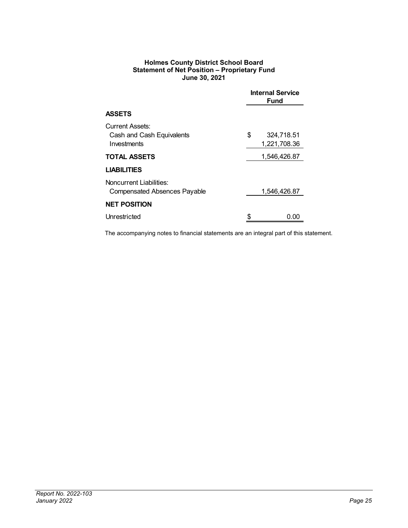#### **Holmes County District School Board Statement of Net Position – Proprietary Fund June 30, 2021**

<span id="page-30-0"></span>

|                                     | <b>Internal Service</b><br><b>Fund</b> |  |  |
|-------------------------------------|----------------------------------------|--|--|
| <b>ASSETS</b>                       |                                        |  |  |
| Current Assets:                     |                                        |  |  |
| Cash and Cash Equivalents           | \$<br>324,718.51                       |  |  |
| Investments                         | 1,221,708.36                           |  |  |
| <b>TOTAL ASSETS</b>                 | 1,546,426.87                           |  |  |
| <b>LIABILITIES</b>                  |                                        |  |  |
| Noncurrent Liabilities:             |                                        |  |  |
| <b>Compensated Absences Payable</b> | 1,546,426.87                           |  |  |
| <b>NET POSITION</b>                 |                                        |  |  |
| Unrestricted                        | \$<br>0.00                             |  |  |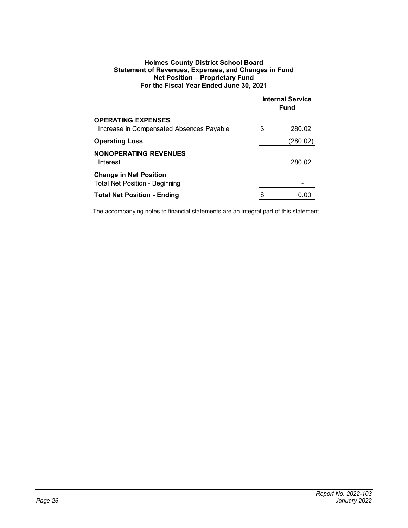#### <span id="page-31-0"></span>**Holmes County District School Board Statement of Revenues, Expenses, and Changes in Fund Net Position – Proprietary Fund For the Fiscal Year Ended June 30, 2021**

|                                                                       | <b>Internal Service</b><br>Fund |
|-----------------------------------------------------------------------|---------------------------------|
| <b>OPERATING EXPENSES</b><br>Increase in Compensated Absences Payable | \$<br>280.02                    |
| <b>Operating Loss</b>                                                 | (280.02)                        |
| <b>NONOPERATING REVENUES</b><br>Interest                              | 280.02                          |
| <b>Change in Net Position</b><br>Total Net Position - Beginning       |                                 |
| Total Net Position - Ending                                           | \$<br>0.00                      |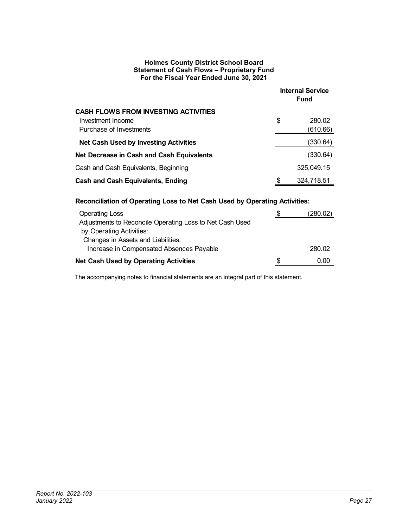#### **Holmes County District School Board Statement of Cash Flows – Proprietary Fund For the Fiscal Year Ended June 30, 2021**

<span id="page-32-0"></span>

|                                                                                             | <b>Internal Service</b><br><b>Fund</b> |
|---------------------------------------------------------------------------------------------|----------------------------------------|
| <b>CASH FLOWS FROM INVESTING ACTIVITIES</b><br>Investment Income<br>Purchase of Investments | \$<br>280.02<br>(610.66)               |
| <b>Net Cash Used by Investing Activities</b>                                                | (330.64)                               |
| Net Decrease in Cash and Cash Equivalents                                                   | (330.64)                               |
| Cash and Cash Equivalents, Beginning                                                        | 325,049.15                             |
| <b>Cash and Cash Equivalents, Ending</b>                                                    | \$<br>324,718.51                       |

#### **Reconciliation of Operating Loss to Net Cash Used by Operating Activities:**

| <b>Operating Loss</b>                                    | S | (280.02) |
|----------------------------------------------------------|---|----------|
| Adjustments to Reconcile Operating Loss to Net Cash Used |   |          |
| by Operating Activities:                                 |   |          |
| Changes in Assets and Liabilities:                       |   |          |
| Increase in Compensated Absences Payable                 |   | 280.02   |
| <b>Net Cash Used by Operating Activities</b>             | S | 0.00     |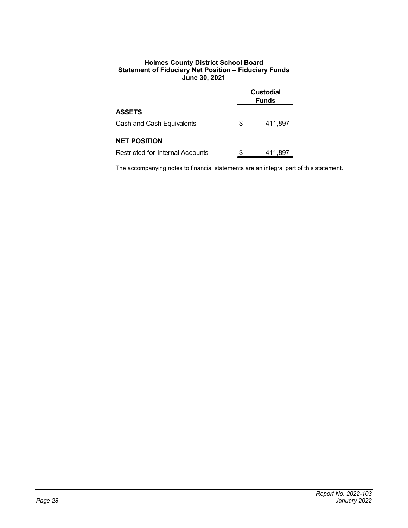#### <span id="page-33-0"></span>**Holmes County District School Board Statement of Fiduciary Net Position – Fiduciary Funds June 30, 2021**

|                                            | <b>Custodial</b><br><b>Funds</b> |         |  |
|--------------------------------------------|----------------------------------|---------|--|
| <b>ASSETS</b><br>Cash and Cash Equivalents | S                                | 411,897 |  |
| <b>NET POSITION</b>                        |                                  |         |  |
| Restricted for Internal Accounts           | \$                               | 411,897 |  |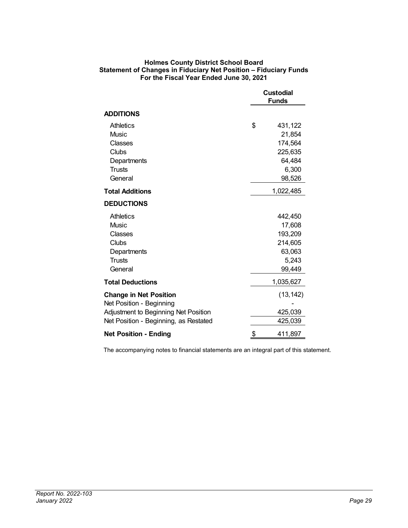|                                                                                                                                            | <b>Custodial</b><br><b>Funds</b>                                     |  |
|--------------------------------------------------------------------------------------------------------------------------------------------|----------------------------------------------------------------------|--|
| <b>ADDITIONS</b>                                                                                                                           |                                                                      |  |
| <b>Athletics</b><br>Music<br><b>Classes</b><br>Clubs<br>Departments<br><b>Trusts</b>                                                       | \$<br>431,122<br>21,854<br>174,564<br>225,635<br>64,484<br>6,300     |  |
| General                                                                                                                                    | 98,526                                                               |  |
| <b>Total Additions</b>                                                                                                                     | 1,022,485                                                            |  |
| <b>DEDUCTIONS</b>                                                                                                                          |                                                                      |  |
| <b>Athletics</b><br><b>Music</b><br><b>Classes</b><br>Clubs<br>Departments<br><b>Trusts</b><br>General                                     | 442,450<br>17,608<br>193,209<br>214,605<br>63,063<br>5,243<br>99,449 |  |
| <b>Total Deductions</b>                                                                                                                    | 1,035,627                                                            |  |
| <b>Change in Net Position</b><br>Net Position - Beginning<br>Adjustment to Beginning Net Position<br>Net Position - Beginning, as Restated | (13, 142)<br>425,039<br>425,039                                      |  |
| <b>Net Position - Ending</b>                                                                                                               | \$<br>411,897                                                        |  |

#### <span id="page-34-0"></span>**Holmes County District School Board Statement of Changes in Fiduciary Net Position – Fiduciary Funds For the Fiscal Year Ended June 30, 2021**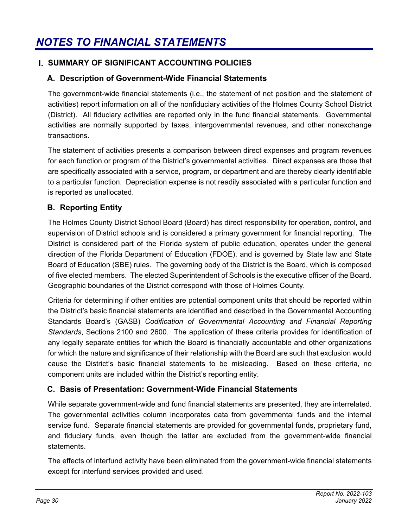## <span id="page-35-0"></span> **SUMMARY OF SIGNIFICANT ACCOUNTING POLICIES**

## **A. Description of Government-Wide Financial Statements**

The government-wide financial statements (i.e., the statement of net position and the statement of activities) report information on all of the nonfiduciary activities of the Holmes County School District (District). All fiduciary activities are reported only in the fund financial statements. Governmental activities are normally supported by taxes, intergovernmental revenues, and other nonexchange transactions.

The statement of activities presents a comparison between direct expenses and program revenues for each function or program of the District's governmental activities. Direct expenses are those that are specifically associated with a service, program, or department and are thereby clearly identifiable to a particular function. Depreciation expense is not readily associated with a particular function and is reported as unallocated.

## **B. Reporting Entity**

The Holmes County District School Board (Board) has direct responsibility for operation, control, and supervision of District schools and is considered a primary government for financial reporting. The District is considered part of the Florida system of public education, operates under the general direction of the Florida Department of Education (FDOE), and is governed by State law and State Board of Education (SBE) rules. The governing body of the District is the Board, which is composed of five elected members. The elected Superintendent of Schools is the executive officer of the Board. Geographic boundaries of the District correspond with those of Holmes County.

Criteria for determining if other entities are potential component units that should be reported within the District's basic financial statements are identified and described in the Governmental Accounting Standards Board's (GASB) *Codification of Governmental Accounting and Financial Reporting Standards*, Sections 2100 and 2600. The application of these criteria provides for identification of any legally separate entities for which the Board is financially accountable and other organizations for which the nature and significance of their relationship with the Board are such that exclusion would cause the District's basic financial statements to be misleading. Based on these criteria, no component units are included within the District's reporting entity.

## **C. Basis of Presentation: Government-Wide Financial Statements**

While separate government-wide and fund financial statements are presented, they are interrelated. The governmental activities column incorporates data from governmental funds and the internal service fund. Separate financial statements are provided for governmental funds, proprietary fund, and fiduciary funds, even though the latter are excluded from the government-wide financial statements.

The effects of interfund activity have been eliminated from the government-wide financial statements except for interfund services provided and used.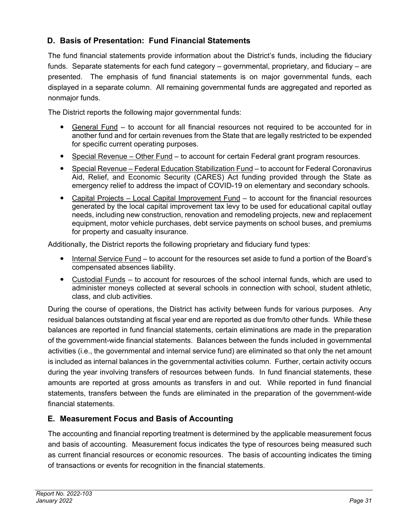### **D. Basis of Presentation: Fund Financial Statements**

The fund financial statements provide information about the District's funds, including the fiduciary funds. Separate statements for each fund category – governmental, proprietary, and fiduciary – are presented. The emphasis of fund financial statements is on major governmental funds, each displayed in a separate column. All remaining governmental funds are aggregated and reported as nonmajor funds.

The District reports the following major governmental funds:

- General Fund to account for all financial resources not required to be accounted for in another fund and for certain revenues from the State that are legally restricted to be expended for specific current operating purposes.
- Special Revenue Other Fund to account for certain Federal grant program resources.
- Special Revenue Federal Education Stabilization Fund to account for Federal Coronavirus Aid, Relief, and Economic Security (CARES) Act funding provided through the State as emergency relief to address the impact of COVID-19 on elementary and secondary schools.
- Capital Projects Local Capital Improvement Fund to account for the financial resources generated by the local capital improvement tax levy to be used for educational capital outlay needs, including new construction, renovation and remodeling projects, new and replacement equipment, motor vehicle purchases, debt service payments on school buses, and premiums for property and casualty insurance.

Additionally, the District reports the following proprietary and fiduciary fund types:

- Internal Service Fund to account for the resources set aside to fund a portion of the Board's compensated absences liability.
- Custodial Funds to account for resources of the school internal funds, which are used to administer moneys collected at several schools in connection with school, student athletic, class, and club activities.

During the course of operations, the District has activity between funds for various purposes. Any residual balances outstanding at fiscal year end are reported as due from/to other funds. While these balances are reported in fund financial statements, certain eliminations are made in the preparation of the government-wide financial statements. Balances between the funds included in governmental activities (i.e., the governmental and internal service fund) are eliminated so that only the net amount is included as internal balances in the governmental activities column. Further, certain activity occurs during the year involving transfers of resources between funds. In fund financial statements, these amounts are reported at gross amounts as transfers in and out. While reported in fund financial statements, transfers between the funds are eliminated in the preparation of the government-wide financial statements.

#### **E. Measurement Focus and Basis of Accounting**

The accounting and financial reporting treatment is determined by the applicable measurement focus and basis of accounting. Measurement focus indicates the type of resources being measured such as current financial resources or economic resources. The basis of accounting indicates the timing of transactions or events for recognition in the financial statements.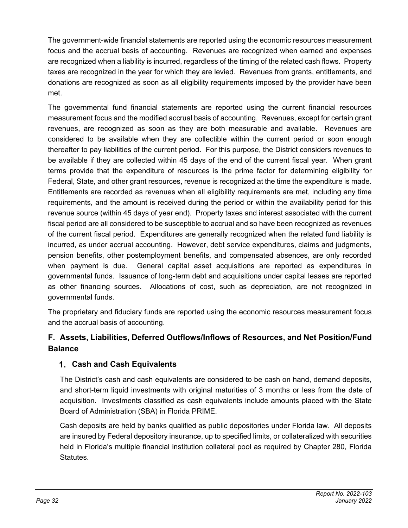The government-wide financial statements are reported using the economic resources measurement focus and the accrual basis of accounting. Revenues are recognized when earned and expenses are recognized when a liability is incurred, regardless of the timing of the related cash flows. Property taxes are recognized in the year for which they are levied. Revenues from grants, entitlements, and donations are recognized as soon as all eligibility requirements imposed by the provider have been met.

The governmental fund financial statements are reported using the current financial resources measurement focus and the modified accrual basis of accounting. Revenues, except for certain grant revenues, are recognized as soon as they are both measurable and available. Revenues are considered to be available when they are collectible within the current period or soon enough thereafter to pay liabilities of the current period. For this purpose, the District considers revenues to be available if they are collected within 45 days of the end of the current fiscal year. When grant terms provide that the expenditure of resources is the prime factor for determining eligibility for Federal, State, and other grant resources, revenue is recognized at the time the expenditure is made. Entitlements are recorded as revenues when all eligibility requirements are met, including any time requirements, and the amount is received during the period or within the availability period for this revenue source (within 45 days of year end). Property taxes and interest associated with the current fiscal period are all considered to be susceptible to accrual and so have been recognized as revenues of the current fiscal period. Expenditures are generally recognized when the related fund liability is incurred, as under accrual accounting. However, debt service expenditures, claims and judgments, pension benefits, other postemployment benefits, and compensated absences, are only recorded when payment is due. General capital asset acquisitions are reported as expenditures in governmental funds. Issuance of long-term debt and acquisitions under capital leases are reported as other financing sources. Allocations of cost, such as depreciation, are not recognized in governmental funds.

The proprietary and fiduciary funds are reported using the economic resources measurement focus and the accrual basis of accounting.

## **F. Assets, Liabilities, Deferred Outflows/Inflows of Resources, and Net Position/Fund Balance**

#### **Cash and Cash Equivalents**

The District's cash and cash equivalents are considered to be cash on hand, demand deposits, and short-term liquid investments with original maturities of 3 months or less from the date of acquisition. Investments classified as cash equivalents include amounts placed with the State Board of Administration (SBA) in Florida PRIME.

Cash deposits are held by banks qualified as public depositories under Florida law. All deposits are insured by Federal depository insurance, up to specified limits, or collateralized with securities held in Florida's multiple financial institution collateral pool as required by Chapter 280, Florida Statutes.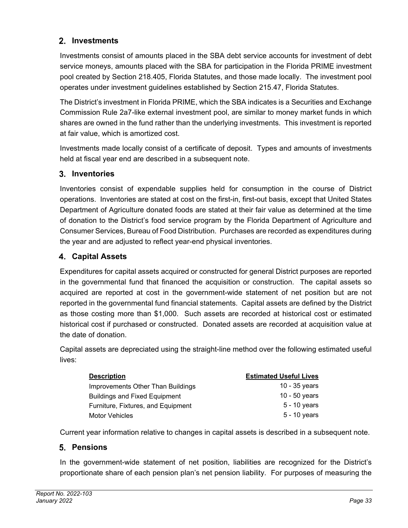#### **Investments**

Investments consist of amounts placed in the SBA debt service accounts for investment of debt service moneys, amounts placed with the SBA for participation in the Florida PRIME investment pool created by Section 218.405, Florida Statutes, and those made locally. The investment pool operates under investment guidelines established by Section 215.47, Florida Statutes.

The District's investment in Florida PRIME, which the SBA indicates is a Securities and Exchange Commission Rule 2a7-like external investment pool, are similar to money market funds in which shares are owned in the fund rather than the underlying investments. This investment is reported at fair value, which is amortized cost.

Investments made locally consist of a certificate of deposit. Types and amounts of investments held at fiscal year end are described in a subsequent note.

#### **Inventories**

Inventories consist of expendable supplies held for consumption in the course of District operations. Inventories are stated at cost on the first-in, first-out basis, except that United States Department of Agriculture donated foods are stated at their fair value as determined at the time of donation to the District's food service program by the Florida Department of Agriculture and Consumer Services, Bureau of Food Distribution. Purchases are recorded as expenditures during the year and are adjusted to reflect year-end physical inventories.

#### **Capital Assets**

Expenditures for capital assets acquired or constructed for general District purposes are reported in the governmental fund that financed the acquisition or construction. The capital assets so acquired are reported at cost in the government-wide statement of net position but are not reported in the governmental fund financial statements. Capital assets are defined by the District as those costing more than \$1,000. Such assets are recorded at historical cost or estimated historical cost if purchased or constructed. Donated assets are recorded at acquisition value at the date of donation.

Capital assets are depreciated using the straight-line method over the following estimated useful lives:

| <b>Description</b>                   | <b>Estimated Useful Lives</b> |
|--------------------------------------|-------------------------------|
| Improvements Other Than Buildings    | 10 - 35 years                 |
| <b>Buildings and Fixed Equipment</b> | 10 - 50 years                 |
| Furniture, Fixtures, and Equipment   | $5 - 10$ years                |
| Motor Vehicles                       | $5 - 10$ years                |

Current year information relative to changes in capital assets is described in a subsequent note.

#### **Pensions**

In the government-wide statement of net position, liabilities are recognized for the District's proportionate share of each pension plan's net pension liability. For purposes of measuring the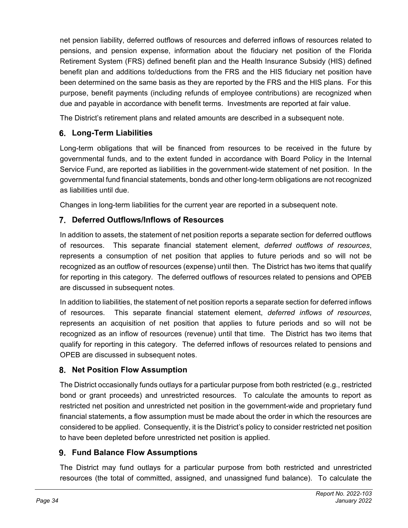net pension liability, deferred outflows of resources and deferred inflows of resources related to pensions, and pension expense, information about the fiduciary net position of the Florida Retirement System (FRS) defined benefit plan and the Health Insurance Subsidy (HIS) defined benefit plan and additions to/deductions from the FRS and the HIS fiduciary net position have been determined on the same basis as they are reported by the FRS and the HIS plans. For this purpose, benefit payments (including refunds of employee contributions) are recognized when due and payable in accordance with benefit terms. Investments are reported at fair value.

The District's retirement plans and related amounts are described in a subsequent note.

#### **Long-Term Liabilities**

Long-term obligations that will be financed from resources to be received in the future by governmental funds, and to the extent funded in accordance with Board Policy in the Internal Service Fund, are reported as liabilities in the government-wide statement of net position. In the governmental fund financial statements, bonds and other long-term obligations are not recognized as liabilities until due.

Changes in long-term liabilities for the current year are reported in a subsequent note.

#### **Deferred Outflows/Inflows of Resources**

In addition to assets, the statement of net position reports a separate section for deferred outflows of resources. This separate financial statement element, *deferred outflows of resources*, represents a consumption of net position that applies to future periods and so will not be recognized as an outflow of resources (expense) until then. The District has two items that qualify for reporting in this category. The deferred outflows of resources related to pensions and OPEB are discussed in subsequent notes.

In addition to liabilities, the statement of net position reports a separate section for deferred inflows of resources. This separate financial statement element, *deferred inflows of resources*, represents an acquisition of net position that applies to future periods and so will not be recognized as an inflow of resources (revenue) until that time. The District has two items that qualify for reporting in this category. The deferred inflows of resources related to pensions and OPEB are discussed in subsequent notes.

#### **Net Position Flow Assumption**

The District occasionally funds outlays for a particular purpose from both restricted (e.g., restricted bond or grant proceeds) and unrestricted resources. To calculate the amounts to report as restricted net position and unrestricted net position in the government-wide and proprietary fund financial statements, a flow assumption must be made about the order in which the resources are considered to be applied. Consequently, it is the District's policy to consider restricted net position to have been depleted before unrestricted net position is applied.

#### **Fund Balance Flow Assumptions**

The District may fund outlays for a particular purpose from both restricted and unrestricted resources (the total of committed, assigned, and unassigned fund balance). To calculate the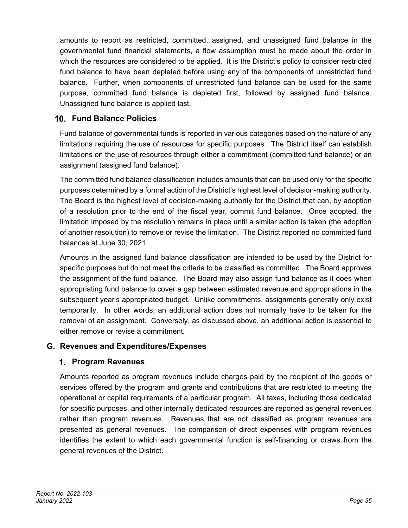amounts to report as restricted, committed, assigned, and unassigned fund balance in the governmental fund financial statements, a flow assumption must be made about the order in which the resources are considered to be applied. It is the District's policy to consider restricted fund balance to have been depleted before using any of the components of unrestricted fund balance. Further, when components of unrestricted fund balance can be used for the same purpose, committed fund balance is depleted first, followed by assigned fund balance. Unassigned fund balance is applied last.

#### **Fund Balance Policies**

Fund balance of governmental funds is reported in various categories based on the nature of any limitations requiring the use of resources for specific purposes. The District itself can establish limitations on the use of resources through either a commitment (committed fund balance) or an assignment (assigned fund balance).

The committed fund balance classification includes amounts that can be used only for the specific purposes determined by a formal action of the District's highest level of decision-making authority. The Board is the highest level of decision-making authority for the District that can, by adoption of a resolution prior to the end of the fiscal year, commit fund balance. Once adopted, the limitation imposed by the resolution remains in place until a similar action is taken (the adoption of another resolution) to remove or revise the limitation. The District reported no committed fund balances at June 30, 2021.

Amounts in the assigned fund balance classification are intended to be used by the District for specific purposes but do not meet the criteria to be classified as committed. The Board approves the assignment of the fund balance. The Board may also assign fund balance as it does when appropriating fund balance to cover a gap between estimated revenue and appropriations in the subsequent year's appropriated budget. Unlike commitments, assignments generally only exist temporarily. In other words, an additional action does not normally have to be taken for the removal of an assignment. Conversely, as discussed above, an additional action is essential to either remove or revise a commitment.

#### **G. Revenues and Expenditures/Expenses**

#### **Program Revenues**

Amounts reported as program revenues include charges paid by the recipient of the goods or services offered by the program and grants and contributions that are restricted to meeting the operational or capital requirements of a particular program. All taxes, including those dedicated for specific purposes, and other internally dedicated resources are reported as general revenues rather than program revenues. Revenues that are not classified as program revenues are presented as general revenues. The comparison of direct expenses with program revenues identifies the extent to which each governmental function is self-financing or draws from the general revenues of the District.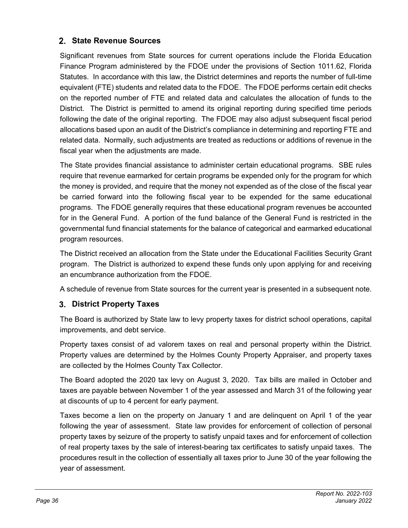#### **State Revenue Sources**

Significant revenues from State sources for current operations include the Florida Education Finance Program administered by the FDOE under the provisions of Section 1011.62, Florida Statutes. In accordance with this law, the District determines and reports the number of full-time equivalent (FTE) students and related data to the FDOE. The FDOE performs certain edit checks on the reported number of FTE and related data and calculates the allocation of funds to the District. The District is permitted to amend its original reporting during specified time periods following the date of the original reporting. The FDOE may also adjust subsequent fiscal period allocations based upon an audit of the District's compliance in determining and reporting FTE and related data. Normally, such adjustments are treated as reductions or additions of revenue in the fiscal year when the adjustments are made.

The State provides financial assistance to administer certain educational programs. SBE rules require that revenue earmarked for certain programs be expended only for the program for which the money is provided, and require that the money not expended as of the close of the fiscal year be carried forward into the following fiscal year to be expended for the same educational programs. The FDOE generally requires that these educational program revenues be accounted for in the General Fund. A portion of the fund balance of the General Fund is restricted in the governmental fund financial statements for the balance of categorical and earmarked educational program resources.

The District received an allocation from the State under the Educational Facilities Security Grant program. The District is authorized to expend these funds only upon applying for and receiving an encumbrance authorization from the FDOE.

A schedule of revenue from State sources for the current year is presented in a subsequent note.

#### **District Property Taxes**

The Board is authorized by State law to levy property taxes for district school operations, capital improvements, and debt service.

Property taxes consist of ad valorem taxes on real and personal property within the District. Property values are determined by the Holmes County Property Appraiser, and property taxes are collected by the Holmes County Tax Collector.

The Board adopted the 2020 tax levy on August 3, 2020. Tax bills are mailed in October and taxes are payable between November 1 of the year assessed and March 31 of the following year at discounts of up to 4 percent for early payment.

Taxes become a lien on the property on January 1 and are delinquent on April 1 of the year following the year of assessment. State law provides for enforcement of collection of personal property taxes by seizure of the property to satisfy unpaid taxes and for enforcement of collection of real property taxes by the sale of interest-bearing tax certificates to satisfy unpaid taxes. The procedures result in the collection of essentially all taxes prior to June 30 of the year following the year of assessment.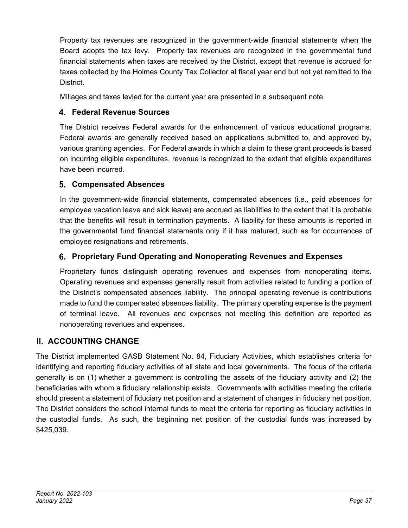Property tax revenues are recognized in the government-wide financial statements when the Board adopts the tax levy. Property tax revenues are recognized in the governmental fund financial statements when taxes are received by the District, except that revenue is accrued for taxes collected by the Holmes County Tax Collector at fiscal year end but not yet remitted to the District.

Millages and taxes levied for the current year are presented in a subsequent note.

## **Federal Revenue Sources**

The District receives Federal awards for the enhancement of various educational programs. Federal awards are generally received based on applications submitted to, and approved by, various granting agencies. For Federal awards in which a claim to these grant proceeds is based on incurring eligible expenditures, revenue is recognized to the extent that eligible expenditures have been incurred.

## **Compensated Absences**

In the government-wide financial statements, compensated absences (i.e., paid absences for employee vacation leave and sick leave) are accrued as liabilities to the extent that it is probable that the benefits will result in termination payments. A liability for these amounts is reported in the governmental fund financial statements only if it has matured, such as for occurrences of employee resignations and retirements.

## **Proprietary Fund Operating and Nonoperating Revenues and Expenses**

Proprietary funds distinguish operating revenues and expenses from nonoperating items. Operating revenues and expenses generally result from activities related to funding a portion of the District's compensated absences liability. The principal operating revenue is contributions made to fund the compensated absences liability. The primary operating expense is the payment of terminal leave. All revenues and expenses not meeting this definition are reported as nonoperating revenues and expenses.

## **II. ACCOUNTING CHANGE**

The District implemented GASB Statement No. 84, Fiduciary Activities, which establishes criteria for identifying and reporting fiduciary activities of all state and local governments. The focus of the criteria generally is on (1) whether a government is controlling the assets of the fiduciary activity and (2) the beneficiaries with whom a fiduciary relationship exists. Governments with activities meeting the criteria should present a statement of fiduciary net position and a statement of changes in fiduciary net position. The District considers the school internal funds to meet the criteria for reporting as fiduciary activities in the custodial funds. As such, the beginning net position of the custodial funds was increased by \$425,039.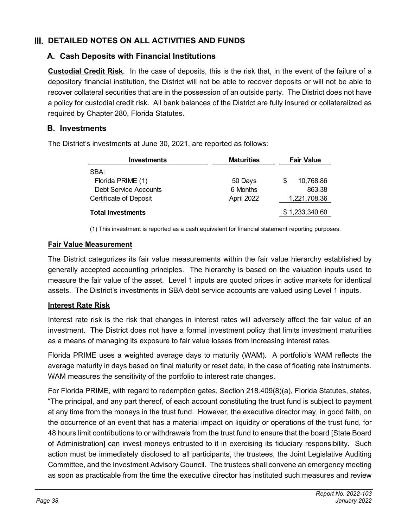#### **DETAILED NOTES ON ALL ACTIVITIES AND FUNDS**

#### **A. Cash Deposits with Financial Institutions**

**Custodial Credit Risk**. In the case of deposits, this is the risk that, in the event of the failure of a depository financial institution, the District will not be able to recover deposits or will not be able to recover collateral securities that are in the possession of an outside party. The District does not have a policy for custodial credit risk. All bank balances of the District are fully insured or collateralized as required by Chapter 280, Florida Statutes.

#### **B. Investments**

The District's investments at June 30, 2021, are reported as follows:

| <b>Investments</b>       | <b>Maturities</b> | <b>Fair Value</b> |
|--------------------------|-------------------|-------------------|
| SBA:                     |                   |                   |
| Florida PRIME (1)        | 50 Days           | 10,768.86<br>S    |
| Debt Service Accounts    | 6 Months          | 863.38            |
| Certificate of Deposit   | April 2022        | 1,221,708.36      |
| <b>Total Investments</b> |                   | \$1,233,340.60    |

(1) This investment is reported as a cash equivalent for financial statement reporting purposes.

#### **Fair Value Measurement**

The District categorizes its fair value measurements within the fair value hierarchy established by generally accepted accounting principles. The hierarchy is based on the valuation inputs used to measure the fair value of the asset. Level 1 inputs are quoted prices in active markets for identical assets. The District's investments in SBA debt service accounts are valued using Level 1 inputs.

#### **Interest Rate Risk**

Interest rate risk is the risk that changes in interest rates will adversely affect the fair value of an investment. The District does not have a formal investment policy that limits investment maturities as a means of managing its exposure to fair value losses from increasing interest rates.

Florida PRIME uses a weighted average days to maturity (WAM). A portfolio's WAM reflects the average maturity in days based on final maturity or reset date, in the case of floating rate instruments. WAM measures the sensitivity of the portfolio to interest rate changes.

For Florida PRIME, with regard to redemption gates, Section 218.409(8)(a), Florida Statutes, states, "The principal, and any part thereof, of each account constituting the trust fund is subject to payment at any time from the moneys in the trust fund. However, the executive director may, in good faith, on the occurrence of an event that has a material impact on liquidity or operations of the trust fund, for 48 hours limit contributions to or withdrawals from the trust fund to ensure that the board [State Board of Administration] can invest moneys entrusted to it in exercising its fiduciary responsibility. Such action must be immediately disclosed to all participants, the trustees, the Joint Legislative Auditing Committee, and the Investment Advisory Council. The trustees shall convene an emergency meeting as soon as practicable from the time the executive director has instituted such measures and review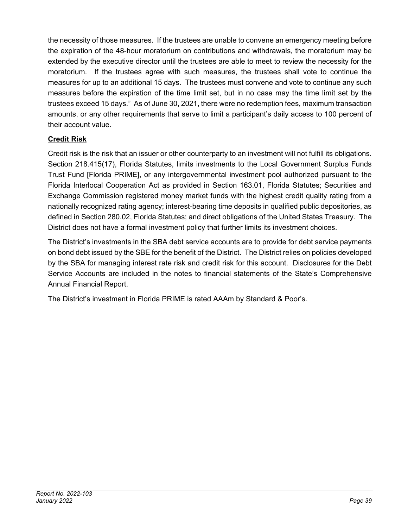the necessity of those measures. If the trustees are unable to convene an emergency meeting before the expiration of the 48-hour moratorium on contributions and withdrawals, the moratorium may be extended by the executive director until the trustees are able to meet to review the necessity for the moratorium. If the trustees agree with such measures, the trustees shall vote to continue the measures for up to an additional 15 days. The trustees must convene and vote to continue any such measures before the expiration of the time limit set, but in no case may the time limit set by the trustees exceed 15 days." As of June 30, 2021, there were no redemption fees, maximum transaction amounts, or any other requirements that serve to limit a participant's daily access to 100 percent of their account value.

#### **Credit Risk**

Credit risk is the risk that an issuer or other counterparty to an investment will not fulfill its obligations. Section 218.415(17), Florida Statutes, limits investments to the Local Government Surplus Funds Trust Fund [Florida PRIME], or any intergovernmental investment pool authorized pursuant to the Florida Interlocal Cooperation Act as provided in Section 163.01, Florida Statutes; Securities and Exchange Commission registered money market funds with the highest credit quality rating from a nationally recognized rating agency; interest-bearing time deposits in qualified public depositories, as defined in Section 280.02, Florida Statutes; and direct obligations of the United States Treasury. The District does not have a formal investment policy that further limits its investment choices.

The District's investments in the SBA debt service accounts are to provide for debt service payments on bond debt issued by the SBE for the benefit of the District. The District relies on policies developed by the SBA for managing interest rate risk and credit risk for this account. Disclosures for the Debt Service Accounts are included in the notes to financial statements of the State's Comprehensive Annual Financial Report.

The District's investment in Florida PRIME is rated AAAm by Standard & Poor's.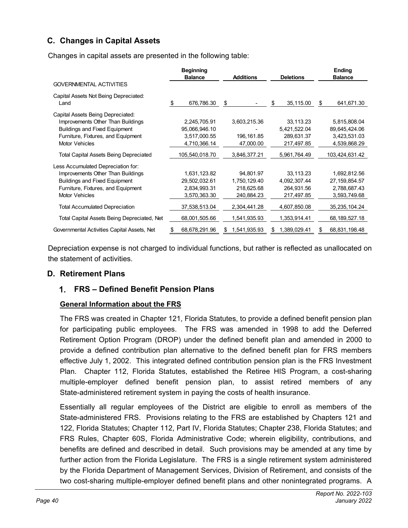#### **C. Changes in Capital Assets**

Changes in capital assets are presented in the following table:

|                                                                                                                                                                               | <b>Beginning</b><br><b>Balance</b>                            |                                                       | <b>Additions</b><br><b>Deletions</b>                  |                                                                 |
|-------------------------------------------------------------------------------------------------------------------------------------------------------------------------------|---------------------------------------------------------------|-------------------------------------------------------|-------------------------------------------------------|-----------------------------------------------------------------|
| <b>GOVERNMENTAL ACTIVITIES</b>                                                                                                                                                |                                                               |                                                       |                                                       | <b>Balance</b>                                                  |
| Capital Assets Not Being Depreciated:<br>Land                                                                                                                                 | 676,786.30<br>\$                                              | \$                                                    | 35,115.00<br>\$                                       | \$<br>641,671.30                                                |
| Capital Assets Being Depreciated:<br>Improvements Other Than Buildings<br><b>Buildings and Fixed Equipment</b><br>Furniture, Fixtures, and Equipment<br><b>Motor Vehicles</b> | 2,245,705.91<br>95,066,946.10<br>3,517,000.55<br>4,710,366.14 | 3,603,215.36<br>196, 161.85<br>47,000.00              | 33,113.23<br>5,421,522.04<br>289,631.37<br>217,497.85 | 5,815,808.04<br>89,645,424.06<br>3,423,531.03<br>4,539,868.29   |
| <b>Total Capital Assets Being Depreciated</b>                                                                                                                                 | 105,540,018.70                                                | 3,846,377.21                                          | 5,961,764.49                                          | 103,424,631.42                                                  |
| Less Accumulated Depreciation for:<br>Improvements Other Than Buildings<br><b>Buildings and Fixed Equipment</b><br>Furniture, Fixtures, and Equipment<br>Motor Vehicles       | 1,631,123.82<br>29,502,032.61<br>2,834,993.31<br>3,570,363.30 | 94,801.97<br>1,750,129.40<br>218,625.68<br>240,884.23 | 33,113.23<br>4,092,307.44<br>264,931.56<br>217,497.85 | 1,692,812.56<br>27, 159, 854.57<br>2,788,687.43<br>3,593,749.68 |
| <b>Total Accumulated Depreciation</b>                                                                                                                                         | 37,538,513.04                                                 | 2,304,441.28                                          | 4,607,850.08                                          | 35, 235, 104. 24                                                |
| Total Capital Assets Being Depreciated, Net                                                                                                                                   | 68,001,505.66                                                 | 1,541,935.93                                          | 1,353,914.41                                          | 68, 189, 527. 18                                                |
| Governmental Activities Capital Assets, Net                                                                                                                                   | 68,678,291.96<br>S                                            | 1,541,935.93<br>\$                                    | 1,389,029.41<br>S                                     | 68,831,198.48                                                   |

Depreciation expense is not charged to individual functions, but rather is reflected as unallocated on the statement of activities.

#### **D. Retirement Plans**

#### **FRS – Defined Benefit Pension Plans**

#### **General Information about the FRS**

The FRS was created in Chapter 121, Florida Statutes, to provide a defined benefit pension plan for participating public employees. The FRS was amended in 1998 to add the Deferred Retirement Option Program (DROP) under the defined benefit plan and amended in 2000 to provide a defined contribution plan alternative to the defined benefit plan for FRS members effective July 1, 2002. This integrated defined contribution pension plan is the FRS Investment Plan. Chapter 112, Florida Statutes, established the Retiree HIS Program, a cost-sharing multiple-employer defined benefit pension plan, to assist retired members of any State-administered retirement system in paying the costs of health insurance.

Essentially all regular employees of the District are eligible to enroll as members of the State-administered FRS. Provisions relating to the FRS are established by Chapters 121 and 122, Florida Statutes; Chapter 112, Part IV, Florida Statutes; Chapter 238, Florida Statutes; and FRS Rules, Chapter 60S, Florida Administrative Code; wherein eligibility, contributions, and benefits are defined and described in detail. Such provisions may be amended at any time by further action from the Florida Legislature. The FRS is a single retirement system administered by the Florida Department of Management Services, Division of Retirement, and consists of the two cost-sharing multiple-employer defined benefit plans and other nonintegrated programs. A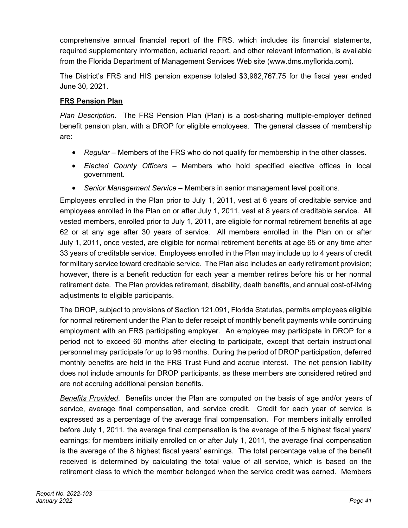comprehensive annual financial report of the FRS, which includes its financial statements, required supplementary information, actuarial report, and other relevant information, is available from the Florida Department of Management Services Web site (www.dms.myflorida.com).

The District's FRS and HIS pension expense totaled \$3,982,767.75 for the fiscal year ended June 30, 2021.

#### **FRS Pension Plan**

*Plan Description*. The FRS Pension Plan (Plan) is a cost-sharing multiple-employer defined benefit pension plan, with a DROP for eligible employees. The general classes of membership are:

- *Regular* Members of the FRS who do not qualify for membership in the other classes.
- *Elected County Officers* Members who hold specified elective offices in local government.
- *Senior Management Service*  Members in senior management level positions.

Employees enrolled in the Plan prior to July 1, 2011, vest at 6 years of creditable service and employees enrolled in the Plan on or after July 1, 2011, vest at 8 years of creditable service. All vested members, enrolled prior to July 1, 2011, are eligible for normal retirement benefits at age 62 or at any age after 30 years of service. All members enrolled in the Plan on or after July 1, 2011, once vested, are eligible for normal retirement benefits at age 65 or any time after 33 years of creditable service. Employees enrolled in the Plan may include up to 4 years of credit for military service toward creditable service. The Plan also includes an early retirement provision; however, there is a benefit reduction for each year a member retires before his or her normal retirement date. The Plan provides retirement, disability, death benefits, and annual cost-of-living adjustments to eligible participants.

The DROP, subject to provisions of Section 121.091, Florida Statutes, permits employees eligible for normal retirement under the Plan to defer receipt of monthly benefit payments while continuing employment with an FRS participating employer. An employee may participate in DROP for a period not to exceed 60 months after electing to participate, except that certain instructional personnel may participate for up to 96 months. During the period of DROP participation, deferred monthly benefits are held in the FRS Trust Fund and accrue interest. The net pension liability does not include amounts for DROP participants, as these members are considered retired and are not accruing additional pension benefits.

*Benefits Provided*. Benefits under the Plan are computed on the basis of age and/or years of service, average final compensation, and service credit. Credit for each year of service is expressed as a percentage of the average final compensation. For members initially enrolled before July 1, 2011, the average final compensation is the average of the 5 highest fiscal years' earnings; for members initially enrolled on or after July 1, 2011, the average final compensation is the average of the 8 highest fiscal years' earnings. The total percentage value of the benefit received is determined by calculating the total value of all service, which is based on the retirement class to which the member belonged when the service credit was earned. Members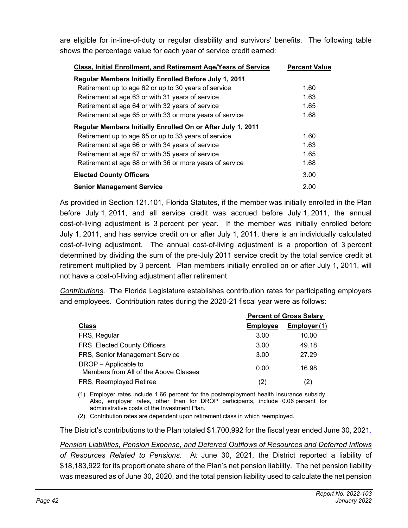are eligible for in-line-of-duty or regular disability and survivors' benefits. The following table shows the percentage value for each year of service credit earned:

| Class, Initial Enrollment, and Retirement Age/Years of Service | <b>Percent Value</b> |
|----------------------------------------------------------------|----------------------|
| <b>Regular Members Initially Enrolled Before July 1, 2011</b>  |                      |
| Retirement up to age 62 or up to 30 years of service           | 1.60                 |
| Retirement at age 63 or with 31 years of service               | 1.63                 |
| Retirement at age 64 or with 32 years of service               | 1.65                 |
| Retirement at age 65 or with 33 or more years of service       | 1.68                 |
| Regular Members Initially Enrolled On or After July 1, 2011    |                      |
| Retirement up to age 65 or up to 33 years of service           | 1.60                 |
| Retirement at age 66 or with 34 years of service               | 1.63                 |
| Retirement at age 67 or with 35 years of service               | 1.65                 |
| Retirement at age 68 or with 36 or more years of service       | 1.68                 |
| <b>Elected County Officers</b>                                 | 3.00                 |
| <b>Senior Management Service</b>                               | 2.00                 |

As provided in Section 121.101, Florida Statutes, if the member was initially enrolled in the Plan before July 1, 2011, and all service credit was accrued before July 1, 2011, the annual cost-of-living adjustment is 3 percent per year. If the member was initially enrolled before July 1, 2011, and has service credit on or after July 1, 2011, there is an individually calculated cost-of-living adjustment. The annual cost-of-living adjustment is a proportion of 3 percent determined by dividing the sum of the pre-July 2011 service credit by the total service credit at retirement multiplied by 3 percent. Plan members initially enrolled on or after July 1, 2011, will not have a cost-of-living adjustment after retirement.

*Contributions*. The Florida Legislature establishes contribution rates for participating employers and employees. Contribution rates during the 2020-21 fiscal year were as follows:

|                                                               |                 | <b>Percent of Gross Salary</b> |  |  |
|---------------------------------------------------------------|-----------------|--------------------------------|--|--|
| <b>Class</b>                                                  | <b>Employee</b> | Employer (1)                   |  |  |
| FRS, Regular                                                  | 3.00            | 10.00                          |  |  |
| FRS, Elected County Officers                                  | 3.00            | 49.18                          |  |  |
| FRS, Senior Management Service                                | 3.00            | 27.29                          |  |  |
| DROP - Applicable to<br>Members from All of the Above Classes | 0.00            | 16.98                          |  |  |
| FRS, Reemployed Retiree                                       | (2)             | (2)                            |  |  |

(1) Employer rates include 1.66 percent for the postemployment health insurance subsidy. Also, employer rates, other than for DROP participants, include 0.06 percent for administrative costs of the Investment Plan.

(2) Contribution rates are dependent upon retirement class in which reemployed.

The District's contributions to the Plan totaled \$1,700,992 for the fiscal year ended June 30, 2021.

*Pension Liabilities, Pension Expense, and Deferred Outflows of Resources and Deferred Inflows of Resources Related to Pensions*. At June 30, 2021, the District reported a liability of \$18,183,922 for its proportionate share of the Plan's net pension liability. The net pension liability was measured as of June 30, 2020, and the total pension liability used to calculate the net pension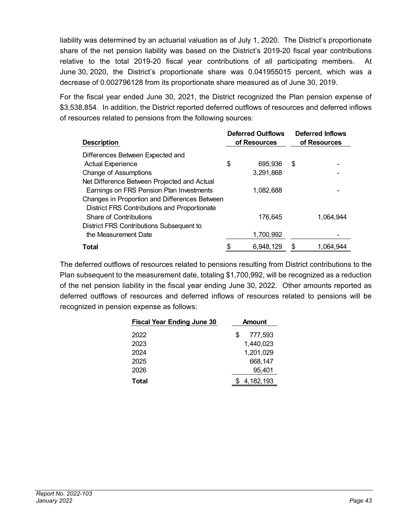liability was determined by an actuarial valuation as of July 1, 2020. The District's proportionate share of the net pension liability was based on the District's 2019-20 fiscal year contributions relative to the total 2019-20 fiscal year contributions of all participating members. At June 30, 2020, the District's proportionate share was 0.041955015 percent, which was a decrease of 0.002796128 from its proportionate share measured as of June 30, 2019.

For the fiscal year ended June 30, 2021, the District recognized the Plan pension expense of \$3,538,854. In addition, the District reported deferred outflows of resources and deferred inflows of resources related to pensions from the following sources:

| <b>Description</b>                                  | <b>Deferred Outflows</b><br>of Resources |           | <b>Deferred Inflows</b><br>of Resources |           |
|-----------------------------------------------------|------------------------------------------|-----------|-----------------------------------------|-----------|
| Differences Between Expected and                    |                                          |           |                                         |           |
| <b>Actual Experience</b>                            | \$                                       | 695,936   | S                                       |           |
| <b>Change of Assumptions</b>                        |                                          | 3,291,868 |                                         |           |
| Net Difference Between Projected and Actual         |                                          |           |                                         |           |
| Earnings on FRS Pension Plan Investments            |                                          | 1,082,688 |                                         |           |
| Changes in Proportion and Differences Between       |                                          |           |                                         |           |
| <b>District FRS Contributions and Proportionate</b> |                                          |           |                                         |           |
| <b>Share of Contributions</b>                       |                                          | 176,645   |                                         | 1.064.944 |
| District FRS Contributions Subsequent to            |                                          |           |                                         |           |
| the Measurement Date                                |                                          | 1,700,992 |                                         |           |
| <b>Total</b>                                        |                                          | 6,948,129 |                                         | 1.064.944 |

The deferred outflows of resources related to pensions resulting from District contributions to the Plan subsequent to the measurement date, totaling \$1,700,992, will be recognized as a reduction of the net pension liability in the fiscal year ending June 30, 2022. Other amounts reported as deferred outflows of resources and deferred inflows of resources related to pensions will be recognized in pension expense as follows:

| <b>Fiscal Year Ending June 30</b> |    | <b>Amount</b> |  |  |
|-----------------------------------|----|---------------|--|--|
| 2022                              | \$ | 777,593       |  |  |
| 2023                              |    | 1,440,023     |  |  |
| 2024                              |    | 1,201,029     |  |  |
| 2025                              |    | 668,147       |  |  |
| 2026                              |    | 95,401        |  |  |
| Total                             |    | 4, 182, 193   |  |  |
|                                   |    |               |  |  |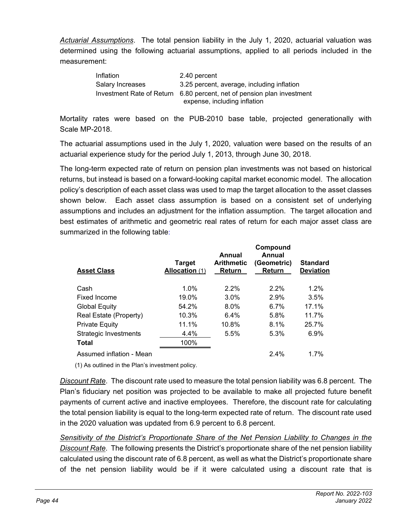*Actuarial Assumptions*. The total pension liability in the July 1, 2020, actuarial valuation was determined using the following actuarial assumptions, applied to all periods included in the measurement:

| Inflation        | 2.40 percent                                                           |
|------------------|------------------------------------------------------------------------|
| Salary Increases | 3.25 percent, average, including inflation                             |
|                  | Investment Rate of Return 6.80 percent, net of pension plan investment |
|                  | expense, including inflation                                           |

Mortality rates were based on the PUB-2010 base table, projected generationally with Scale MP-2018.

The actuarial assumptions used in the July 1, 2020, valuation were based on the results of an actuarial experience study for the period July 1, 2013, through June 30, 2018.

The long-term expected rate of return on pension plan investments was not based on historical returns, but instead is based on a forward-looking capital market economic model. The allocation policy's description of each asset class was used to map the target allocation to the asset classes shown below. Each asset class assumption is based on a consistent set of underlying assumptions and includes an adjustment for the inflation assumption. The target allocation and best estimates of arithmetic and geometric real rates of return for each major asset class are summarized in the following table:

| <b>Asset Class</b>           | <b>Target</b><br>Allocation (1) | Annual<br><b>Arithmetic</b><br>Return | Compound<br>Annual<br>(Geometric)<br>Return | <b>Standard</b><br><b>Deviation</b> |
|------------------------------|---------------------------------|---------------------------------------|---------------------------------------------|-------------------------------------|
| Cash                         | 1.0%                            | $2.2\%$                               | $2.2\%$                                     | $1.2\%$                             |
| Fixed Income                 | 19.0%                           | 3.0%                                  | 2.9%                                        | 3.5%                                |
| <b>Global Equity</b>         | 54.2%                           | 8.0%                                  | 6.7%                                        | 17.1%                               |
| Real Estate (Property)       | 10.3%                           | 6.4%                                  | 5.8%                                        | 11.7%                               |
| <b>Private Equity</b>        | 11.1%                           | 10.8%                                 | 8.1%                                        | 25.7%                               |
| <b>Strategic Investments</b> | 4.4%                            | 5.5%                                  | 5.3%                                        | 6.9%                                |
| <b>Total</b>                 | 100%                            |                                       |                                             |                                     |
| Assumed inflation - Mean     |                                 |                                       | 2.4%                                        | 1.7%                                |

(1) As outlined in the Plan's investment policy.

*Discount Rate*. The discount rate used to measure the total pension liability was 6.8 percent. The Plan's fiduciary net position was projected to be available to make all projected future benefit payments of current active and inactive employees. Therefore, the discount rate for calculating the total pension liability is equal to the long-term expected rate of return. The discount rate used in the 2020 valuation was updated from 6.9 percent to 6.8 percent.

*Sensitivity of the District's Proportionate Share of the Net Pension Liability to Changes in the Discount Rate*. The following presents the District's proportionate share of the net pension liability calculated using the discount rate of 6.8 percent, as well as what the District's proportionate share of the net pension liability would be if it were calculated using a discount rate that is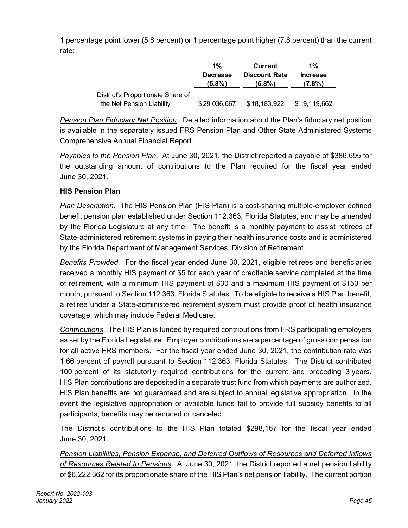1 percentage point lower (5.8 percent) or 1 percentage point higher (7.8 percent) than the current rate:

|                                   | $1\%$                     | <b>Current</b>                    | $1\%$                        |
|-----------------------------------|---------------------------|-----------------------------------|------------------------------|
|                                   | <b>Decrease</b><br>(5.8%) | <b>Discount Rate</b><br>$(6.8\%)$ | <b>Increase</b><br>$(7.8\%)$ |
| District's Proportionate Share of |                           |                                   |                              |
| the Net Pension Liability         | \$29,036,667              | \$18,183,922                      | \$ 9,119,662                 |

*Pension Plan Fiduciary Net Position*. Detailed information about the Plan's fiduciary net position is available in the separately issued FRS Pension Plan and Other State Administered Systems Comprehensive Annual Financial Report.

*Payables to the Pension Plan*. At June 30, 2021, the District reported a payable of \$386,695 for the outstanding amount of contributions to the Plan required for the fiscal year ended June 30, 2021.

#### **HIS Pension Plan**

*Plan Description*. The HIS Pension Plan (HIS Plan) is a cost-sharing multiple-employer defined benefit pension plan established under Section 112.363, Florida Statutes, and may be amended by the Florida Legislature at any time. The benefit is a monthly payment to assist retirees of State-administered retirement systems in paying their health insurance costs and is administered by the Florida Department of Management Services, Division of Retirement.

*Benefits Provided*. For the fiscal year ended June 30, 2021, eligible retirees and beneficiaries received a monthly HIS payment of \$5 for each year of creditable service completed at the time of retirement, with a minimum HIS payment of \$30 and a maximum HIS payment of \$150 per month, pursuant to Section 112.363, Florida Statutes. To be eligible to receive a HIS Plan benefit, a retiree under a State-administered retirement system must provide proof of health insurance coverage, which may include Federal Medicare.

*Contributions*. The HIS Plan is funded by required contributions from FRS participating employers as set by the Florida Legislature. Employer contributions are a percentage of gross compensation for all active FRS members. For the fiscal year ended June 30, 2021, the contribution rate was 1.66 percent of payroll pursuant to Section 112.363, Florida Statutes. The District contributed 100 percent of its statutorily required contributions for the current and preceding 3 years. HIS Plan contributions are deposited in a separate trust fund from which payments are authorized. HIS Plan benefits are not guaranteed and are subject to annual legislative appropriation. In the event the legislative appropriation or available funds fail to provide full subsidy benefits to all participants, benefits may be reduced or canceled.

The District's contributions to the HIS Plan totaled \$298,167 for the fiscal year ended June 30, 2021.

*Pension Liabilities, Pension Expense, and Deferred Outflows of Resources and Deferred Inflows of Resources Related to Pensions*. At June 30, 2021, the District reported a net pension liability of \$6,222,362 for its proportionate share of the HIS Plan's net pension liability. The current portion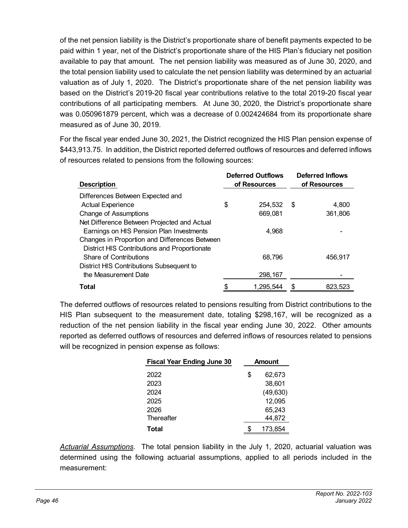of the net pension liability is the District's proportionate share of benefit payments expected to be paid within 1 year, net of the District's proportionate share of the HIS Plan's fiduciary net position available to pay that amount. The net pension liability was measured as of June 30, 2020, and the total pension liability used to calculate the net pension liability was determined by an actuarial valuation as of July 1, 2020. The District's proportionate share of the net pension liability was based on the District's 2019-20 fiscal year contributions relative to the total 2019-20 fiscal year contributions of all participating members. At June 30, 2020, the District's proportionate share was 0.050961879 percent, which was a decrease of 0.002424684 from its proportionate share measured as of June 30, 2019.

For the fiscal year ended June 30, 2021, the District recognized the HIS Plan pension expense of \$443,913.75. In addition, the District reported deferred outflows of resources and deferred inflows of resources related to pensions from the following sources:

|                                               | <b>Deferred Outflows</b> |              | <b>Deferred Inflows</b> |              |
|-----------------------------------------------|--------------------------|--------------|-------------------------|--------------|
| <b>Description</b>                            |                          | of Resources |                         | of Resources |
| Differences Between Expected and              |                          |              |                         |              |
| <b>Actual Experience</b>                      | \$                       | 254,532      | S                       | 4,800        |
| Change of Assumptions                         |                          | 669,081      |                         | 361,806      |
| Net Difference Between Projected and Actual   |                          |              |                         |              |
| Earnings on HIS Pension Plan Investments      |                          | 4,968        |                         |              |
| Changes in Proportion and Differences Between |                          |              |                         |              |
| District HIS Contributions and Proportionate  |                          |              |                         |              |
| Share of Contributions                        |                          | 68,796       |                         | 456,917      |
| District HIS Contributions Subsequent to      |                          |              |                         |              |
| the Measurement Date                          |                          | 298,167      |                         |              |
| <b>Total</b>                                  | \$                       | 1.295.544    | S                       | 823.523      |

The deferred outflows of resources related to pensions resulting from District contributions to the HIS Plan subsequent to the measurement date, totaling \$298,167, will be recognized as a reduction of the net pension liability in the fiscal year ending June 30, 2022. Other amounts reported as deferred outflows of resources and deferred inflows of resources related to pensions will be recognized in pension expense as follows:

| <b>Fiscal Year Ending June 30</b> | Amount |           |
|-----------------------------------|--------|-----------|
| 2022                              | \$     | 62,673    |
| 2023                              |        | 38,601    |
| 2024                              |        | (49, 630) |
| 2025                              |        | 12,095    |
| 2026                              |        | 65,243    |
| Thereafter                        |        | 44,872    |
| Total                             |        | 173,854   |

*Actuarial Assumptions*. The total pension liability in the July 1, 2020, actuarial valuation was determined using the following actuarial assumptions, applied to all periods included in the measurement: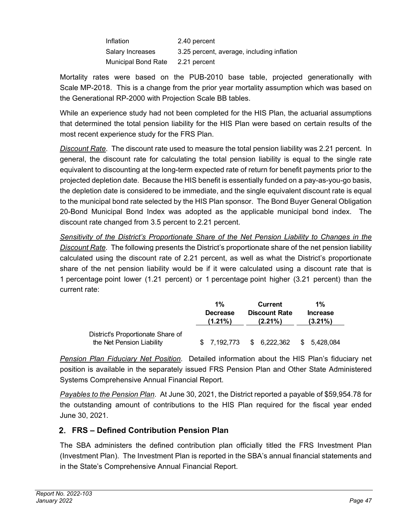| Inflation           | 2.40 percent                               |
|---------------------|--------------------------------------------|
| Salary Increases    | 3.25 percent, average, including inflation |
| Municipal Bond Rate | 2.21 percent                               |

Mortality rates were based on the PUB-2010 base table, projected generationally with Scale MP-2018. This is a change from the prior year mortality assumption which was based on the Generational RP-2000 with Projection Scale BB tables.

While an experience study had not been completed for the HIS Plan, the actuarial assumptions that determined the total pension liability for the HIS Plan were based on certain results of the most recent experience study for the FRS Plan.

*Discount Rate*. The discount rate used to measure the total pension liability was 2.21 percent. In general, the discount rate for calculating the total pension liability is equal to the single rate equivalent to discounting at the long-term expected rate of return for benefit payments prior to the projected depletion date. Because the HIS benefit is essentially funded on a pay-as-you-go basis, the depletion date is considered to be immediate, and the single equivalent discount rate is equal to the municipal bond rate selected by the HIS Plan sponsor. The Bond Buyer General Obligation 20-Bond Municipal Bond Index was adopted as the applicable municipal bond index. The discount rate changed from 3.5 percent to 2.21 percent.

*Sensitivity of the District's Proportionate Share of the Net Pension Liability to Changes in the Discount Rate*. The following presents the District's proportionate share of the net pension liability calculated using the discount rate of 2.21 percent, as well as what the District's proportionate share of the net pension liability would be if it were calculated using a discount rate that is 1 percentage point lower (1.21 percent) or 1 percentage point higher (3.21 percent) than the current rate:

|                                                                | $1\%$           | <b>Current</b>            | $1\%$           |  |
|----------------------------------------------------------------|-----------------|---------------------------|-----------------|--|
|                                                                | <b>Decrease</b> | <b>Discount Rate</b>      | <b>Increase</b> |  |
|                                                                | $(1.21\%)$      | $(2.21\%)$                | $(3.21\%)$      |  |
| District's Proportionate Share of<br>the Net Pension Liability | \$ 7.192.773    | \$ 6,222,362 \$ 5,428,084 |                 |  |

*Pension Plan Fiduciary Net Position*. Detailed information about the HIS Plan's fiduciary net position is available in the separately issued FRS Pension Plan and Other State Administered Systems Comprehensive Annual Financial Report.

*Payables to the Pension Plan*. At June 30, 2021, the District reported a payable of \$59,954.78 for the outstanding amount of contributions to the HIS Plan required for the fiscal year ended June 30, 2021.

#### **FRS – Defined Contribution Pension Plan**

The SBA administers the defined contribution plan officially titled the FRS Investment Plan (Investment Plan). The Investment Plan is reported in the SBA's annual financial statements and in the State's Comprehensive Annual Financial Report.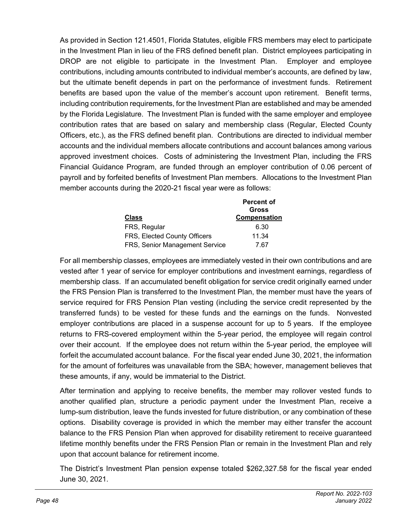As provided in Section 121.4501, Florida Statutes, eligible FRS members may elect to participate in the Investment Plan in lieu of the FRS defined benefit plan. District employees participating in DROP are not eligible to participate in the Investment Plan. Employer and employee contributions, including amounts contributed to individual member's accounts, are defined by law, but the ultimate benefit depends in part on the performance of investment funds. Retirement benefits are based upon the value of the member's account upon retirement. Benefit terms, including contribution requirements, for the Investment Plan are established and may be amended by the Florida Legislature. The Investment Plan is funded with the same employer and employee contribution rates that are based on salary and membership class (Regular, Elected County Officers, etc.), as the FRS defined benefit plan. Contributions are directed to individual member accounts and the individual members allocate contributions and account balances among various approved investment choices. Costs of administering the Investment Plan, including the FRS Financial Guidance Program, are funded through an employer contribution of 0.06 percent of payroll and by forfeited benefits of Investment Plan members. Allocations to the Investment Plan member accounts during the 2020-21 fiscal year were as follows:

|                                | <b>Percent of</b> |
|--------------------------------|-------------------|
|                                | Gross             |
| <b>Class</b>                   | Compensation      |
| FRS, Regular                   | 6.30              |
| FRS, Elected County Officers   | 11.34             |
| FRS, Senior Management Service | 7 67              |

For all membership classes, employees are immediately vested in their own contributions and are vested after 1 year of service for employer contributions and investment earnings, regardless of membership class. If an accumulated benefit obligation for service credit originally earned under the FRS Pension Plan is transferred to the Investment Plan, the member must have the years of service required for FRS Pension Plan vesting (including the service credit represented by the transferred funds) to be vested for these funds and the earnings on the funds. Nonvested employer contributions are placed in a suspense account for up to 5 years. If the employee returns to FRS-covered employment within the 5-year period, the employee will regain control over their account. If the employee does not return within the 5-year period, the employee will forfeit the accumulated account balance. For the fiscal year ended June 30, 2021, the information for the amount of forfeitures was unavailable from the SBA; however, management believes that these amounts, if any, would be immaterial to the District.

After termination and applying to receive benefits, the member may rollover vested funds to another qualified plan, structure a periodic payment under the Investment Plan, receive a lump-sum distribution, leave the funds invested for future distribution, or any combination of these options. Disability coverage is provided in which the member may either transfer the account balance to the FRS Pension Plan when approved for disability retirement to receive guaranteed lifetime monthly benefits under the FRS Pension Plan or remain in the Investment Plan and rely upon that account balance for retirement income.

The District's Investment Plan pension expense totaled \$262,327.58 for the fiscal year ended June 30, 2021.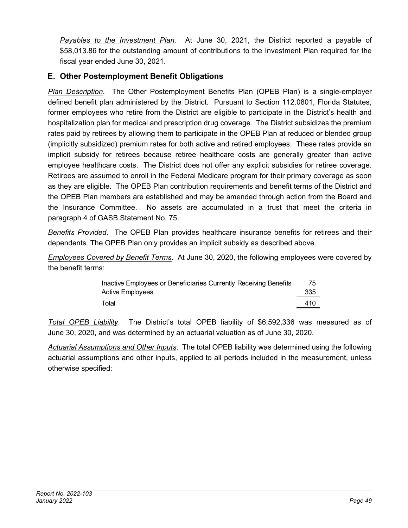*Payables to the Investment Plan.* At June 30, 2021, the District reported a payable of \$58,013.86 for the outstanding amount of contributions to the Investment Plan required for the fiscal year ended June 30, 2021.

#### **E. Other Postemployment Benefit Obligations**

*Plan Description*. The Other Postemployment Benefits Plan (OPEB Plan) is a single-employer defined benefit plan administered by the District. Pursuant to Section 112.0801, Florida Statutes, former employees who retire from the District are eligible to participate in the District's health and hospitalization plan for medical and prescription drug coverage. The District subsidizes the premium rates paid by retirees by allowing them to participate in the OPEB Plan at reduced or blended group (implicitly subsidized) premium rates for both active and retired employees. These rates provide an implicit subsidy for retirees because retiree healthcare costs are generally greater than active employee healthcare costs. The District does not offer any explicit subsidies for retiree coverage. Retirees are assumed to enroll in the Federal Medicare program for their primary coverage as soon as they are eligible. The OPEB Plan contribution requirements and benefit terms of the District and the OPEB Plan members are established and may be amended through action from the Board and the Insurance Committee. No assets are accumulated in a trust that meet the criteria in paragraph 4 of GASB Statement No. 75.

*Benefits Provided*.The OPEB Plan provides healthcare insurance benefits for retirees and their dependents. The OPEB Plan only provides an implicit subsidy as described above.

*Employees Covered by Benefit Terms*. At June 30, 2020, the following employees were covered by the benefit terms:

| Inactive Employees or Beneficiaries Currently Receiving Benefits | 75  |
|------------------------------------------------------------------|-----|
| <b>Active Employees</b>                                          | 335 |
| Total                                                            | 410 |

*Total OPEB Liability*. The District's total OPEB liability of \$6,592,336 was measured as of June 30, 2020, and was determined by an actuarial valuation as of June 30, 2020.

*Actuarial Assumptions and Other Inputs*. The total OPEB liability was determined using the following actuarial assumptions and other inputs, applied to all periods included in the measurement, unless otherwise specified: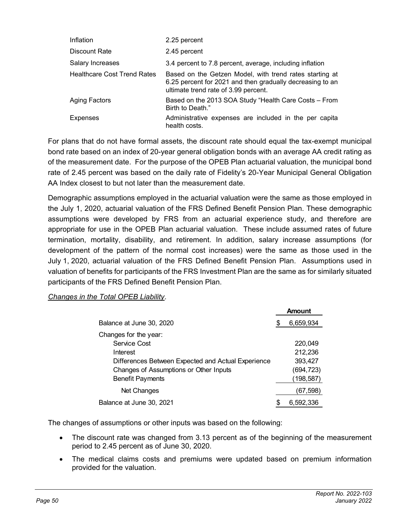| Inflation                          | 2.25 percent                                                                                                                                                 |
|------------------------------------|--------------------------------------------------------------------------------------------------------------------------------------------------------------|
| Discount Rate                      | 2.45 percent                                                                                                                                                 |
| Salary Increases                   | 3.4 percent to 7.8 percent, average, including inflation                                                                                                     |
| <b>Healthcare Cost Trend Rates</b> | Based on the Getzen Model, with trend rates starting at<br>6.25 percent for 2021 and then gradually decreasing to an<br>ultimate trend rate of 3.99 percent. |
| <b>Aging Factors</b>               | Based on the 2013 SOA Study "Health Care Costs - From<br>Birth to Death."                                                                                    |
| <b>Expenses</b>                    | Administrative expenses are included in the per capita<br>health costs.                                                                                      |

For plans that do not have formal assets, the discount rate should equal the tax-exempt municipal bond rate based on an index of 20-year general obligation bonds with an average AA credit rating as of the measurement date. For the purpose of the OPEB Plan actuarial valuation, the municipal bond rate of 2.45 percent was based on the daily rate of Fidelity's 20-Year Municipal General Obligation AA Index closest to but not later than the measurement date.

Demographic assumptions employed in the actuarial valuation were the same as those employed in the July 1, 2020, actuarial valuation of the FRS Defined Benefit Pension Plan. These demographic assumptions were developed by FRS from an actuarial experience study, and therefore are appropriate for use in the OPEB Plan actuarial valuation. These include assumed rates of future termination, mortality, disability, and retirement. In addition, salary increase assumptions (for development of the pattern of the normal cost increases) were the same as those used in the July 1, 2020, actuarial valuation of the FRS Defined Benefit Pension Plan. Assumptions used in valuation of benefits for participants of the FRS Investment Plan are the same as for similarly situated participants of the FRS Defined Benefit Pension Plan.

#### *Changes in the Total OPEB Liability*.

|                                                    |   | <b>Amount</b> |
|----------------------------------------------------|---|---------------|
| Balance at June 30, 2020                           | S | 6,659,934     |
| Changes for the year:                              |   |               |
| Service Cost                                       |   | 220,049       |
| Interest                                           |   | 212,236       |
| Differences Between Expected and Actual Experience |   | 393,427       |
| Changes of Assumptions or Other Inputs             |   | (694, 723)    |
| <b>Benefit Payments</b>                            |   | (198, 587)    |
| Net Changes                                        |   | (67,598)      |
| Balance at June 30, 2021                           |   | 6.592.336     |

The changes of assumptions or other inputs was based on the following:

- The discount rate was changed from 3.13 percent as of the beginning of the measurement period to 2.45 percent as of June 30, 2020.
- The medical claims costs and premiums were updated based on premium information provided for the valuation.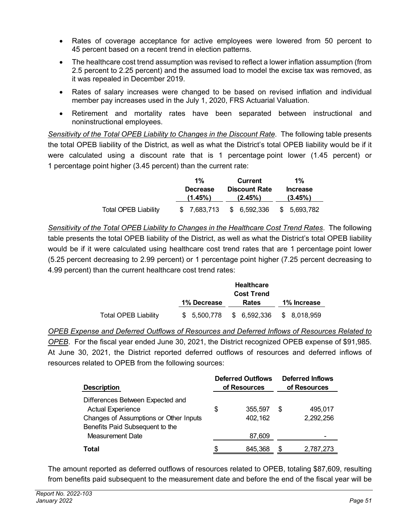- Rates of coverage acceptance for active employees were lowered from 50 percent to 45 percent based on a recent trend in election patterns.
- The healthcare cost trend assumption was revised to reflect a lower inflation assumption (from 2.5 percent to 2.25 percent) and the assumed load to model the excise tax was removed, as it was repealed in December 2019.
- Rates of salary increases were changed to be based on revised inflation and individual member pay increases used in the July 1, 2020, FRS Actuarial Valuation.
- Retirement and mortality rates have been separated between instructional and noninstructional employees.

*Sensitivity of the Total OPEB Liability to Changes in the Discount Rate*. The following table presents the total OPEB liability of the District, as well as what the District's total OPEB liability would be if it were calculated using a discount rate that is 1 percentage point lower (1.45 percent) or 1 percentage point higher (3.45 percent) than the current rate:

|                             | $1\%$           | <b>Current</b>       | $1\%$           |  |
|-----------------------------|-----------------|----------------------|-----------------|--|
|                             | <b>Decrease</b> | <b>Discount Rate</b> | <b>Increase</b> |  |
|                             | (1.45%)         | $(2.45\%)$           | $(3.45\%)$      |  |
| <b>Total OPEB Liability</b> | \$7,683,713     | \$ 6,592,336         | \$ 5,693,782    |  |

*Sensitivity of the Total OPEB Liability to Changes in the Healthcare Cost Trend Rates*. The following table presents the total OPEB liability of the District, as well as what the District's total OPEB liability would be if it were calculated using healthcare cost trend rates that are 1 percentage point lower (5.25 percent decreasing to 2.99 percent) or 1 percentage point higher (7.25 percent decreasing to 4.99 percent) than the current healthcare cost trend rates:

|                             | <b>Healthcare</b><br><b>Cost Trend</b> |                                        |  |              |             |
|-----------------------------|----------------------------------------|----------------------------------------|--|--------------|-------------|
|                             |                                        | 1% Decrease                            |  | <b>Rates</b> | 1% Increase |
| <b>Total OPEB Liability</b> |                                        | \$ 5,500,778 \$ 6,592,336 \$ 8,018,959 |  |              |             |

*OPEB Expense and Deferred Outflows of Resources and Deferred Inflows of Resources Related to OPEB*. For the fiscal year ended June 30, 2021, the District recognized OPEB expense of \$91,985. At June 30, 2021, the District reported deferred outflows of resources and deferred inflows of resources related to OPEB from the following sources:

| <b>Description</b>                                                                                   | <b>Deferred Outflows</b><br>of Resources | <b>Deferred Inflows</b><br>of Resources |           |
|------------------------------------------------------------------------------------------------------|------------------------------------------|-----------------------------------------|-----------|
| Differences Between Expected and<br><b>Actual Experience</b>                                         | \$<br>355,597                            | \$                                      | 495,017   |
| Changes of Assumptions or Other Inputs<br>Benefits Paid Subsequent to the<br><b>Measurement Date</b> | 402,162<br>87,609                        |                                         | 2,292,256 |
| Total                                                                                                | \$<br>845,368                            | S                                       | 2,787,273 |

The amount reported as deferred outflows of resources related to OPEB, totaling \$87,609, resulting from benefits paid subsequent to the measurement date and before the end of the fiscal year will be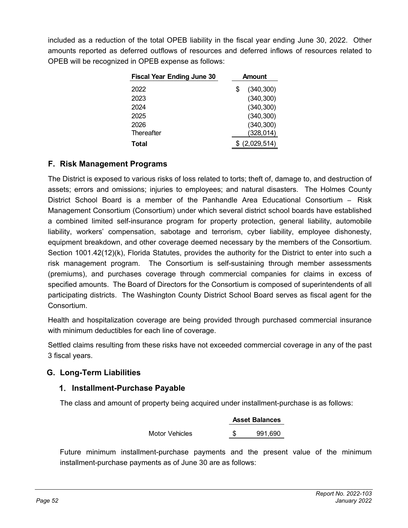included as a reduction of the total OPEB liability in the fiscal year ending June 30, 2022. Other amounts reported as deferred outflows of resources and deferred inflows of resources related to OPEB will be recognized in OPEB expense as follows:

| <b>Fiscal Year Ending June 30</b> |   | Amount      |  |  |
|-----------------------------------|---|-------------|--|--|
| 2022                              | S | (340, 300)  |  |  |
| 2023                              |   | (340, 300)  |  |  |
| 2024                              |   | (340, 300)  |  |  |
| 2025                              |   | (340, 300)  |  |  |
| 2026                              |   | (340, 300)  |  |  |
| Thereafter                        |   | (328, 014)  |  |  |
| <b>Total</b>                      |   | (2,029,514) |  |  |

#### **F. Risk Management Programs**

The District is exposed to various risks of loss related to torts; theft of, damage to, and destruction of assets; errors and omissions; injuries to employees; and natural disasters. The Holmes County District School Board is a member of the Panhandle Area Educational Consortium – Risk Management Consortium (Consortium) under which several district school boards have established a combined limited self-insurance program for property protection, general liability, automobile liability, workers' compensation, sabotage and terrorism, cyber liability, employee dishonesty, equipment breakdown, and other coverage deemed necessary by the members of the Consortium. Section 1001.42(12)(k), Florida Statutes, provides the authority for the District to enter into such a risk management program. The Consortium is self-sustaining through member assessments (premiums), and purchases coverage through commercial companies for claims in excess of specified amounts. The Board of Directors for the Consortium is composed of superintendents of all participating districts. The Washington County District School Board serves as fiscal agent for the Consortium.

Health and hospitalization coverage are being provided through purchased commercial insurance with minimum deductibles for each line of coverage.

Settled claims resulting from these risks have not exceeded commercial coverage in any of the past 3 fiscal years.

#### **G. Long-Term Liabilities**

#### **Installment-Purchase Payable**

The class and amount of property being acquired under installment-purchase is as follows:

|                | <b>Asset Balances</b> |  |  |
|----------------|-----------------------|--|--|
| Motor Vehicles | \$<br>991.690         |  |  |

Future minimum installment-purchase payments and the present value of the minimum installment-purchase payments as of June 30 are as follows: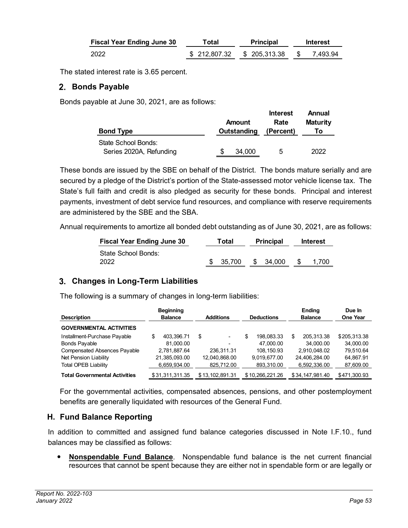| <b>Fiscal Year Ending June 30</b> | ™otal        | <b>Principal</b> | <b>Interest</b> |
|-----------------------------------|--------------|------------------|-----------------|
| 2022                              | \$212.807.32 | \$205.313.38     | 7.493.94        |

The stated interest rate is 3.65 percent.

#### **Bonds Payable**

Bonds payable at June 30, 2021, are as follows:

| <b>Bond Type</b>                               | <b>Amount</b><br><b>Outstanding</b> | <b>Interest</b><br>Rate<br>(Percent) | Annual<br><b>Maturity</b><br>To |
|------------------------------------------------|-------------------------------------|--------------------------------------|---------------------------------|
| State School Bonds:<br>Series 2020A, Refunding | 34.000                              | 5                                    | 2022                            |

These bonds are issued by the SBE on behalf of the District. The bonds mature serially and are secured by a pledge of the District's portion of the State-assessed motor vehicle license tax. The State's full faith and credit is also pledged as security for these bonds. Principal and interest payments, investment of debt service fund resources, and compliance with reserve requirements are administered by the SBE and the SBA.

Annual requirements to amortize all bonded debt outstanding as of June 30, 2021, are as follows:

| <b>Fiscal Year Ending June 30</b> | Total  | <b>Principal</b> | <b>Interest</b> |       |  |
|-----------------------------------|--------|------------------|-----------------|-------|--|
| State School Bonds:               |        |                  |                 |       |  |
| 2022                              | 35.700 | \$ 34.000        |                 | 1.700 |  |

#### **Changes in Long-Term Liabilities**

The following is a summary of changes in long-term liabilities:

| <b>Description</b>                   | <b>Beginning</b><br><b>Balance</b> | <b>Additions</b> | <b>Deductions</b> | <b>Ending</b><br><b>Balance</b> | Due In<br>One Year |
|--------------------------------------|------------------------------------|------------------|-------------------|---------------------------------|--------------------|
|                                      |                                    |                  |                   |                                 |                    |
| <b>GOVERNMENTAL ACTIVITIES</b>       |                                    |                  |                   |                                 |                    |
| Installment-Purchase Payable         | 403.396.71<br>\$                   | S<br>-           | 198.083.33<br>S   | 205.313.38<br>\$                | \$205,313.38       |
| <b>Bonds Payable</b>                 | 81,000.00                          | -                | 47,000.00         | 34.000.00                       | 34,000.00          |
| <b>Compensated Absences Payable</b>  | 2.781.887.64                       | 236.311.31       | 108.150.93        | 2.910.048.02                    | 79.510.64          |
| Net Pension Liability                | 21,385,093.00                      | 12,040,868.00    | 9.019.677.00      | 24.406.284.00                   | 64,867.91          |
| <b>Total OPEB Liability</b>          | 6,659,934.00                       | 825,712.00       | 893,310.00        | 6,592,336.00                    | 87,609.00          |
| <b>Total Governmental Activities</b> | \$31.311.311.35                    | \$13.102.891.31  | \$10.266.221.26   | \$34,147,981.40                 | \$471.300.93       |

For the governmental activities, compensated absences, pensions, and other postemployment benefits are generally liquidated with resources of the General Fund.

#### **H. Fund Balance Reporting**

In addition to committed and assigned fund balance categories discussed in Note I.F.10., fund balances may be classified as follows:

 **Nonspendable Fund Balance**. Nonspendable fund balance is the net current financial resources that cannot be spent because they are either not in spendable form or are legally or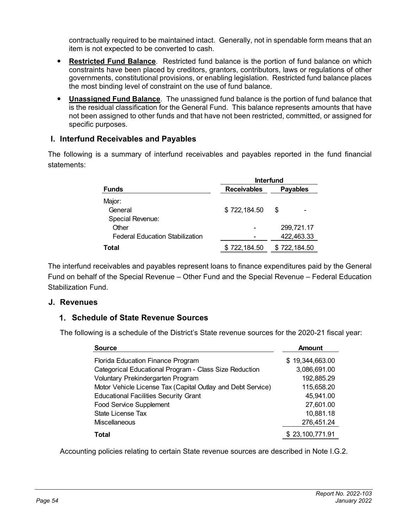contractually required to be maintained intact. Generally, not in spendable form means that an item is not expected to be converted to cash.

- **Restricted Fund Balance**. Restricted fund balance is the portion of fund balance on which constraints have been placed by creditors, grantors, contributors, laws or regulations of other governments, constitutional provisions, or enabling legislation. Restricted fund balance places the most binding level of constraint on the use of fund balance.
- **Unassigned Fund Balance**. The unassigned fund balance is the portion of fund balance that is the residual classification for the General Fund. This balance represents amounts that have not been assigned to other funds and that have not been restricted, committed, or assigned for specific purposes.

#### **I. Interfund Receivables and Payables**

The following is a summary of interfund receivables and payables reported in the fund financial statements:

|                                        | <b>Interfund</b>   |                 |
|----------------------------------------|--------------------|-----------------|
| <b>Funds</b>                           | <b>Receivables</b> | <b>Payables</b> |
| Major:                                 |                    |                 |
| General                                | \$722,184.50       | S               |
| Special Revenue:                       |                    |                 |
| Other                                  |                    | 299,721.17      |
| <b>Federal Education Stabilization</b> |                    | 422,463.33      |
| Total                                  | \$722,184.50       | \$722,184.50    |

The interfund receivables and payables represent loans to finance expenditures paid by the General Fund on behalf of the Special Revenue – Other Fund and the Special Revenue – Federal Education Stabilization Fund.

#### **J. Revenues**

#### **Schedule of State Revenue Sources**

The following is a schedule of the District's State revenue sources for the 2020-21 fiscal year:

| <b>Source</b>                                               | <b>Amount</b>   |
|-------------------------------------------------------------|-----------------|
| Florida Education Finance Program                           | \$19,344,663.00 |
| Categorical Educational Program - Class Size Reduction      | 3,086,691.00    |
| Voluntary Prekindergarten Program                           | 192,885.29      |
| Motor Vehicle License Tax (Capital Outlay and Debt Service) | 115,658.20      |
| <b>Educational Facilities Security Grant</b>                | 45,941.00       |
| <b>Food Service Supplement</b>                              | 27,601.00       |
| State License Tax                                           | 10,881.18       |
| Miscellaneous                                               | 276,451.24      |
| Total                                                       | \$23,100,771.91 |

Accounting policies relating to certain State revenue sources are described in Note I.G.2.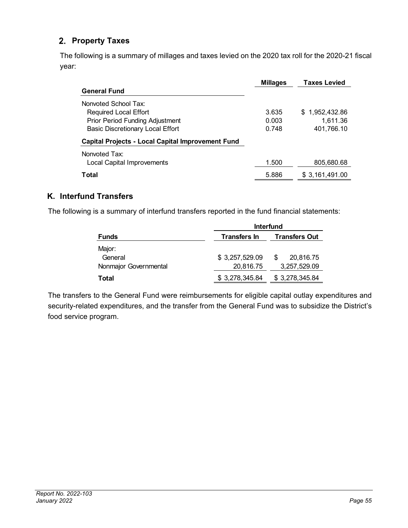## **Property Taxes**

The following is a summary of millages and taxes levied on the 2020 tax roll for the 2020-21 fiscal year:

|                                                          | <b>Millages</b> | <b>Taxes Levied</b> |
|----------------------------------------------------------|-----------------|---------------------|
| <b>General Fund</b>                                      |                 |                     |
| Nonvoted School Tax:                                     |                 |                     |
| <b>Required Local Effort</b>                             | 3.635           | \$1,952,432.86      |
| Prior Period Funding Adjustment                          | 0.003           | 1,611.36            |
| <b>Basic Discretionary Local Effort</b>                  | 0.748           | 401,766.10          |
| <b>Capital Projects - Local Capital Improvement Fund</b> |                 |                     |
| Nonvoted Tax:                                            |                 |                     |
| <b>Local Capital Improvements</b>                        | 1.500           | 805,680.68          |
| Total                                                    | 5.886           | \$3,161,491.00      |

#### **K. Interfund Transfers**

The following is a summary of interfund transfers reported in the fund financial statements:

|                       | <b>Interfund</b>    |                |  |  |
|-----------------------|---------------------|----------------|--|--|
| <b>Funds</b>          | <b>Transfers In</b> |                |  |  |
| Major:                |                     |                |  |  |
| General               | \$3,257,529.09      | 20,816.75<br>S |  |  |
| Nonmajor Governmental | 20,816.75           | 3,257,529.09   |  |  |
| Total                 | \$3,278,345.84      | \$3,278,345.84 |  |  |

The transfers to the General Fund were reimbursements for eligible capital outlay expenditures and security-related expenditures, and the transfer from the General Fund was to subsidize the District's food service program.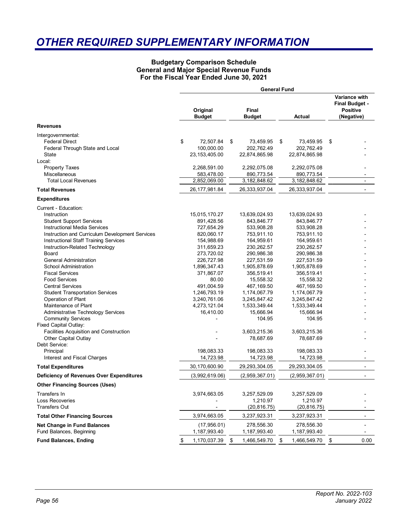## *OTHER REQUIRED SUPPLEMENTARY INFORMATION*

#### **Budgetary Comparison Schedule General and Major Special Revenue Funds For the Fiscal Year Ended June 30, 2021**

|                                                                        |                           | <b>General Fund</b>           |                           |                                                                         |
|------------------------------------------------------------------------|---------------------------|-------------------------------|---------------------------|-------------------------------------------------------------------------|
|                                                                        | Original<br><b>Budget</b> | <b>Final</b><br><b>Budget</b> | <b>Actual</b>             | Variance with<br><b>Final Budget -</b><br><b>Positive</b><br>(Negative) |
| <b>Revenues</b>                                                        |                           |                               |                           |                                                                         |
| Intergovernmental:                                                     |                           |                               |                           |                                                                         |
| <b>Federal Direct</b>                                                  | \$<br>72,507.84           | \$<br>73,459.95               | \$<br>73,459.95           | \$                                                                      |
| Federal Through State and Local                                        | 100,000.00                | 202,762.49                    | 202,762.49                |                                                                         |
| State                                                                  | 23, 153, 405.00           | 22,874,865.98                 | 22,874,865.98             |                                                                         |
| Local:                                                                 |                           |                               |                           |                                                                         |
| <b>Property Taxes</b>                                                  | 2,268,591.00              | 2,292,075.08                  | 2,292,075.08              |                                                                         |
| Miscellaneous                                                          | 583,478.00                | 890,773.54                    | 890,773.54                |                                                                         |
| <b>Total Local Revenues</b>                                            | 2,852,069.00              | 3,182,848.62                  | 3,182,848.62              | $\overline{\phantom{a}}$                                                |
| <b>Total Revenues</b>                                                  | 26, 177, 981.84           | 26,333,937.04                 | 26,333,937.04             |                                                                         |
| <b>Expenditures</b>                                                    |                           |                               |                           |                                                                         |
| Current - Education:                                                   |                           |                               |                           |                                                                         |
| Instruction                                                            | 15,015,170.27             | 13,639,024.93                 | 13,639,024.93             |                                                                         |
| <b>Student Support Services</b>                                        | 891,428.56                | 843,846.77                    | 843,846.77                |                                                                         |
| <b>Instructional Media Services</b>                                    | 727,654.29                | 533,908.28                    | 533,908.28                |                                                                         |
| Instruction and Curriculum Development Services                        | 820,060.17                | 753,911.10                    | 753,911.10                |                                                                         |
| <b>Instructional Staff Training Services</b>                           | 154,988.69                | 164,959.61                    | 164,959.61                |                                                                         |
| Instruction-Related Technology                                         | 311,659.23                | 230, 262.57                   | 230, 262.57               |                                                                         |
| Board                                                                  | 273,720.02                | 290,986.38                    | 290,986.38                |                                                                         |
| <b>General Administration</b>                                          | 226,727.98                | 227,531.59                    | 227,531.59                |                                                                         |
| School Administration                                                  | 1,896,347.43              | 1,905,878.69                  | 1,905,878.69              |                                                                         |
| <b>Fiscal Services</b>                                                 | 371,867.07                | 356,519.41                    | 356,519.41                |                                                                         |
| <b>Food Services</b>                                                   | 80.00                     | 15,558.32                     | 15,558.32                 |                                                                         |
| <b>Central Services</b>                                                | 491,004.59                | 467,169.50                    | 467,169.50                |                                                                         |
| <b>Student Transportation Services</b>                                 | 1,246,793.19              | 1,174,067.79                  | 1,174,067.79              |                                                                         |
| Operation of Plant                                                     | 3,240,761.06              | 3,245,847.42                  | 3,245,847.42              |                                                                         |
| Maintenance of Plant                                                   | 4,273,121.04<br>16,410.00 | 1,533,349.44<br>15,666.94     | 1,533,349.44<br>15,666.94 |                                                                         |
| <b>Administrative Technology Services</b><br><b>Community Services</b> |                           | 104.95                        | 104.95                    |                                                                         |
| Fixed Capital Outlay:                                                  |                           |                               |                           |                                                                         |
| Facilities Acquisition and Construction                                |                           | 3,603,215.36                  | 3,603,215.36              |                                                                         |
| <b>Other Capital Outlay</b>                                            |                           | 78,687.69                     | 78,687.69                 |                                                                         |
| Debt Service:                                                          |                           |                               |                           |                                                                         |
| Principal                                                              | 198.083.33                | 198,083.33                    | 198,083.33                |                                                                         |
| Interest and Fiscal Charges                                            | 14,723.98                 | 14,723.98                     | 14,723.98                 |                                                                         |
| <b>Total Expenditures</b>                                              | 30,170,600.90             | 29,293,304.05                 | 29,293,304.05             | $\overline{\phantom{a}}$                                                |
| Deficiency of Revenues Over Expenditures                               | (3,992,619.06)            | (2,959,367.01)                | (2,959,367.01)            |                                                                         |
| <b>Other Financing Sources (Uses)</b>                                  |                           |                               |                           |                                                                         |
| Transfers In                                                           | 3,974,663.05              | 3,257,529.09                  | 3,257,529.09              |                                                                         |
| Loss Recoveries                                                        |                           | 1,210.97                      | 1,210.97                  |                                                                         |
| <b>Transfers Out</b>                                                   |                           | (20, 816.75)                  | (20, 816.75)              |                                                                         |
| <b>Total Other Financing Sources</b>                                   | 3,974,663.05              | 3,237,923.31                  | 3,237,923.31              |                                                                         |
|                                                                        |                           |                               |                           |                                                                         |
| Net Change in Fund Balances                                            | (17, 956.01)              | 278,556.30                    | 278,556.30                |                                                                         |
| Fund Balances, Beginning                                               | 1,187,993.40              | 1,187,993.40                  | 1,187,993.40              |                                                                         |
| <b>Fund Balances, Ending</b>                                           | \$<br>1,170,037.39        | \$<br>1,466,549.70            | \$<br>1,466,549.70        | \$<br>0.00                                                              |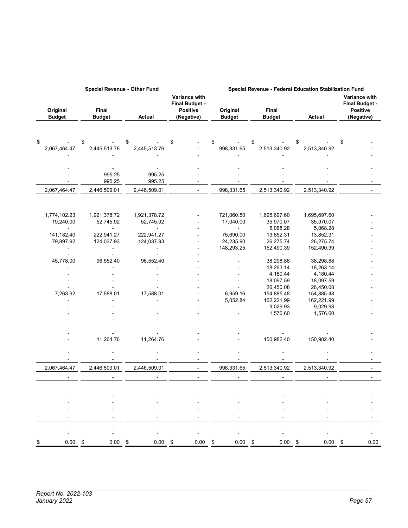| Special Revenue - Other Fund |                           |                        |                          |                                                                         |    | Special Revenue - Federal Education Stabilization Fund |    |                        |                   |                |    |                                                                  |  |
|------------------------------|---------------------------|------------------------|--------------------------|-------------------------------------------------------------------------|----|--------------------------------------------------------|----|------------------------|-------------------|----------------|----|------------------------------------------------------------------|--|
|                              | Original<br><b>Budget</b> | Final<br><b>Budget</b> | Actual                   | Variance with<br><b>Final Budget -</b><br><b>Positive</b><br>(Negative) |    | Original<br><b>Budget</b>                              |    | Final<br><b>Budget</b> |                   | Actual         |    | Variance with<br>Final Budget -<br><b>Positive</b><br>(Negative) |  |
|                              |                           |                        |                          |                                                                         |    |                                                        |    |                        |                   |                |    |                                                                  |  |
| \$                           |                           | \$                     | \$                       | \$                                                                      | \$ |                                                        | \$ |                        | \$                |                | \$ |                                                                  |  |
|                              | 2,067,464.47              | 2,445,513.76           | 2,445,513.76             |                                                                         |    | 998,331.65                                             |    | 2,513,340.92           |                   | 2,513,340.92   |    |                                                                  |  |
|                              |                           |                        |                          |                                                                         |    |                                                        |    |                        |                   |                |    |                                                                  |  |
|                              |                           | 995.25                 | 995.25                   | $\blacksquare$                                                          |    |                                                        |    |                        |                   |                |    |                                                                  |  |
|                              |                           | 995.25                 | 995.25                   | $\blacksquare$                                                          |    |                                                        |    |                        |                   |                |    |                                                                  |  |
|                              | 2,067,464.47              | 2,446,509.01           | 2,446,509.01             | $\overline{\phantom{a}}$                                                |    | 998,331.65                                             |    | 2,513,340.92           |                   | 2,513,340.92   |    |                                                                  |  |
|                              |                           |                        |                          |                                                                         |    |                                                        |    |                        |                   |                |    |                                                                  |  |
|                              | 1,774,102.23              | 1,921,378.72           | 1,921,378.72             |                                                                         |    | 721,060.50                                             |    | 1,695,697.60           |                   | 1,695,697.60   |    |                                                                  |  |
|                              | 19,240.00                 | 52,745.92              | 52,745.92                |                                                                         |    | 17,040.00                                              |    | 35,970.07              |                   | 35,970.07      |    |                                                                  |  |
|                              |                           |                        |                          |                                                                         |    |                                                        |    | 5,068.28               |                   | 5,068.28       |    |                                                                  |  |
|                              | 141,182.40                | 222,941.27             | 222,941.27               |                                                                         |    | 75,690.00                                              |    | 13,852.31              |                   | 13,852.31      |    |                                                                  |  |
|                              | 79,897.92                 | 124,037.93             | 124,037.93               |                                                                         |    | 24,235.90                                              |    | 26,275.74              |                   | 26,275.74      |    |                                                                  |  |
|                              |                           |                        |                          |                                                                         |    | 148,293.25                                             |    | 152,490.39             |                   | 152,490.39     |    |                                                                  |  |
|                              |                           |                        |                          |                                                                         |    |                                                        |    |                        |                   | $\blacksquare$ |    |                                                                  |  |
|                              | 45,778.00                 | 96,552.40              | 96,552.40                |                                                                         |    |                                                        |    | 38,298.88              |                   | 38,298.88      |    |                                                                  |  |
|                              |                           |                        |                          |                                                                         |    |                                                        |    | 18,263.14              |                   | 18,263.14      |    |                                                                  |  |
|                              |                           |                        |                          |                                                                         |    |                                                        |    | 4,180.44               |                   | 4,180.44       |    |                                                                  |  |
|                              |                           |                        |                          |                                                                         |    |                                                        |    | 18,097.59              |                   | 18,097.59      |    |                                                                  |  |
|                              |                           |                        |                          |                                                                         |    |                                                        |    | 26,450.08              |                   | 26,450.08      |    |                                                                  |  |
|                              | 7,263.92                  | 17,588.01              | 17,588.01                |                                                                         |    | 6,959.16                                               |    | 154,885.48             |                   | 154,885.48     |    |                                                                  |  |
|                              |                           |                        |                          |                                                                         |    | 5,052.84                                               |    | 162,221.99             |                   | 162,221.99     |    |                                                                  |  |
|                              |                           |                        |                          |                                                                         |    |                                                        |    | 9,029.93               |                   | 9,029.93       |    |                                                                  |  |
|                              |                           |                        |                          |                                                                         |    |                                                        |    | 1,576.60               |                   | 1,576.60       |    |                                                                  |  |
|                              |                           |                        |                          |                                                                         |    |                                                        |    |                        |                   |                |    |                                                                  |  |
|                              |                           |                        |                          |                                                                         |    |                                                        |    |                        |                   |                |    |                                                                  |  |
|                              |                           | 11,264.76              | 11,264.76                |                                                                         |    |                                                        |    | 150,982.40             |                   | 150,982.40     |    |                                                                  |  |
|                              |                           |                        |                          |                                                                         |    |                                                        |    |                        |                   |                |    |                                                                  |  |
|                              |                           |                        |                          |                                                                         |    |                                                        |    |                        |                   |                |    |                                                                  |  |
|                              | 2,067,464.47              | 2,446,509.01           | 2,446,509.01             |                                                                         |    | 998,331.65                                             |    | 2,513,340.92           |                   | 2,513,340.92   |    |                                                                  |  |
|                              |                           |                        |                          | $\overline{\phantom{a}}$                                                |    |                                                        |    |                        |                   |                |    |                                                                  |  |
|                              |                           |                        |                          |                                                                         |    |                                                        |    |                        |                   |                |    |                                                                  |  |
|                              |                           |                        |                          |                                                                         |    |                                                        |    |                        |                   |                |    |                                                                  |  |
|                              |                           |                        |                          |                                                                         |    |                                                        |    |                        |                   |                |    |                                                                  |  |
|                              |                           |                        | $\overline{\phantom{a}}$ |                                                                         |    |                                                        |    |                        |                   |                |    |                                                                  |  |
|                              |                           |                        |                          |                                                                         |    |                                                        |    |                        |                   |                |    |                                                                  |  |
|                              |                           |                        |                          |                                                                         |    |                                                        |    |                        |                   |                |    |                                                                  |  |
| \$                           | $0.00$ \$                 | 0.00                   | $\sqrt[6]{3}$<br>0.00    | $\sqrt{3}$<br>0.00                                                      | \$ | 0.00                                                   | \$ | 0.00                   | $\boldsymbol{\$}$ | $0.00$ \$      |    | 0.00                                                             |  |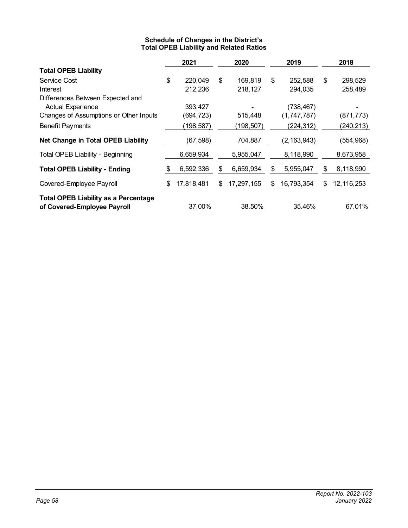#### **Schedule of Changes in the District's Total OPEB Liability and Related Ratios**

|                                                                            | 2021             | 2020             | 2019             | 2018             |
|----------------------------------------------------------------------------|------------------|------------------|------------------|------------------|
| <b>Total OPEB Liability</b>                                                |                  |                  |                  |                  |
| Service Cost                                                               | \$<br>220,049    | \$<br>169,819    | \$<br>252,588    | \$<br>298,529    |
| Interest                                                                   | 212,236          | 218,127          | 294,035          | 258,489          |
| Differences Between Expected and                                           |                  |                  |                  |                  |
| <b>Actual Experience</b>                                                   | 393,427          |                  | (738, 467)       |                  |
| Changes of Assumptions or Other Inputs                                     | (694,723)        | 515,448          | (1,747,787)      | (871, 773)       |
| <b>Benefit Payments</b>                                                    | (198,587)        | (198, 507)       | (224,312)        | (240, 213)       |
| Net Change in Total OPEB Liability                                         | (67,598)         | 704,887          | (2, 163, 943)    | (554,968)        |
| Total OPEB Liability - Beginning                                           | 6,659,934        | 5,955,047        | 8,118,990        | 8,673,958        |
| <b>Total OPEB Liability - Ending</b>                                       | 6,592,336        | \$<br>6,659,934  | \$<br>5,955,047  | \$<br>8,118,990  |
| Covered-Employee Payroll                                                   | \$<br>17,818,481 | \$<br>17,297,155 | \$<br>16,793,354 | \$<br>12,116,253 |
| <b>Total OPEB Liability as a Percentage</b><br>of Covered-Employee Payroll | 37.00%           | 38.50%           | 35.46%           | 67.01%           |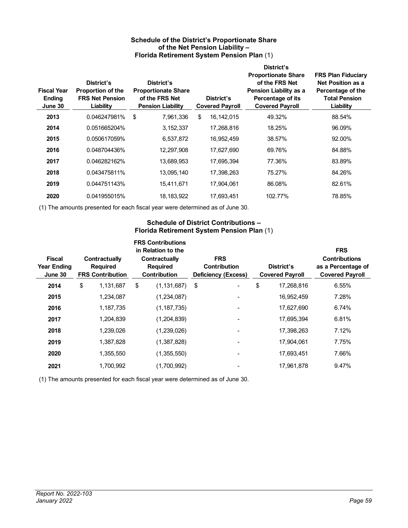#### **Schedule of the District's Proportionate Share of the Net Pension Liability – Florida Retirement System Pension Plan** (1)

| <b>Fiscal Year</b><br><b>Ending</b> | District's<br><b>Proportion of the</b><br><b>FRS Net Pension</b> | District's<br><b>Proportionate Share</b><br>of the FRS Net | District's             | District's<br><b>Proportionate Share</b><br>of the FRS Net<br>Pension Liability as a<br>Percentage of its | <b>FRS Plan Fiduciary</b><br>Net Position as a<br>Percentage of the<br><b>Total Pension</b> |
|-------------------------------------|------------------------------------------------------------------|------------------------------------------------------------|------------------------|-----------------------------------------------------------------------------------------------------------|---------------------------------------------------------------------------------------------|
| June 30                             | Liability                                                        | <b>Pension Liability</b>                                   | <b>Covered Payroll</b> | <b>Covered Payroll</b>                                                                                    | Liability                                                                                   |
| 2013                                | 0.046247981%                                                     | \$<br>7,961,336                                            | \$<br>16, 142, 015     | 49.32%                                                                                                    | 88.54%                                                                                      |
| 2014                                | 0.051665204%                                                     | 3, 152, 337                                                | 17,268,816             | 18.25%                                                                                                    | 96.09%                                                                                      |
| 2015                                | 0.050617059%                                                     | 6,537,872                                                  | 16,952,459             | 38.57%                                                                                                    | 92.00%                                                                                      |
| 2016                                | 0.048704436%                                                     | 12.297.908                                                 | 17,627,690             | 69.76%                                                                                                    | 84.88%                                                                                      |
| 2017                                | 0.046282162%                                                     | 13,689,953                                                 | 17,695,394             | 77.36%                                                                                                    | 83.89%                                                                                      |
| 2018                                | 0.043475811%                                                     | 13,095,140                                                 | 17,398,263             | 75.27%                                                                                                    | 84.26%                                                                                      |
| 2019                                | 0.044751143%                                                     | 15,411,671                                                 | 17,904,061             | 86.08%                                                                                                    | 82.61%                                                                                      |
| 2020                                | 0.041955015%                                                     | 18, 183, 922                                               | 17,693,451             | 102.77%                                                                                                   | 78.85%                                                                                      |

(1) The amounts presented for each fiscal year were determined as of June 30.

#### **Schedule of District Contributions – Florida Retirement System Pension Plan** (1)

| <b>FRS Contribution</b><br>June 30<br><b>Contribution</b><br><b>Deficiency (Excess)</b><br><b>Covered Payroll</b><br><b>Covered Payroll</b> |       |
|---------------------------------------------------------------------------------------------------------------------------------------------|-------|
| \$<br>\$<br>1,131,687<br>\$<br>\$<br>17,268,816<br>(1, 131, 687)<br>2014                                                                    | 6.55% |
| 2015<br>1,234,087<br>16,952,459<br>(1,234,087)                                                                                              | 7.28% |
| 2016<br>1,187,735<br>(1, 187, 735)<br>17,627,690                                                                                            | 6.74% |
| 1,204,839<br>(1,204,839)<br>17.695.394<br>2017                                                                                              | 6.81% |
| 1,239,026<br>(1,239,026)<br>17,398,263<br>2018                                                                                              | 7.12% |
| 2019<br>1,387,828<br>(1,387,828)<br>17,904,061                                                                                              | 7.75% |
| 17,693,451<br>1,355,550<br>(1,355,550)<br>2020                                                                                              | 7.66% |
| (1,700,992)<br>1,700,992<br>17.961.878<br>2021                                                                                              | 9.47% |

(1) The amounts presented for each fiscal year were determined as of June 30.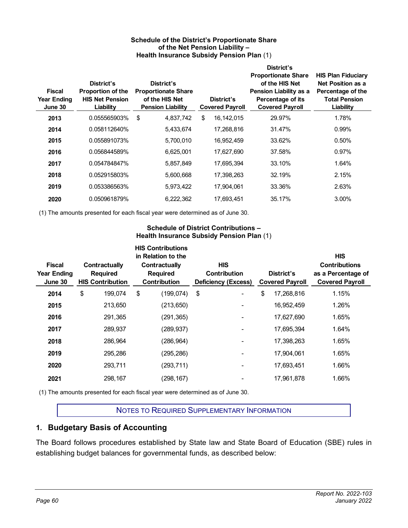#### **Schedule of the District's Proportionate Share of the Net Pension Liability – Health Insurance Subsidy Pension Plan** (1)

| <b>Fiscal</b><br><b>Year Ending</b><br>June 30 | District's<br>Proportion of the<br><b>HIS Net Pension</b><br>Liability | District's<br><b>Proportionate Share</b><br>of the HIS Net<br><b>Pension Liability</b> | District's<br><b>Covered Payroll</b> | District's<br><b>Proportionate Share</b><br>of the HIS Net<br>Pension Liability as a<br>Percentage of its<br><b>Covered Payroll</b> | <b>HIS Plan Fiduciary</b><br>Net Position as a<br>Percentage of the<br><b>Total Pension</b><br>Liability |
|------------------------------------------------|------------------------------------------------------------------------|----------------------------------------------------------------------------------------|--------------------------------------|-------------------------------------------------------------------------------------------------------------------------------------|----------------------------------------------------------------------------------------------------------|
| 2013                                           | 0.055565903%                                                           | \$<br>4,837,742                                                                        | \$<br>16, 142, 015                   | 29.97%                                                                                                                              | 1.78%                                                                                                    |
| 2014                                           | 0.058112640%                                                           | 5,433,674                                                                              | 17,268,816                           | 31.47%                                                                                                                              | 0.99%                                                                                                    |
| 2015                                           | 0.055891073%                                                           | 5,700,010                                                                              | 16,952,459                           | 33.62%                                                                                                                              | 0.50%                                                                                                    |
| 2016                                           | 0.056844589%                                                           | 6,625,001                                                                              | 17,627,690                           | 37.58%                                                                                                                              | 0.97%                                                                                                    |
| 2017                                           | 0.054784847%                                                           | 5,857,849                                                                              | 17,695,394                           | 33.10%                                                                                                                              | 1.64%                                                                                                    |
| 2018                                           | 0.052915803%                                                           | 5,600,668                                                                              | 17,398,263                           | 32.19%                                                                                                                              | 2.15%                                                                                                    |
| 2019                                           | 0.053386563%                                                           | 5,973,422                                                                              | 17,904,061                           | 33.36%                                                                                                                              | 2.63%                                                                                                    |
| 2020                                           | 0.050961879%                                                           | 6,222,362                                                                              | 17.693.451                           | 35.17%                                                                                                                              | 3.00%                                                                                                    |

(1) The amounts presented for each fiscal year were determined as of June 30.

#### **Schedule of District Contributions – Health Insurance Subsidy Pension Plan** (1)

| <b>Fiscal</b><br><b>Year Ending</b><br>June 30 | Contractually<br><b>Required</b><br><b>HIS Contribution</b> | <b>HIS Contributions</b><br>in Relation to the<br><b>Contractually</b><br><b>Required</b><br><b>Contribution</b> | <b>HIS</b><br>Contribution<br>Deficiency (Excess) | District's<br><b>Covered Payroll</b> | <b>HIS</b><br><b>Contributions</b><br>as a Percentage of<br><b>Covered Payroll</b> |
|------------------------------------------------|-------------------------------------------------------------|------------------------------------------------------------------------------------------------------------------|---------------------------------------------------|--------------------------------------|------------------------------------------------------------------------------------|
| 2014                                           | \$<br>199.074                                               | \$<br>(199,074)                                                                                                  | \$                                                | \$<br>17,268,816                     | 1.15%                                                                              |
| 2015                                           | 213,650                                                     | (213, 650)                                                                                                       |                                                   | 16,952,459                           | 1.26%                                                                              |
| 2016                                           | 291,365                                                     | (291, 365)                                                                                                       |                                                   | 17,627,690                           | 1.65%                                                                              |
| 2017                                           | 289,937                                                     | (289, 937)                                                                                                       |                                                   | 17,695,394                           | 1.64%                                                                              |
| 2018                                           | 286,964                                                     | (286, 964)                                                                                                       |                                                   | 17,398,263                           | 1.65%                                                                              |
| 2019                                           | 295,286                                                     | (295, 286)                                                                                                       |                                                   | 17,904,061                           | 1.65%                                                                              |
| 2020                                           | 293,711                                                     | (293, 711)                                                                                                       |                                                   | 17,693,451                           | 1.66%                                                                              |
| 2021                                           | 298,167                                                     | (298, 167)                                                                                                       |                                                   | 17,961,878                           | 1.66%                                                                              |
|                                                |                                                             |                                                                                                                  |                                                   |                                      |                                                                                    |

(1) The amounts presented for each fiscal year were determined as of June 30.

NOTES TO REQUIRED SUPPLEMENTARY INFORMATION

#### **1. Budgetary Basis of Accounting**

The Board follows procedures established by State law and State Board of Education (SBE) rules in establishing budget balances for governmental funds, as described below: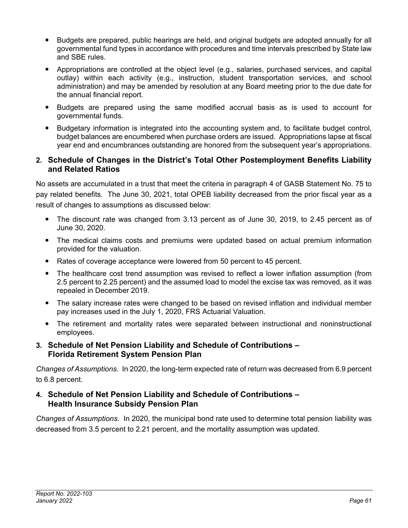- Budgets are prepared, public hearings are held, and original budgets are adopted annually for all governmental fund types in accordance with procedures and time intervals prescribed by State law and SBE rules.
- Appropriations are controlled at the object level (e.g., salaries, purchased services, and capital outlay) within each activity (e.g., instruction, student transportation services, and school administration) and may be amended by resolution at any Board meeting prior to the due date for the annual financial report.
- Budgets are prepared using the same modified accrual basis as is used to account for governmental funds.
- Budgetary information is integrated into the accounting system and, to facilitate budget control, budget balances are encumbered when purchase orders are issued. Appropriations lapse at fiscal year end and encumbrances outstanding are honored from the subsequent year's appropriations.

#### **2. Schedule of Changes in the District's Total Other Postemployment Benefits Liability and Related Ratios**

No assets are accumulated in a trust that meet the criteria in paragraph 4 of GASB Statement No. 75 to pay related benefits. The June 30, 2021, total OPEB liability decreased from the prior fiscal year as a result of changes to assumptions as discussed below:

- The discount rate was changed from 3.13 percent as of June 30, 2019, to 2.45 percent as of June 30, 2020.
- The medical claims costs and premiums were updated based on actual premium information provided for the valuation.
- Rates of coverage acceptance were lowered from 50 percent to 45 percent.
- The healthcare cost trend assumption was revised to reflect a lower inflation assumption (from 2.5 percent to 2.25 percent) and the assumed load to model the excise tax was removed, as it was repealed in December 2019.
- The salary increase rates were changed to be based on revised inflation and individual member pay increases used in the July 1, 2020, FRS Actuarial Valuation.
- The retirement and mortality rates were separated between instructional and noninstructional employees.
- **3. Schedule of Net Pension Liability and Schedule of Contributions Florida Retirement System Pension Plan**

*Changes of Assumptions.* In 2020, the long-term expected rate of return was decreased from 6.9 percent to 6.8 percent.

#### **4. Schedule of Net Pension Liability and Schedule of Contributions – Health Insurance Subsidy Pension Plan**

*Changes of Assumptions.* In 2020, the municipal bond rate used to determine total pension liability was decreased from 3.5 percent to 2.21 percent, and the mortality assumption was updated.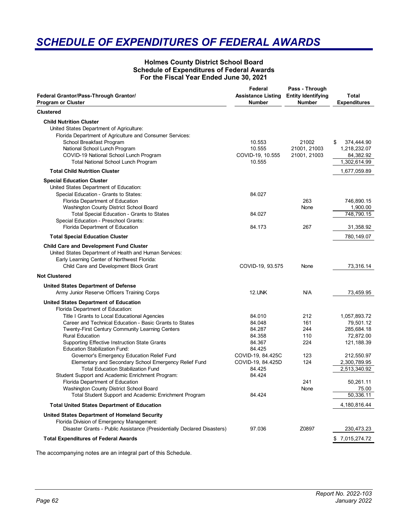## *SCHEDULE OF EXPENDITURES OF FEDERAL AWARDS*

#### **Holmes County District School Board Schedule of Expenditures of Federal Awards For the Fiscal Year Ended June 30, 2021**

| Federal Grantor/Pass-Through Grantor/<br><b>Program or Cluster</b>                                                                                                                         | Federal<br><b>Assistance Listing</b><br><b>Number</b>      | Pass - Through<br><b>Entity Identifying</b><br><b>Number</b> | <b>Total</b><br><b>Expenditures</b>                           |
|--------------------------------------------------------------------------------------------------------------------------------------------------------------------------------------------|------------------------------------------------------------|--------------------------------------------------------------|---------------------------------------------------------------|
| <b>Clustered</b>                                                                                                                                                                           |                                                            |                                                              |                                                               |
| <b>Child Nutrition Cluster</b><br>United States Department of Agriculture:<br>Florida Department of Agriculture and Consumer Services:                                                     |                                                            |                                                              |                                                               |
| School Breakfast Program<br>National School Lunch Program<br>COVID-19 National School Lunch Program<br><b>Total National School Lunch Program</b>                                          | 10.553<br>10.555<br>COVID-19, 10.555<br>10.555             | 21002<br>21001, 21003<br>21001, 21003                        | \$<br>374,444.90<br>1,218,232.07<br>84,382.92<br>1,302,614.99 |
| <b>Total Child Nutrition Cluster</b>                                                                                                                                                       |                                                            |                                                              | 1,677,059.89                                                  |
| <b>Special Education Cluster</b><br>United States Department of Education:<br>Special Education - Grants to States:                                                                        | 84.027                                                     |                                                              |                                                               |
| Florida Department of Education<br>Washington County District School Board<br>Total Special Education - Grants to States                                                                   | 84.027                                                     | 263<br>None                                                  | 746,890.15<br>1,900.00<br>748,790.15                          |
| Special Education - Preschool Grants:<br>Florida Department of Education                                                                                                                   | 84.173                                                     | 267                                                          | 31,358.92                                                     |
| <b>Total Special Education Cluster</b>                                                                                                                                                     |                                                            |                                                              | 780,149.07                                                    |
| Child Care and Development Fund Cluster<br>United States Department of Health and Human Services:<br>Early Learning Center of Northwest Florida:<br>Child Care and Development Block Grant | COVID-19, 93.575                                           | None                                                         | 73,316.14                                                     |
| <b>Not Clustered</b>                                                                                                                                                                       |                                                            |                                                              |                                                               |
| <b>United States Department of Defense</b><br>Army Junior Reserve Officers Training Corps                                                                                                  | <b>12.UNK</b>                                              | <b>N/A</b>                                                   | 73,459.95                                                     |
| United States Department of Education<br>Florida Department of Education:                                                                                                                  |                                                            |                                                              |                                                               |
| Title I Grants to Local Educational Agencies<br>Career and Technical Education - Basic Grants to States                                                                                    | 84.010<br>84.048                                           | 212<br>161                                                   | 1,057,893.72<br>79,501.12                                     |
| Twenty-First Century Community Learning Centers<br><b>Rural Education</b><br>Supporting Effective Instruction State Grants                                                                 | 84.287<br>84.358<br>84.367                                 | 244<br>110<br>224                                            | 285,684.18<br>72,872.00<br>121,188.39                         |
| <b>Education Stabilization Fund:</b><br>Governor's Emergency Education Relief Fund<br>Elementary and Secondary School Emergency Relief Fund<br><b>Total Education Stabilization Fund</b>   | 84.425<br>COVID-19, 84.425C<br>COVID-19, 84.425D<br>84.425 | 123<br>124                                                   | 212,550.97<br>2,300,789.95<br>2,513,340.92                    |
| Student Support and Academic Enrichment Program:<br>Florida Department of Education<br>Washington County District School Board<br>Total Student Support and Academic Enrichment Program    | 84.424<br>84.424                                           | 241<br>None                                                  | 50,261.11<br>75.00<br>50,336.11                               |
| <b>Total United States Department of Education</b>                                                                                                                                         |                                                            |                                                              | 4,180,816.44                                                  |
| United States Department of Homeland Security                                                                                                                                              |                                                            |                                                              |                                                               |
| Florida Division of Emergency Management:<br>Disaster Grants - Public Assistance (Presidentially Declared Disasters)                                                                       | 97.036                                                     | Z0897                                                        | 230,473.23                                                    |
| <b>Total Expenditures of Federal Awards</b>                                                                                                                                                |                                                            |                                                              | \$7,015,274.72                                                |

The accompanying notes are an integral part of this Schedule.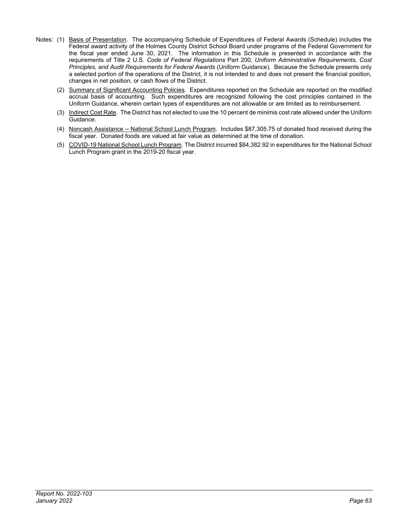- Notes: (1) Basis of Presentation. The accompanying Schedule of Expenditures of Federal Awards (Schedule) includes the Federal award activity of the Holmes County District School Board under programs of the Federal Government for the fiscal year ended June 30, 2021. The information in this Schedule is presented in accordance with the requirements of Title 2 U.S. *Code of Federal Regulations* Part 200, *Uniform Administrative Requirements, Cost Principles, and Audit Requirements for Federal Awards* (Uniform Guidance). Because the Schedule presents only a selected portion of the operations of the District, it is not intended to and does not present the financial position, changes in net position, or cash flows of the District.
	- (2) Summary of Significant Accounting Policies. Expenditures reported on the Schedule are reported on the modified accrual basis of accounting. Such expenditures are recognized following the cost principles contained in the Uniform Guidance, wherein certain types of expenditures are not allowable or are limited as to reimbursement.
	- (3) Indirect Cost Rate. The District has not elected to use the 10 percent de minimis cost rate allowed under the Uniform Guidance.
	- (4) Noncash Assistance National School Lunch Program. Includes \$87,305.75 of donated food received during the fiscal year. Donated foods are valued at fair value as determined at the time of donation.
	- (5) COVID-19 National School Lunch Program. The District incurred \$84,382.92 in expenditures for the National School Lunch Program grant in the 2019-20 fiscal year.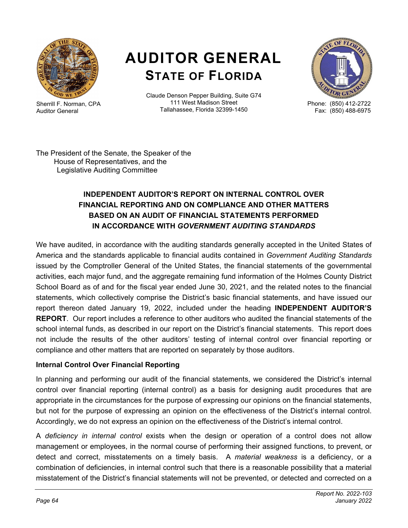

Sherrill F. Norman, CPA Auditor General

# **AUDITOR GENERAL STATE OF FLORIDA**

Claude Denson Pepper Building, Suite G74 111 West Madison Street Tallahassee, Florida 32399-1450



Phone: (850) 412-2722 Fax: (850) 488-6975

The President of the Senate, the Speaker of the House of Representatives, and the Legislative Auditing Committee

## **INDEPENDENT AUDITOR'S REPORT ON INTERNAL CONTROL OVER FINANCIAL REPORTING AND ON COMPLIANCE AND OTHER MATTERS BASED ON AN AUDIT OF FINANCIAL STATEMENTS PERFORMED IN ACCORDANCE WITH** *GOVERNMENT AUDITING STANDARDS*

We have audited, in accordance with the auditing standards generally accepted in the United States of America and the standards applicable to financial audits contained in *Government Auditing Standards* issued by the Comptroller General of the United States, the financial statements of the governmental activities, each major fund, and the aggregate remaining fund information of the Holmes County District School Board as of and for the fiscal year ended June 30, 2021, and the related notes to the financial statements, which collectively comprise the District's basic financial statements, and have issued our report thereon dated January 19, 2022, included under the heading **INDEPENDENT AUDITOR'S REPORT**. Our report includes a reference to other auditors who audited the financial statements of the school internal funds, as described in our report on the District's financial statements. This report does not include the results of the other auditors' testing of internal control over financial reporting or compliance and other matters that are reported on separately by those auditors.

#### **Internal Control Over Financial Reporting**

In planning and performing our audit of the financial statements, we considered the District's internal control over financial reporting (internal control) as a basis for designing audit procedures that are appropriate in the circumstances for the purpose of expressing our opinions on the financial statements, but not for the purpose of expressing an opinion on the effectiveness of the District's internal control. Accordingly, we do not express an opinion on the effectiveness of the District's internal control.

A *deficiency in internal control* exists when the design or operation of a control does not allow management or employees, in the normal course of performing their assigned functions, to prevent, or detect and correct, misstatements on a timely basis. A *material weakness* is a deficiency, or a combination of deficiencies, in internal control such that there is a reasonable possibility that a material misstatement of the District's financial statements will not be prevented, or detected and corrected on a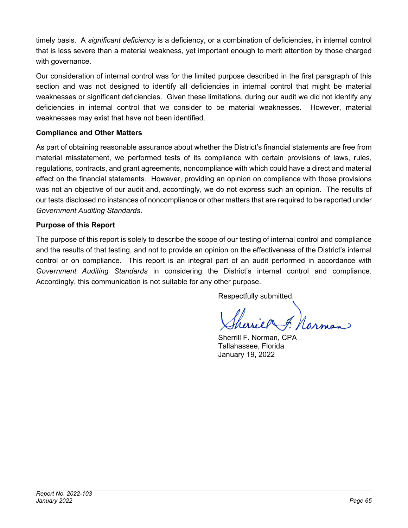timely basis. A *significant deficiency* is a deficiency, or a combination of deficiencies, in internal control that is less severe than a material weakness, yet important enough to merit attention by those charged with governance.

Our consideration of internal control was for the limited purpose described in the first paragraph of this section and was not designed to identify all deficiencies in internal control that might be material weaknesses or significant deficiencies. Given these limitations, during our audit we did not identify any deficiencies in internal control that we consider to be material weaknesses. However, material weaknesses may exist that have not been identified.

#### **Compliance and Other Matters**

As part of obtaining reasonable assurance about whether the District's financial statements are free from material misstatement, we performed tests of its compliance with certain provisions of laws, rules, regulations, contracts, and grant agreements, noncompliance with which could have a direct and material effect on the financial statements. However, providing an opinion on compliance with those provisions was not an objective of our audit and, accordingly, we do not express such an opinion. The results of our tests disclosed no instances of noncompliance or other matters that are required to be reported under *Government Auditing Standards*.

#### **Purpose of this Report**

The purpose of this report is solely to describe the scope of our testing of internal control and compliance and the results of that testing, and not to provide an opinion on the effectiveness of the District's internal control or on compliance. This report is an integral part of an audit performed in accordance with *Government Auditing Standards* in considering the District's internal control and compliance. Accordingly, this communication is not suitable for any other purpose.

Respectfully submitted,

Sherrill F. Norman, CPA Tallahassee, Florida January 19, 2022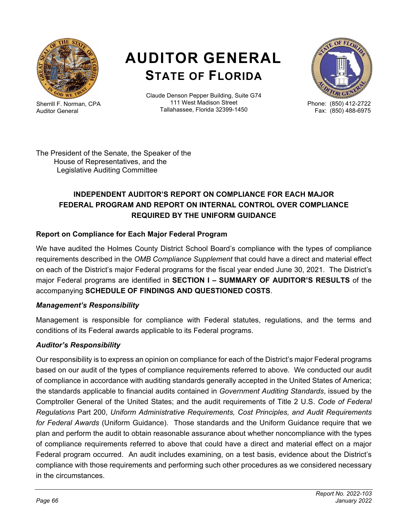

Sherrill F. Norman, CPA Auditor General

# **AUDITOR GENERAL STATE OF FLORIDA**

Claude Denson Pepper Building, Suite G74 111 West Madison Street Tallahassee, Florida 32399-1450



Phone: (850) 412-2722 Fax: (850) 488-6975

The President of the Senate, the Speaker of the House of Representatives, and the Legislative Auditing Committee

## **INDEPENDENT AUDITOR'S REPORT ON COMPLIANCE FOR EACH MAJOR FEDERAL PROGRAM AND REPORT ON INTERNAL CONTROL OVER COMPLIANCE REQUIRED BY THE UNIFORM GUIDANCE**

#### **Report on Compliance for Each Major Federal Program**

We have audited the Holmes County District School Board's compliance with the types of compliance requirements described in the *OMB Compliance Supplement* that could have a direct and material effect on each of the District's major Federal programs for the fiscal year ended June 30, 2021. The District's major Federal programs are identified in **SECTION I – SUMMARY OF AUDITOR'S RESULTS** of the accompanying **SCHEDULE OF FINDINGS AND QUESTIONED COSTS**.

#### *Management's Responsibility*

Management is responsible for compliance with Federal statutes, regulations, and the terms and conditions of its Federal awards applicable to its Federal programs.

#### *Auditor's Responsibility*

Our responsibility is to express an opinion on compliance for each of the District's major Federal programs based on our audit of the types of compliance requirements referred to above. We conducted our audit of compliance in accordance with auditing standards generally accepted in the United States of America; the standards applicable to financial audits contained in *Government Auditing Standards*, issued by the Comptroller General of the United States; and the audit requirements of Title 2 U.S. *Code of Federal Regulations* Part 200, *Uniform Administrative Requirements, Cost Principles, and Audit Requirements for Federal Awards* (Uniform Guidance). Those standards and the Uniform Guidance require that we plan and perform the audit to obtain reasonable assurance about whether noncompliance with the types of compliance requirements referred to above that could have a direct and material effect on a major Federal program occurred. An audit includes examining, on a test basis, evidence about the District's compliance with those requirements and performing such other procedures as we considered necessary in the circumstances.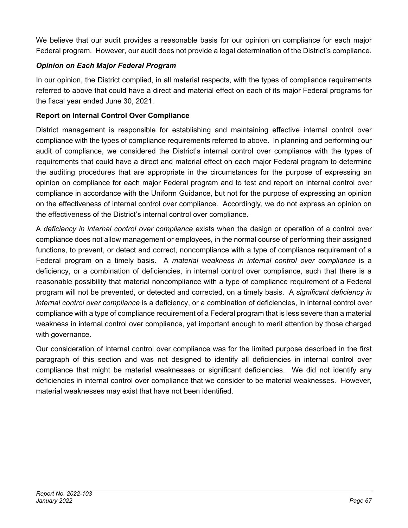We believe that our audit provides a reasonable basis for our opinion on compliance for each major Federal program. However, our audit does not provide a legal determination of the District's compliance.

### *Opinion on Each Major Federal Program*

In our opinion, the District complied, in all material respects, with the types of compliance requirements referred to above that could have a direct and material effect on each of its major Federal programs for the fiscal year ended June 30, 2021.

### **Report on Internal Control Over Compliance**

District management is responsible for establishing and maintaining effective internal control over compliance with the types of compliance requirements referred to above. In planning and performing our audit of compliance, we considered the District's internal control over compliance with the types of requirements that could have a direct and material effect on each major Federal program to determine the auditing procedures that are appropriate in the circumstances for the purpose of expressing an opinion on compliance for each major Federal program and to test and report on internal control over compliance in accordance with the Uniform Guidance, but not for the purpose of expressing an opinion on the effectiveness of internal control over compliance. Accordingly, we do not express an opinion on the effectiveness of the District's internal control over compliance.

A *deficiency in internal control over compliance* exists when the design or operation of a control over compliance does not allow management or employees, in the normal course of performing their assigned functions, to prevent, or detect and correct, noncompliance with a type of compliance requirement of a Federal program on a timely basis. A *material weakness in internal control over compliance* is a deficiency, or a combination of deficiencies, in internal control over compliance, such that there is a reasonable possibility that material noncompliance with a type of compliance requirement of a Federal program will not be prevented, or detected and corrected, on a timely basis. A *significant deficiency in internal control over compliance* is a deficiency, or a combination of deficiencies, in internal control over compliance with a type of compliance requirement of a Federal program that is less severe than a material weakness in internal control over compliance, yet important enough to merit attention by those charged with governance.

Our consideration of internal control over compliance was for the limited purpose described in the first paragraph of this section and was not designed to identify all deficiencies in internal control over compliance that might be material weaknesses or significant deficiencies. We did not identify any deficiencies in internal control over compliance that we consider to be material weaknesses. However, material weaknesses may exist that have not been identified.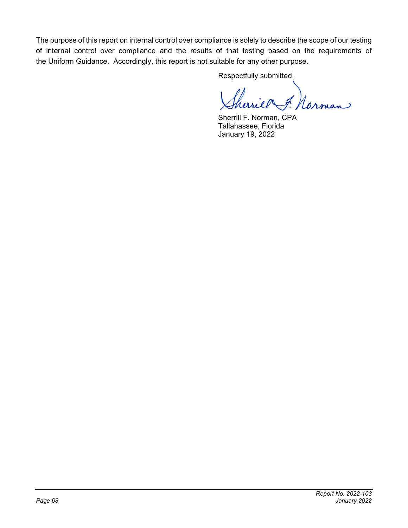The purpose of this report on internal control over compliance is solely to describe the scope of our testing of internal control over compliance and the results of that testing based on the requirements of the Uniform Guidance. Accordingly, this report is not suitable for any other purpose.

Respectfully submitted,

F. Norman

Sherrill F. Norman, CPA Tallahassee, Florida January 19, 2022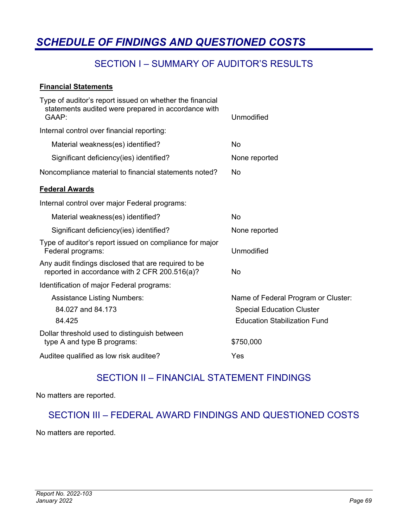# *SCHEDULE OF FINDINGS AND QUESTIONED COSTS*

## SECTION I – SUMMARY OF AUDITOR'S RESULTS

#### **Financial Statements**

| Type of auditor's report issued on whether the financial<br>statements audited were prepared in accordance with<br>GAAP: | Unmodified                          |
|--------------------------------------------------------------------------------------------------------------------------|-------------------------------------|
| Internal control over financial reporting:                                                                               |                                     |
| Material weakness(es) identified?                                                                                        | No                                  |
| Significant deficiency(ies) identified?                                                                                  | None reported                       |
| Noncompliance material to financial statements noted?                                                                    | No                                  |
| <b>Federal Awards</b>                                                                                                    |                                     |
| Internal control over major Federal programs:                                                                            |                                     |
| Material weakness(es) identified?                                                                                        | No                                  |
| Significant deficiency(ies) identified?                                                                                  | None reported                       |
| Type of auditor's report issued on compliance for major<br>Federal programs:                                             | Unmodified                          |
| Any audit findings disclosed that are required to be<br>reported in accordance with 2 CFR 200.516(a)?                    | No                                  |
| Identification of major Federal programs:                                                                                |                                     |
| <b>Assistance Listing Numbers:</b>                                                                                       | Name of Federal Program or Cluster: |
| 84,027 and 84,173                                                                                                        | <b>Special Education Cluster</b>    |
| 84.425                                                                                                                   | <b>Education Stabilization Fund</b> |
| Dollar threshold used to distinguish between<br>type A and type B programs:                                              | \$750,000                           |
| Auditee qualified as low risk auditee?                                                                                   | Yes                                 |

## SECTION II – FINANCIAL STATEMENT FINDINGS

No matters are reported.

### SECTION III – FEDERAL AWARD FINDINGS AND QUESTIONED COSTS

No matters are reported.